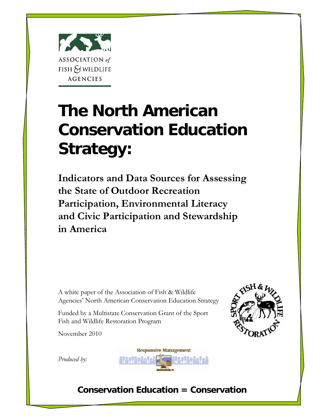

# **The North American Conservation Education Strategy:**

**Indicators and Data Sources for Assessing the State of Outdoor Recreation Participation, Environmental Literacy and Civic Participation and Stewardship in America**

A white paper of the Association of Fish & Wildlife Agencies' North American Conservation Education Strategy

Funded by a Multistate Conservation Grant of the Sport Fish and Wildlife Restoration Program

November 2010



*Produced by:*



# **Conservation Education = Conservation**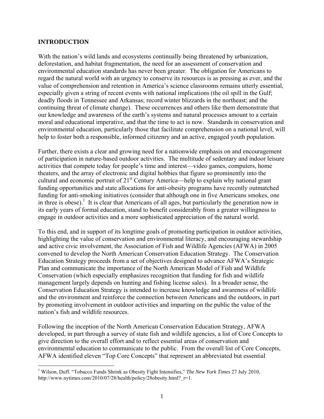#### **INTRODUCTION**

With the nation's wild lands and ecosystems continually being threatened by urbanization, deforestation, and habitat fragmentation, the need for an assessment of conservation and environmental education standards has never been greater. The obligation for Americans to regard the natural world with an urgency to conserve its resources is as pressing as ever, and the value of comprehension and retention in America's science classrooms remains utterly essential, especially given a string of recent events with national implications (the oil spill in the Gulf; deadly floods in Tennessee and Arkansas; record winter blizzards in the northeast; and the continuing threat of climate change). These occurrences and others like them demonstrate that our knowledge and awareness of the earth's systems and natural processes amount to a certain moral and educational imperative, and that the time to act is now. Standards in conservation and environmental education, particularly those that facilitate comprehension on a national level, will help to foster both a responsible, informed citizenry and an active, engaged youth population.

Further, there exists a clear and growing need for a nationwide emphasis on and encouragement of participation in nature-based outdoor activities. The multitude of sedentary and indoor leisure activities that compete today for people's time and interest—video games, computers, home theaters, and the array of electronic and digital hobbies that figure so prominently into the cultural and economic portrait of  $21<sup>st</sup>$  Century America—help to explain why national grant funding opportunities and state allocations for anti-obesity programs have recently outmatched funding for anti-smoking initiatives (consider that although one in five Americans smokes, one in three is obese).<sup>1</sup> It is clear that Americans of all ages, but particularly the generation now in its early years of formal education, stand to benefit considerably from a greater willingness to engage in outdoor activities and a more sophisticated appreciation of the natural world.

To this end, and in support of its longtime goals of promoting participation in outdoor activities, highlighting the value of conservation and environmental literacy, and encouraging stewardship and active civic involvement, the Association of Fish and Wildlife Agencies (AFWA) in 2005 convened to develop the North American Conservation Education Strategy. The Conservation Education Strategy proceeds from a set of objectives designed to advance AFWA's Strategic Plan and communicate the importance of the North American Model of Fish and Wildlife Conservation (which especially emphasizes recognition that funding for fish and wildlife management largely depends on hunting and fishing license sales). In a broader sense, the Conservation Education Strategy is intended to increase knowledge and awareness of wildlife and the environment and reinforce the connection between Americans and the outdoors, in part by promoting involvement in outdoor activities and imparting on the public the value of the nation's fish and wildlife resources.

Following the inception of the North American Conservation Education Strategy, AFWA developed, in part through a survey of state fish and wildlife agencies, a list of Core Concepts to give direction to the overall effort and to reflect essential areas of conservation and environmental education to communicate to the public. From the overall list of Core Concepts, AFWA identified eleven "Top Core Concepts" that represent an abbreviated but essential

 1 Wilson, Duff. "Tobacco Funds Shrink as Obesity Fight Intensifies," *The New York Times* 27 July 2010, http://www.nytimes.com/2010/07/28/health/policy/28obesity.html? r=1.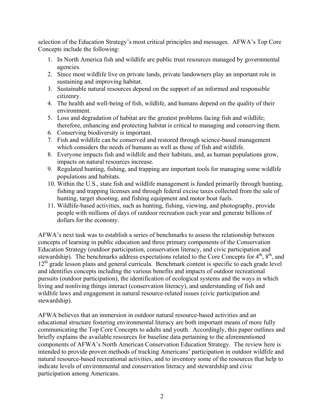selection of the Education Strategy's most critical principles and messages. AFWA's Top Core Concepts include the following:

- 1. In North America fish and wildlife are public trust resources managed by governmental agencies.
- 2. Since most wildlife live on private lands, private landowners play an important role in sustaining and improving habitat.
- 3. Sustainable natural resources depend on the support of an informed and responsible citizenry.
- 4. The health and well-being of fish, wildlife, and humans depend on the quality of their environment.
- 5. Loss and degradation of habitat are the greatest problems facing fish and wildlife; therefore, enhancing and protecting habitat is critical to managing and conserving them.
- 6. Conserving biodiversity is important.
- 7. Fish and wildlife can be conserved and restored through science-based management which considers the needs of humans as well as those of fish and wildlife.
- 8. Everyone impacts fish and wildlife and their habitats, and, as human populations grow, impacts on natural resources increase.
- 9. Regulated hunting, fishing, and trapping are important tools for managing some wildlife populations and habitats.
- 10. Within the U.S., state fish and wildlife management is funded primarily through hunting, fishing and trapping licenses and through federal excise taxes collected from the sale of hunting, target shooting, and fishing equipment and motor boat fuels.
- 11. Wildlife-based activities, such as hunting, fishing, viewing, and photography, provide people with millions of days of outdoor recreation each year and generate billions of dollars for the economy.

AFWA's next task was to establish a series of benchmarks to assess the relationship between concepts of learning in public education and three primary components of the Conservation Education Strategy (outdoor participation, conservation literacy, and civic participation and stewardship). The benchmarks address expectations related to the Core Concepts for  $4<sup>th</sup>$ ,  $8<sup>th</sup>$ , and  $12<sup>th</sup>$  grade lesson plans and general curricula. Benchmark content is specific to each grade level and identifies concepts including the various benefits and impacts of outdoor recreational pursuits (outdoor participation), the identification of ecological systems and the ways in which living and nonliving things interact (conservation literacy), and understanding of fish and wildlife laws and engagement in natural resource-related issues (civic participation and stewardship).

AFWA believes that an immersion in outdoor natural resource-based activities and an educational structure fostering environmental literacy are both important means of more fully communicating the Top Core Concepts to adults and youth. Accordingly, this paper outlines and briefly explains the available resources for baseline data pertaining to the aforementioned components of AFWA's North American Conservation Education Strategy. The review here is intended to provide proven methods of tracking Americans' participation in outdoor wildlife and natural resource-based recreational activities, and to inventory some of the resources that help to indicate levels of environmental and conservation literacy and stewardship and civic participation among Americans.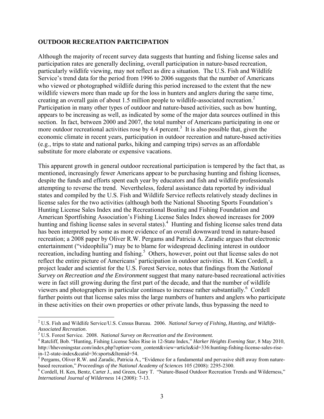#### **OUTDOOR RECREATION PARTICIPATION**

Although the majority of recent survey data suggests that hunting and fishing license sales and participation rates are generally declining, overall participation in nature-based recreation, particularly wildlife viewing, may not reflect as dire a situation. The U.S. Fish and Wildlife Service's trend data for the period from 1996 to 2006 suggests that the number of Americans who viewed or photographed wildlife during this period increased to the extent that the new wildlife viewers more than made up for the loss in hunters and anglers during the same time, creating an overall gain of about 1.5 million people to wildlife-associated recreation.<sup>2</sup> Participation in many other types of outdoor and nature-based activities, such as bow hunting, appears to be increasing as well, as indicated by some of the major data sources outlined in this section. In fact, between 2000 and 2007, the total number of Americans participating in one or more outdoor recreational activities rose by 4.4 percent.<sup>3</sup> It is also possible that, given the economic climate in recent years, participation in outdoor recreation and nature-based activities (e.g., trips to state and national parks, hiking and camping trips) serves as an affordable substitute for more elaborate or expensive vacations.

This apparent growth in general outdoor recreational participation is tempered by the fact that, as mentioned, increasingly fewer Americans appear to be purchasing hunting and fishing licenses, despite the funds and efforts spent each year by educators and fish and wildlife professionals attempting to reverse the trend. Nevertheless, federal assistance data reported by individual states and compiled by the U.S. Fish and Wildlife Service reflects relatively steady declines in license sales for the two activities (although both the National Shooting Sports Foundation's Hunting License Sales Index and the Recreational Boating and Fishing Foundation and American Sportfishing Association's Fishing License Sales Index showed increases for 2009 hunting and fishing license sales in several states).<sup>4</sup> Hunting and fishing license sales trend data has been interpreted by some as more evidence of an overall downward trend in nature-based recreation; a 2008 paper by Oliver R.W. Pergams and Patricia A. Zaradic argues that electronic entertainment ("videophilia") may be to blame for widespread declining interest in outdoor recreation, including hunting and fishing.<sup>5</sup> Others, however, point out that license sales do not reflect the entire picture of Americans' participation in outdoor activities. H. Ken Cordell, a project leader and scientist for the U.S. Forest Service, notes that findings from the *National Survey on Recreation and the Environment* suggest that many nature-based recreational activities were in fact still growing during the first part of the decade, and that the number of wildlife viewers and photographers in particular continues to increase rather substantially.<sup>6</sup> Cordell further points out that license sales miss the large numbers of hunters and anglers who participate in these activities on their own properties or other private lands, thus bypassing the need to

1

<sup>2</sup> U.S. Fish and Wildlife Service/U.S. Census Bureau. 2006. *National Survey of Fishing, Hunting, and Wildlife-Associated Recreation*. 3

<sup>&</sup>lt;sup>3</sup> U.S. Forest Service. 2008. *National Survey on Recreation and the Environment.* 

Ratcliff, Bob. "Hunting, Fishing License Sales Rise in 12-State Index," *Harker Heights Evening Star*, 8 May 2010, http://hheveningstar.com/index.php?option=com\_content&view=article&id=336:hunting-fishing-license-sales-risein-12-state-index&catid=36:sports&Itemid=54.

 $<sup>5</sup>$  Pergams, Oliver R.W. and Zaradic, Patricia A., "Evidence for a fundamental and pervasive shift away from nature-</sup> based recreation," *Proceedings of the National Academy of Sciences* 105 (2008): 2295-2300.

Cordell, H. Ken, Bentz, Carter J., and Green, Gary T. "Nature-Based Outdoor Recreation Trends and Wilderness," *International Journal of Wilderness* 14 (2008): 7-13.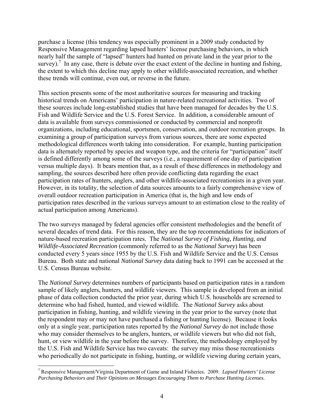purchase a license (this tendency was especially prominent in a 2009 study conducted by Responsive Management regarding lapsed hunters' license purchasing behaviors, in which nearly half the sample of "lapsed" hunters had hunted on private land in the year prior to the survey).<sup>7</sup> In any case, there is debate over the exact extent of the decline in hunting and fishing, the extent to which this decline may apply to other wildlife-associated recreation, and whether these trends will continue, even out, or reverse in the future.

This section presents some of the most authoritative sources for measuring and tracking historical trends on Americans' participation in nature-related recreational activities. Two of these sources include long-established studies that have been managed for decades by the U.S. Fish and Wildlife Service and the U.S. Forest Service. In addition, a considerable amount of data is available from surveys commissioned or conducted by commercial and nonprofit organizations, including educational, sportsmen, conservation, and outdoor recreation groups. In examining a group of participation surveys from various sources, there are some expected methodological differences worth taking into consideration. For example, hunting participation data is alternately reported by species and weapon type, and the criteria for "participation" itself is defined differently among some of the surveys (i.e., a requirement of one day of participation versus multiple days). It bears mention that, as a result of these differences in methodology and sampling, the sources described here often provide conflicting data regarding the exact participation rates of hunters, anglers, and other wildlife-associated recreationists in a given year. However, in its totality, the selection of data sources amounts to a fairly comprehensive view of overall outdoor recreation participation in America (that is, the high and low ends of participation rates described in the various surveys amount to an estimation close to the reality of actual participation among Americans).

The two surveys managed by federal agencies offer consistent methodologies and the benefit of several decades of trend data. For this reason, they are the top recommendations for indicators of nature-based recreation participation rates. The *National Survey of Fishing, Hunting, and Wildlife-Associated Recreation* (commonly referred to as the *National Survey*) has been conducted every 5 years since 1955 by the U.S. Fish and Wildlife Service and the U.S. Census Bureau. Both state and national *National Survey* data dating back to 1991 can be accessed at the U.S. Census Bureau website.

The *National Survey* determines numbers of participants based on participation rates in a random sample of likely anglers, hunters, and wildlife viewers. This sample is developed from an initial phase of data collection conducted the prior year, during which U.S. households are screened to determine who had fished, hunted, and viewed wildlife. The *National Survey* asks about participation in fishing, hunting, and wildlife viewing in the year prior to the survey (note that the respondent may or may not have purchased a fishing or hunting license). Because it looks only at a single year, participation rates reported by the *National Survey* do not include those who may consider themselves to be anglers, hunters, or wildlife viewers but who did not fish, hunt, or view wildlife in the year before the survey. Therefore, the methodology employed by the U.S. Fish and Wildlife Service has two caveats: the survey may miss those recreationists who periodically do not participate in fishing, hunting, or wildlife viewing during certain years,

 $\overline{a}$ 

<sup>7</sup> Responsive Management/Virginia Department of Game and Inland Fisheries. 2009. *Lapsed Hunters' License Purchasing Behaviors and Their Opinions on Messages Encouraging Them to Purchase Hunting Licenses.*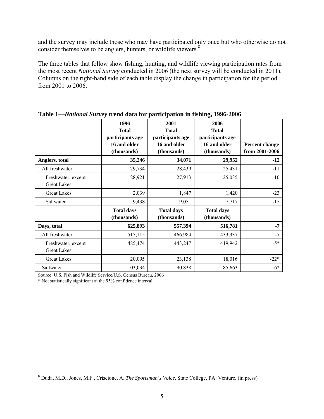and the survey may include those who may have participated only once but who otherwise do not consider themselves to be anglers, hunters, or wildlife viewers.<sup>8</sup>

The three tables that follow show fishing, hunting, and wildlife viewing participation rates from the most recent *National Survey* conducted in 2006 (the next survey will be conducted in 2011). Columns on the right-hand side of each table display the change in participation for the period from 2001 to 2006.

|                                          | 1996<br><b>Total</b><br>participants age<br>16 and older<br>(thousands) | 2001<br><b>Total</b><br>participants age<br>16 and older<br>(thousands) | 2006<br><b>Total</b><br>participants age<br>16 and older<br>(thousands) | Percent change<br>from 2001-2006 |
|------------------------------------------|-------------------------------------------------------------------------|-------------------------------------------------------------------------|-------------------------------------------------------------------------|----------------------------------|
| Anglers, total                           | 35,246                                                                  | 34,071                                                                  | 29,952                                                                  | $-12$                            |
| All freshwater                           | 29,734                                                                  | 28,439                                                                  | 25,431                                                                  | $-11$                            |
| Freshwater, except<br><b>Great Lakes</b> | 28,921                                                                  | 27,913                                                                  | 25,035                                                                  | $-10$                            |
| <b>Great Lakes</b>                       | 2,039                                                                   | 1,847                                                                   | 1,420                                                                   | $-23$                            |
| Saltwater                                | 9,438                                                                   | 9,051                                                                   | 7,717                                                                   | $-15$                            |
|                                          | <b>Total days</b><br>(thousands)                                        | <b>Total days</b><br>(thousands)                                        | <b>Total days</b><br>(thousands)                                        |                                  |
| Days, total                              | 625,893                                                                 | 557,394                                                                 | 516,781                                                                 | $-7$                             |
| All freshwater                           | 515,115                                                                 | 466,984                                                                 | 433,337                                                                 | $-7$                             |
| Freshwater, except<br><b>Great Lakes</b> | 485,474                                                                 | 443,247                                                                 | 419,942                                                                 | $-5*$                            |
| <b>Great Lakes</b>                       | 20,095                                                                  | 23,138                                                                  | 18,016                                                                  | $-22*$                           |
| Saltwater                                | 103,034                                                                 | 90,838                                                                  | 85,663                                                                  | $-6*$                            |

**Table 1—***National Survey* **trend data for participation in fishing, 1996-2006** 

Source: U.S. Fish and Wildlife Service/U.S. Census Bureau, 2006

\* Not statistically significant at the 95% confidence interval.

 $\overline{a}$ 

<sup>8</sup> Duda, M.D., Jones, M.F., Criscione, A. *The Sportsman's Voice*. State College, PA: Venture. (in press)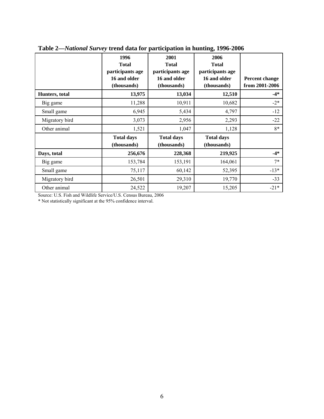|                | 1996<br><b>Total</b><br>participants age<br>16 and older<br>(thousands) | 2001<br><b>Total</b><br>participants age<br>16 and older<br>(thousands) | 2006<br><b>Total</b><br>participants age<br>16 and older<br>(thousands) | <b>Percent change</b><br>from 2001-2006 |
|----------------|-------------------------------------------------------------------------|-------------------------------------------------------------------------|-------------------------------------------------------------------------|-----------------------------------------|
| Hunters, total | 13,975                                                                  | 13,034                                                                  | 12,510                                                                  | $-4*$                                   |
| Big game       | 11,288                                                                  | 10,911                                                                  | 10,682                                                                  | $-2*$                                   |
| Small game     | 6,945                                                                   | 5,434                                                                   | 4,797                                                                   | $-12$                                   |
| Migratory bird | 3,073                                                                   | 2,956                                                                   | 2,293                                                                   | $-22$                                   |
| Other animal   | 1,521                                                                   | 1,047                                                                   | 1,128                                                                   | 8*                                      |
|                | <b>Total days</b><br>(thousands)                                        | <b>Total days</b><br>(thousands)                                        | <b>Total days</b><br>(thousands)                                        |                                         |
| Days, total    | 256,676                                                                 | 228,368                                                                 | 219,925                                                                 | $-4*$                                   |
| Big game       | 153,784                                                                 | 153,191                                                                 | 164,061                                                                 | $7*$                                    |
| Small game     | 75,117                                                                  | 60,142                                                                  | 52,395                                                                  | $-13*$                                  |
| Migratory bird | 26,501                                                                  | 29,310                                                                  | 19,770                                                                  | $-33$                                   |
| Other animal   | 24,522                                                                  | 19,207                                                                  | 15,205                                                                  | $-21*$                                  |

**Table 2—***National Survey* **trend data for participation in hunting, 1996-2006** 

Source: U.S. Fish and Wildlife Service/U.S. Census Bureau, 2006

\* Not statistically significant at the 95% confidence interval.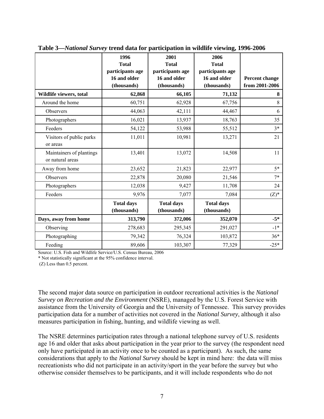|                                              | 1996<br><b>Total</b><br>participants age<br>16 and older | 2001<br><b>Total</b><br>participants age<br>16 and older | 2006<br><b>Total</b><br>participants age<br>16 and older | Percent change |
|----------------------------------------------|----------------------------------------------------------|----------------------------------------------------------|----------------------------------------------------------|----------------|
|                                              | (thousands)                                              | (thousands)                                              | (thousands)                                              | from 2001-2006 |
| Wildlife viewers, total                      | 62,868                                                   | 66,105                                                   | 71,132                                                   | 8              |
| Around the home                              | 60,751                                                   | 62,928                                                   | 67,756                                                   | 8              |
| Observers                                    | 44,063                                                   | 42,111                                                   | 44,467                                                   | 6              |
| Photographers                                | 16,021                                                   | 13,937                                                   | 18,763                                                   | 35             |
| Feeders                                      | 54,122                                                   | 53,988                                                   | 55,512                                                   | $3*$           |
| Visitors of public parks<br>or areas         | 11,011                                                   | 10,981                                                   | 13,271                                                   | 21             |
| Maintainers of plantings<br>or natural areas | 13,401                                                   | 13,072                                                   | 14,508                                                   | 11             |
| Away from home                               | 23,652                                                   | 21,823                                                   | 22,977                                                   | $5*$           |
| Observers                                    | 22,878                                                   | 20,080                                                   | 21,546                                                   | $7*$           |
| Photographers                                | 12,038                                                   | 9,427                                                    | 11,708                                                   | 24             |
| Feeders                                      | 9,976                                                    | 7,077                                                    | 7,084                                                    | $(Z)^*$        |
|                                              | <b>Total days</b><br>(thousands)                         | <b>Total days</b><br>(thousands)                         | <b>Total days</b><br>(thousands)                         |                |
| Days, away from home                         | 313,790                                                  | 372,006                                                  | 352,070                                                  | $-5*$          |
| Observing                                    | 278,683                                                  | 295,345                                                  | 291,027                                                  | $-1*$          |
| Photographing                                | 79,342                                                   | 76,324                                                   | 103,872                                                  | $36*$          |
| Feeding                                      | 89,606                                                   | 103,307                                                  | 77,329                                                   | $-25*$         |

**Table 3—***National Survey* **trend data for participation in wildlife viewing, 1996-2006** 

Source: U.S. Fish and Wildlife Service/U.S. Census Bureau, 2006

\* Not statistically significant at the 95% confidence interval.

(Z) Less than 0.5 percent.

The second major data source on participation in outdoor recreational activities is the *National Survey on Recreation and the Environment* (NSRE), managed by the U.S. Forest Service with assistance from the University of Georgia and the University of Tennessee. This survey provides participation data for a number of activities not covered in the *National Survey*, although it also measures participation in fishing, hunting, and wildlife viewing as well.

The NSRE determines participation rates through a national telephone survey of U.S. residents age 16 and older that asks about participation in the year prior to the survey (the respondent need only have participated in an activity once to be counted as a participant). As such, the same considerations that apply to the *National Survey* should be kept in mind here: the data will miss recreationists who did not participate in an activity/sport in the year before the survey but who otherwise consider themselves to be participants, and it will include respondents who do not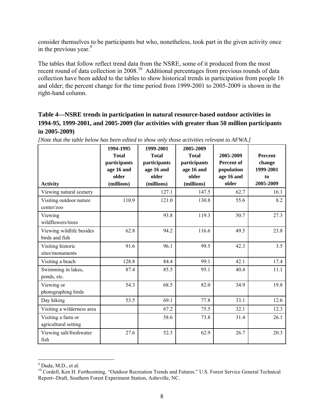consider themselves to be participants but who, nonetheless, took part in the given activity once in the previous year. $9$ 

The tables that follow reflect trend data from the NSRE, some of it produced from the most recent round of data collection in 2008.<sup>10</sup> Additional percentages from previous rounds of data collection have been added to the tables to show historical trends in participation from people 16 and older; the percent change for the time period from 1999-2001 to 2005-2009 is shown in the right-hand column.

# **Table 4—NSRE trends in participation in natural resource-based outdoor activities in 1994-95, 1999-2001, and 2005-2009 (for activities with greater than 50 million participants in 2005-2009)**

| <b>Activity</b>                            | 1994-1995<br><b>Total</b><br>participants<br>age 16 and<br>older<br>(millions) | 1999-2001<br><b>Total</b><br>participants<br>age 16 and<br>older<br>(millions) | 2005-2009<br><b>Total</b><br>participants<br>age 16 and<br>older<br>(millions) | 2005-2009<br>Percent of<br>population<br>age 16 and<br>older | <b>Percent</b><br>change<br>1999-2001<br>to<br>2005-2009 |
|--------------------------------------------|--------------------------------------------------------------------------------|--------------------------------------------------------------------------------|--------------------------------------------------------------------------------|--------------------------------------------------------------|----------------------------------------------------------|
| Viewing natural scenery                    |                                                                                | 127.1                                                                          | 147.5                                                                          | 62.7                                                         | 16.1                                                     |
| Visiting outdoor nature<br>center/zoo      | 110.9                                                                          | 121.0                                                                          | 130.8                                                                          | 55.6                                                         | 8.2                                                      |
| Viewing<br>wildflowers/trees               |                                                                                | 93.8                                                                           | 119.3                                                                          | 50.7                                                         | 27.3                                                     |
| Viewing wildlife besides<br>birds and fish | 62.8                                                                           | 94.2                                                                           | 116.6                                                                          | 49.5                                                         | 23.8                                                     |
| Visiting historic<br>sites/monuments       | 91.6                                                                           | 96.1                                                                           | 99.5                                                                           | 42.3                                                         | 3.5                                                      |
| Visiting a beach                           | 128.8                                                                          | 84.4                                                                           | 99.1                                                                           | 42.1                                                         | 17.4                                                     |
| Swimming in lakes,<br>ponds, etc.          | 87.4                                                                           | 85.5                                                                           | 95.1                                                                           | 40.4                                                         | 11.1                                                     |
| Viewing or<br>photographing birds          | 54.3                                                                           | 68.5                                                                           | 82.0                                                                           | 34.9                                                         | 19.8                                                     |
| Day hiking                                 | 53.5                                                                           | 69.1                                                                           | 77.8                                                                           | 33.1                                                         | 12.6                                                     |
| Visiting a wilderness area                 |                                                                                | 67.2                                                                           | 75.5                                                                           | 32.1                                                         | 12.3                                                     |
| Visiting a farm or<br>agricultural setting |                                                                                | 58.6                                                                           | 73.8                                                                           | 31.4                                                         | 26.1                                                     |
| Viewing salt/freshwater<br>fish            | 27.6                                                                           | 52.3                                                                           | 62.9                                                                           | 26.7                                                         | 20.3                                                     |

*[Note that the table below has been edited to show only those activities relevant to AFWA.]* 

 $\overline{a}$ 

 $<sup>9</sup>$  Duda, M.D., et al.</sup>

<sup>&</sup>lt;sup>10</sup> Cordell, Ken H. Forthcoming. "Outdoor Recreation Trends and Futures." U.S. Forest Service General Technical Report--Draft, Southern Forest Experiment Station, Asheville, NC.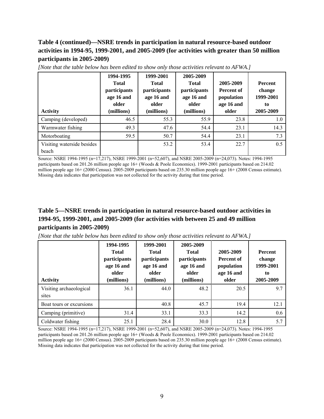# **Table 4 (continued)—NSRE trends in participation in natural resource-based outdoor activities in 1994-95, 1999-2001, and 2005-2009 (for activities with greater than 50 million participants in 2005-2009)**

| <b>Activity</b>                     | 1994-1995<br><b>Total</b><br>participants<br>age 16 and<br>older<br>(millions) | 1999-2001<br><b>Total</b><br>participants<br>age 16 and<br>older<br>(millions) | 2005-2009<br><b>Total</b><br>participants<br>age 16 and<br>older<br>(millions) | 2005-2009<br>Percent of<br>population<br>age 16 and<br>older | <b>Percent</b><br>change<br>1999-2001<br>to<br>2005-2009 |
|-------------------------------------|--------------------------------------------------------------------------------|--------------------------------------------------------------------------------|--------------------------------------------------------------------------------|--------------------------------------------------------------|----------------------------------------------------------|
| Camping (developed)                 | 46.5                                                                           | 55.3                                                                           | 55.9                                                                           | 23.8                                                         | 1.0                                                      |
| Warmwater fishing                   | 49.3                                                                           | 47.6                                                                           | 54.4                                                                           | 23.1                                                         | 14.3                                                     |
| Motorboating                        | 59.5                                                                           | 50.7                                                                           | 54.4                                                                           | 23.1                                                         | 7.3                                                      |
| Visiting waterside besides<br>beach |                                                                                | 53.2                                                                           | 53.4                                                                           | 22.7                                                         | 0.5                                                      |

*[Note that the table below has been edited to show only those activities relevant to AFWA.]* 

Source: NSRE 1994-1995 (n=17,217), NSRE 1999-2001 (n=52,607), and NSRE 2005-2009 (n=24,073). Notes: 1994-1995 participants based on 201.26 million people age 16+ (Woods & Poole Economics). 1999-2001 participants based on 214.02 million people age  $16+$  (2000 Census). 2005-2009 participants based on 235.30 million people age  $16+$  (2008 Census estimate). Missing data indicates that participation was not collected for the activity during that time period.

# **Table 5—NSRE trends in participation in natural resource-based outdoor activities in 1994-95, 1999-2001, and 2005-2009 (for activities with between 25 and 49 million participants in 2005-2009)**

*[Note that the table below has been edited to show only those activities relevant to AFWA.]* 

| <b>Activity</b>                  | 1994-1995<br><b>Total</b><br>participants<br>age 16 and<br>older<br>(millions) | 1999-2001<br><b>Total</b><br>participants<br>age 16 and<br>older<br>(millions) | 2005-2009<br><b>Total</b><br>participants<br>age 16 and<br>older<br>(millions) | 2005-2009<br><b>Percent of</b><br>population<br>age 16 and<br>older | <b>Percent</b><br>change<br>1999-2001<br>to<br>2005-2009 |
|----------------------------------|--------------------------------------------------------------------------------|--------------------------------------------------------------------------------|--------------------------------------------------------------------------------|---------------------------------------------------------------------|----------------------------------------------------------|
| Visiting archaeological<br>sites | 36.1                                                                           | 44.0                                                                           | 48.2                                                                           | 20.5                                                                | 9.7                                                      |
| Boat tours or excursions         |                                                                                | 40.8                                                                           | 45.7                                                                           | 19.4                                                                | 12.1                                                     |
| Camping (primitive)              | 31.4                                                                           | 33.1                                                                           | 33.3                                                                           | 14.2                                                                | 0.6                                                      |
| Coldwater fishing                | 25.1                                                                           | 28.4                                                                           | 30.0                                                                           | 12.8                                                                | 5.7                                                      |

Source: NSRE 1994-1995 (n=17,217), NSRE 1999-2001 (n=52,607), and NSRE 2005-2009 (n=24,073). Notes: 1994-1995 participants based on 201.26 million people age 16+ (Woods & Poole Economics). 1999-2001 participants based on 214.02 million people age 16+ (2000 Census). 2005-2009 participants based on 235.30 million people age 16+ (2008 Census estimate). Missing data indicates that participation was not collected for the activity during that time period.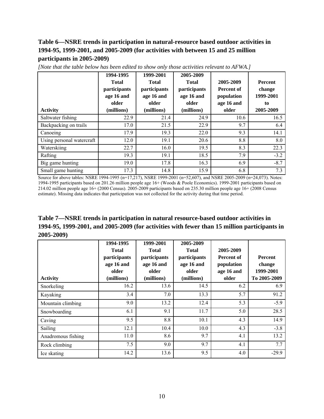# **Table 6—NSRE trends in participation in natural-resource based outdoor activities in 1994-95, 1999-2001, and 2005-2009 (for activities with between 15 and 25 million participants in 2005-2009)**

| <b>Activity</b>           | 1994-1995<br><b>Total</b><br>participants<br>age 16 and<br>older<br>(millions) | 1999-2001<br><b>Total</b><br>participants<br>age 16 and<br>older<br>(millions) | 2005-2009<br><b>Total</b><br>participants<br>age 16 and<br>older<br>(millions) | 2005-2009<br>Percent of<br>population<br>age 16 and<br>older | Percent<br>change<br>1999-2001<br>to<br>2005-2009 |
|---------------------------|--------------------------------------------------------------------------------|--------------------------------------------------------------------------------|--------------------------------------------------------------------------------|--------------------------------------------------------------|---------------------------------------------------|
| Saltwater fishing         | 22.9                                                                           | 21.4                                                                           | 24.9                                                                           | 10.6                                                         | 16.5                                              |
| Backpacking on trails     | 17.0                                                                           | 21.5                                                                           | 22.9                                                                           | 9.7                                                          | 6.4                                               |
| Canoeing                  | 17.9                                                                           | 19.3                                                                           | 22.0                                                                           | 9.3                                                          | 14.1                                              |
| Using personal watercraft | 12.0                                                                           | 19.1                                                                           | 20.6                                                                           | 8.8                                                          | 8.0                                               |
| Waterskiing               | 22.7                                                                           | 16.0                                                                           | 19.5                                                                           | 8.3                                                          | 22.3                                              |
| Rafting                   | 19.3                                                                           | 19.1                                                                           | 18.5                                                                           | 7.9                                                          | $-3.2$                                            |
| Big game hunting          | 19.0                                                                           | 17.8                                                                           | 16.3                                                                           | 6.9                                                          | $-8.7$                                            |
| Small game hunting        | 17.3                                                                           | 14.8                                                                           | 15.9                                                                           | 6.8                                                          | 7.3                                               |

*[Note that the table below has been edited to show only those activities relevant to AFWA.]* 

Source for above tables: NSRE 1994-1995 (n=17,217), NSRE 1999-2001 (n=52,607), and NSRE 2005-2009 (n=24,073). Notes: 1994-1995 participants based on 201.26 million people age 16+ (Woods & Poole Economics). 1999-2001 participants based on 214.02 million people age 16+ (2000 Census). 2005-2009 participants based on 235.30 million people age 16+ (2008 Census estimate). Missing data indicates that participation was not collected for the activity during that time period.

**Table 7—NSRE trends in participation in natural resource-based outdoor activities in 1994-95, 1999-2001, and 2005-2009 (for activities with fewer than 15 million participants in 2005-2009)** 

| <b>Activity</b>    | 1994-1995<br><b>Total</b><br>participants<br>age 16 and<br>older<br>(millions) | 1999-2001<br><b>Total</b><br>participants<br>age 16 and<br>older<br>(millions) | 2005-2009<br><b>Total</b><br>participants<br>age 16 and<br>older<br>(millions) | 2005-2009<br>Percent of<br>population<br>age 16 and<br>older | <b>Percent</b><br>change<br>1999-2001<br>To 2005-2009 |
|--------------------|--------------------------------------------------------------------------------|--------------------------------------------------------------------------------|--------------------------------------------------------------------------------|--------------------------------------------------------------|-------------------------------------------------------|
| Snorkeling         | 16.2                                                                           | 13.6                                                                           | 14.5                                                                           | 6.2                                                          | 6.9                                                   |
| Kayaking           | 3.4                                                                            | 7.0                                                                            | 13.3                                                                           | 5.7                                                          | 91.2                                                  |
| Mountain climbing  | 9.0                                                                            | 13.2                                                                           | 12.4                                                                           | 5.3                                                          | $-5.9$                                                |
| Snowboarding       | 6.1                                                                            | 9.1                                                                            | 11.7                                                                           | 5.0                                                          | 28.5                                                  |
| Caving             | 9.5                                                                            | 8.8                                                                            | 10.1                                                                           | 4.3                                                          | 14.9                                                  |
| Sailing            | 12.1                                                                           | 10.4                                                                           | 10.0                                                                           | 4.3                                                          | $-3.8$                                                |
| Anadromous fishing | 11.0                                                                           | 8.6                                                                            | 9.7                                                                            | 4.1                                                          | 13.2                                                  |
| Rock climbing      | 7.5                                                                            | 9.0                                                                            | 9.7                                                                            | 4.1                                                          | 7.7                                                   |
| Ice skating        | 14.2                                                                           | 13.6                                                                           | 9.5                                                                            | 4.0                                                          | $-29.9$                                               |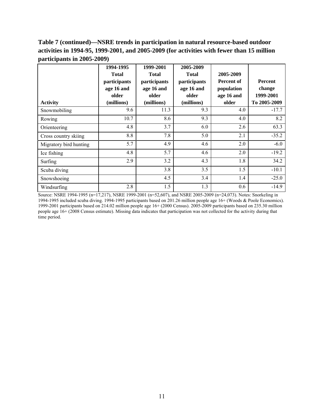# **Table 7 (continued)—NSRE trends in participation in natural resource-based outdoor activities in 1994-95, 1999-2001, and 2005-2009 (for activities with fewer than 15 million participants in 2005-2009)**

|                        | 1994-1995<br><b>Total</b><br>participants<br>age 16 and<br>older | 1999-2001<br><b>Total</b><br>participants<br>age 16 and<br>older | 2005-2009<br><b>Total</b><br>participants<br>age 16 and<br>older | 2005-2009<br>Percent of<br>population<br>age 16 and | <b>Percent</b><br>change<br>1999-2001 |
|------------------------|------------------------------------------------------------------|------------------------------------------------------------------|------------------------------------------------------------------|-----------------------------------------------------|---------------------------------------|
| <b>Activity</b>        | (millions)                                                       | (millions)                                                       | (millions)                                                       | older                                               | To 2005-2009                          |
| Snowmobiling           | 9.6                                                              | 11.3                                                             | 9.3                                                              | 4.0                                                 | $-17.7$                               |
| Rowing                 | 10.7                                                             | 8.6                                                              | 9.3                                                              | 4.0                                                 | 8.2                                   |
| Orienteering           | 4.8                                                              | 3.7                                                              | 6.0                                                              | 2.6                                                 | 63.3                                  |
| Cross country skiing   | 8.8                                                              | 7.8                                                              | 5.0                                                              | 2.1                                                 | $-35.2$                               |
| Migratory bird hunting | 5.7                                                              | 4.9                                                              | 4.6                                                              | 2.0                                                 | $-6.0$                                |
| Ice fishing            | 4.8                                                              | 5.7                                                              | 4.6                                                              | 2.0                                                 | $-19.2$                               |
| Surfing                | 2.9                                                              | 3.2                                                              | 4.3                                                              | 1.8                                                 | 34.2                                  |
| Scuba diving           |                                                                  | 3.8                                                              | 3.5                                                              | 1.5                                                 | $-10.1$                               |
| Snowshoeing            |                                                                  | 4.5                                                              | 3.4                                                              | 1.4                                                 | $-25.0$                               |
| Windsurfing            | 2.8                                                              | 1.5                                                              | 1.3                                                              | 0.6                                                 | $-14.9$                               |

Source: NSRE 1994-1995 (n=17,217), NSRE 1999-2001 (n=52,607), and NSRE 2005-2009 (n=24,073). Notes: Snorkeling in 1994-1995 included scuba diving. 1994-1995 participants based on 201.26 million people age 16+ (Woods & Poole Economics). 1999-2001 participants based on 214.02 million people age 16+ (2000 Census). 2005-2009 participants based on 235.30 million people age 16+ (2008 Census estimate). Missing data indicates that participation was not collected for the activity during that time period.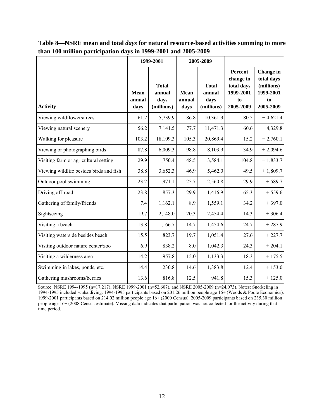|                                         |                               | 1999-2001                                    |                        | 2005-2009                                    |                                                                    |                                                                       |
|-----------------------------------------|-------------------------------|----------------------------------------------|------------------------|----------------------------------------------|--------------------------------------------------------------------|-----------------------------------------------------------------------|
| <b>Activity</b>                         | <b>Mean</b><br>annual<br>days | <b>Total</b><br>annual<br>days<br>(millions) | Mean<br>annual<br>days | <b>Total</b><br>annual<br>days<br>(millions) | Percent<br>change in<br>total days<br>1999-2001<br>to<br>2005-2009 | Change in<br>total days<br>(millions)<br>1999-2001<br>to<br>2005-2009 |
| Viewing wildflowers/trees               | 61.2                          | 5,739.9                                      | 86.8                   | 10,361.3                                     | 80.5                                                               | $+4,621.4$                                                            |
| Viewing natural scenery                 | 56.2                          | 7,141.5                                      | 77.7                   | 11,471.3                                     | 60.6                                                               | $+4,329.8$                                                            |
| Walking for pleasure                    | 103.2                         | 18,109.3                                     | 105.3                  | 20,869.4                                     | 15.2                                                               | $+2,760.1$                                                            |
| Viewing or photographing birds          | 87.8                          | 6,009.3                                      | 98.8                   | 8,103.9                                      | 34.9                                                               | $+2,094.6$                                                            |
| Visiting farm or agricultural setting   | 29.9                          | 1,750.4                                      | 48.5                   | 3,584.1                                      | 104.8                                                              | $+1,833.7$                                                            |
| Viewing wildlife besides birds and fish | 38.8                          | 3,652.3                                      | 46.9                   | 5,462.0                                      | 49.5                                                               | $+1,809.7$                                                            |
| Outdoor pool swimming                   | 23.2                          | 1,971.1                                      | 25.7                   | 2,560.8                                      | 29.9                                                               | $+589.7$                                                              |
| Driving off-road                        | 23.8                          | 857.3                                        | 29.9                   | 1,416.9                                      | 65.3                                                               | $+559.6$                                                              |
| Gathering of family/friends             | 7.4                           | 1,162.1                                      | 8.9                    | 1,559.1                                      | 34.2                                                               | $+397.0$                                                              |
| Sightseeing                             | 19.7                          | 2,148.0                                      | 20.3                   | 2,454.4                                      | 14.3                                                               | $+306.4$                                                              |
| Visiting a beach                        | 13.8                          | 1,166.7                                      | 14.7                   | 1,454.6                                      | 24.7                                                               | $+287.9$                                                              |
| Visiting waterside besides beach        | 15.5                          | 823.7                                        | 19.7                   | 1,051.4                                      | 27.6                                                               | $+227.7$                                                              |
| Visiting outdoor nature center/zoo      | 6.9                           | 838.2                                        | 8.0                    | 1,042.3                                      | 24.3                                                               | $+204.1$                                                              |
| Visiting a wilderness area              | 14.2                          | 957.8                                        | 15.0                   | 1,133.3                                      | 18.3                                                               | $+175.5$                                                              |
| Swimming in lakes, ponds, etc.          | 14.4                          | 1,230.8                                      | 14.6                   | 1,383.8                                      | 12.4                                                               | $+153.0$                                                              |
| Gathering mushrooms/berries             | 13.6                          | 816.8                                        | 12.5                   | 941.8                                        | 15.3                                                               | $+125.0$                                                              |

**Table 8—NSRE mean and total** *days* **for natural resource-based activities summing to more than 100 million participation days in 1999-2001 and 2005-2009** 

Source: NSRE 1994-1995 (n=17,217), NSRE 1999-2001 (n=52,607), and NSRE 2005-2009 (n=24,073). Notes: Snorkeling in 1994-1995 included scuba diving. 1994-1995 participants based on 201.26 million people age 16+ (Woods & Poole Economics). 1999-2001 participants based on 214.02 million people age 16+ (2000 Census). 2005-2009 participants based on 235.30 million people age 16+ (2008 Census estimate). Missing data indicates that participation was not collected for the activity during that time period.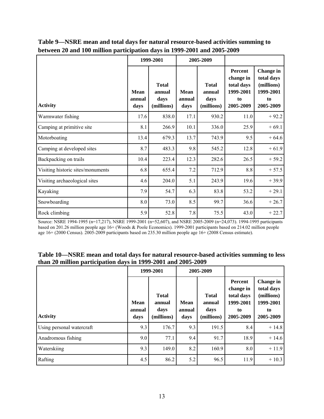|                                   |                               | 1999-2001                                    | 2005-2009                     |                                              |                                                                    |                                                                       |
|-----------------------------------|-------------------------------|----------------------------------------------|-------------------------------|----------------------------------------------|--------------------------------------------------------------------|-----------------------------------------------------------------------|
| <b>Activity</b>                   | <b>Mean</b><br>annual<br>days | <b>Total</b><br>annual<br>days<br>(millions) | <b>Mean</b><br>annual<br>days | <b>Total</b><br>annual<br>days<br>(millions) | Percent<br>change in<br>total days<br>1999-2001<br>to<br>2005-2009 | Change in<br>total days<br>(millions)<br>1999-2001<br>to<br>2005-2009 |
| Warmwater fishing                 | 17.6                          | 838.0                                        | 17.1                          | 930.2                                        | 11.0                                                               | $+92.2$                                                               |
| Camping at primitive site         | 8.1                           | 266.9                                        | 10.1                          | 336.0                                        | 25.9                                                               | $+69.1$                                                               |
| Motorboating                      | 13.4                          | 679.3                                        | 13.7                          | 743.9                                        | 9.5                                                                | $+64.6$                                                               |
| Camping at developed sites        | 8.7                           | 483.3                                        | 9.8                           | 545.2                                        | 12.8                                                               | $+61.9$                                                               |
| Backpacking on trails             | 10.4                          | 223.4                                        | 12.3                          | 282.6                                        | 26.5                                                               | $+59.2$                                                               |
| Visiting historic sites/monuments | 6.8                           | 655.4                                        | 7.2                           | 712.9                                        | 8.8                                                                | $+57.5$                                                               |
| Visiting archaeological sites     | 4.6                           | 204.0                                        | 5.1                           | 243.9                                        | 19.6                                                               | $+39.9$                                                               |
| Kayaking                          | 7.9                           | 54.7                                         | 6.3                           | 83.8                                         | 53.2                                                               | $+29.1$                                                               |
| Snowboarding                      | 8.0                           | 73.0                                         | 8.5                           | 99.7                                         | 36.6                                                               | $+26.7$                                                               |
| Rock climbing                     | 5.9                           | 52.8                                         | 7.8                           | 75.5                                         | 43.0                                                               | $+22.7$                                                               |

**Table 9—NSRE mean and total days for natural resource-based activities summing to between 20 and 100 million participation days in 1999-2001 and 2005-2009** 

Source: NSRE 1994-1995 (n=17,217), NSRE 1999-2001 (n=52,607), and NSRE 2005-2009 (n=24,073). 1994-1995 participants based on 201.26 million people age 16+ (Woods & Poole Economics). 1999-2001 participants based on 214.02 million people age 16+ (2000 Census). 2005-2009 participants based on 235.30 million people age 16+ (2008 Census estimate).

| Table 10—NSRE mean and total days for natural resource-based activities summing to less |
|-----------------------------------------------------------------------------------------|
| than 20 million participation days in 1999-2001 and 2005-2009                           |

|                           |                               | 1999-2001                                    | 2005-2009                     |                                              |                                                                    |                                                                       |
|---------------------------|-------------------------------|----------------------------------------------|-------------------------------|----------------------------------------------|--------------------------------------------------------------------|-----------------------------------------------------------------------|
| <b>Activity</b>           | <b>Mean</b><br>annual<br>days | <b>Total</b><br>annual<br>days<br>(millions) | <b>Mean</b><br>annual<br>days | <b>Total</b><br>annual<br>days<br>(millions) | Percent<br>change in<br>total days<br>1999-2001<br>to<br>2005-2009 | Change in<br>total days<br>(millions)<br>1999-2001<br>to<br>2005-2009 |
| Using personal watercraft | 9.3                           | 176.7                                        | 9.3                           | 191.5                                        | 8.4                                                                | $+14.8$                                                               |
| Anadromous fishing        | 9.0                           | 77.1                                         | 9.4                           | 91.7                                         | 18.9                                                               | $+14.6$                                                               |
| Waterskiing               | 9.3                           | 149.0                                        | 8.2                           | 160.9                                        | 8.0                                                                | $+11.9$                                                               |
| Rafting                   | 4.5                           | 86.2                                         | 5.2                           | 96.5                                         | 11.9                                                               | $+10.3$                                                               |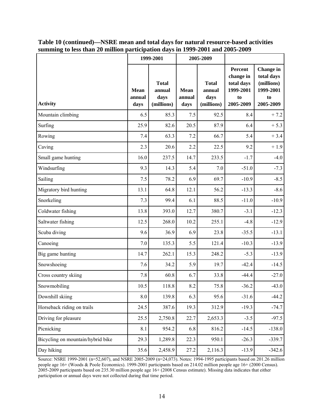|                                   |                               | 1999-2001                                    | 2005-2009                     |                                              |                                                                           |                                                                       |
|-----------------------------------|-------------------------------|----------------------------------------------|-------------------------------|----------------------------------------------|---------------------------------------------------------------------------|-----------------------------------------------------------------------|
| <b>Activity</b>                   | <b>Mean</b><br>annual<br>days | <b>Total</b><br>annual<br>days<br>(millions) | <b>Mean</b><br>annual<br>days | <b>Total</b><br>annual<br>days<br>(millions) | <b>Percent</b><br>change in<br>total days<br>1999-2001<br>to<br>2005-2009 | Change in<br>total days<br>(millions)<br>1999-2001<br>to<br>2005-2009 |
| Mountain climbing                 | 6.5                           | 85.3                                         | 7.5                           | 92.5                                         | 8.4                                                                       | $+7.2$                                                                |
| Surfing                           | 25.9                          | 82.6                                         | 20.5                          | 87.9                                         | 6.4                                                                       | $+ 5.3$                                                               |
| Rowing                            | 7.4                           | 63.3                                         | 7.2                           | 66.7                                         | 5.4                                                                       | $+3.4$                                                                |
| Caving                            | 2.3                           | 20.6                                         | 2.2                           | 22.5                                         | 9.2                                                                       | $+1.9$                                                                |
| Small game hunting                | 16.0                          | 237.5                                        | 14.7                          | 233.5                                        | $-1.7$                                                                    | $-4.0$                                                                |
| Windsurfing                       | 9.3                           | 14.3                                         | 5.4                           | 7.0                                          | $-51.0$                                                                   | $-7.3$                                                                |
| Sailing                           | $7.5$                         | 78.2                                         | 6.9                           | 69.7                                         | $-10.9$                                                                   | $-8.5$                                                                |
| Migratory bird hunting            | 13.1                          | 64.8                                         | 12.1                          | 56.2                                         | $-13.3$                                                                   | $-8.6$                                                                |
| Snorkeling                        | 7.3                           | 99.4                                         | 6.1                           | 88.5                                         | $-11.0$                                                                   | $-10.9$                                                               |
| Coldwater fishing                 | 13.8                          | 393.0                                        | 12.7                          | 380.7                                        | $-3.1$                                                                    | $-12.3$                                                               |
| Saltwater fishing                 | 12.5                          | 268.0                                        | 10.2                          | 255.1                                        | $-4.8$                                                                    | $-12.9$                                                               |
| Scuba diving                      | 9.6                           | 36.9                                         | 6.9                           | 23.8                                         | $-35.5$                                                                   | $-13.1$                                                               |
| Canoeing                          | 7.0                           | 135.3                                        | 5.5                           | 121.4                                        | $-10.3$                                                                   | $-13.9$                                                               |
| Big game hunting                  | 14.7                          | 262.1                                        | 15.3                          | 248.2                                        | $-5.3$                                                                    | $-13.9$                                                               |
| Snowshoeing                       | 7.6                           | 34.2                                         | 5.9                           | 19.7                                         | $-42.4$                                                                   | $-14.5$                                                               |
| Cross country skiing              | 7.8                           | 60.8                                         | 6.7                           | 33.8                                         | $-44.4$                                                                   | $-27.0$                                                               |
| Snowmobiling                      | 10.5                          | 118.8                                        | 8.2                           | 75.8                                         | $-36.2$                                                                   | $-43.0$                                                               |
| Downhill skiing                   | $8.0\,$                       | 139.8                                        | 6.3                           | 95.6                                         | $-31.6$                                                                   | $-44.2$                                                               |
| Horseback riding on trails        | 24.5                          | 387.6                                        | 19.3                          | 312.9                                        | $-19.3$                                                                   | $-74.7$                                                               |
| Driving for pleasure              | 25.5                          | 2,750.8                                      | 22.7                          | 2,653.3                                      | $-3.5$                                                                    | $-97.5$                                                               |
| Picnicking                        | 8.1                           | 954.2                                        | 6.8                           | 816.2                                        | $-14.5$                                                                   | $-138.0$                                                              |
| Bicycling on mountain/hybrid bike | 29.3                          | 1,289.8                                      | 22.3                          | 950.1                                        | $-26.3$                                                                   | $-339.7$                                                              |
| Day hiking                        | 35.6                          | 2,458.9                                      | 27.2                          | 2,116.3                                      | $-13.9$                                                                   | $-342.6$                                                              |

**Table 10 (continued)—NSRE mean and total days for natural resource-based activities summing to less than 20 million participation days in 1999-2001 and 2005-2009**

Source: NSRE 1999-2001 (n=52,607), and NSRE 2005-2009 (n=24,073). Notes: 1994-1995 participants based on 201.26 million people age 16+ (Woods & Poole Economics). 1999-2001 participants based on 214.02 million people age 16+ (2000 Census). 2005-2009 participants based on 235.30 million people age 16+ (2008 Census estimate). Missing data indicates that either participation or annual days were not collected during that time period.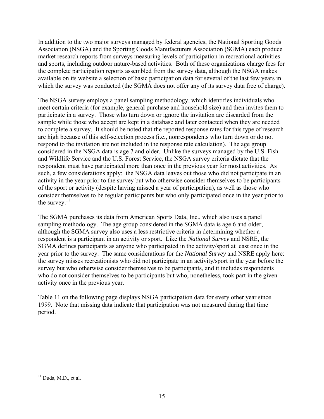In addition to the two major surveys managed by federal agencies, the National Sporting Goods Association (NSGA) and the Sporting Goods Manufacturers Association (SGMA) each produce market research reports from surveys measuring levels of participation in recreational activities and sports, including outdoor nature-based activities. Both of these organizations charge fees for the complete participation reports assembled from the survey data, although the NSGA makes available on its website a selection of basic participation data for several of the last few years in which the survey was conducted (the SGMA does not offer any of its survey data free of charge).

The NSGA survey employs a panel sampling methodology, which identifies individuals who meet certain criteria (for example, general purchase and household size) and then invites them to participate in a survey. Those who turn down or ignore the invitation are discarded from the sample while those who accept are kept in a database and later contacted when they are needed to complete a survey. It should be noted that the reported response rates for this type of research are high because of this self-selection process (i.e., nonrespondents who turn down or do not respond to the invitation are not included in the response rate calculation). The age group considered in the NSGA data is age 7 and older. Unlike the surveys managed by the U.S. Fish and Wildlife Service and the U.S. Forest Service, the NSGA survey criteria dictate that the respondent must have participated more than once in the previous year for most activities. As such, a few considerations apply: the NSGA data leaves out those who did not participate in an activity in the year prior to the survey but who otherwise consider themselves to be participants of the sport or activity (despite having missed a year of participation), as well as those who consider themselves to be regular participants but who only participated once in the year prior to the survey. $^{11}$ 

The SGMA purchases its data from American Sports Data, Inc., which also uses a panel sampling methodology. The age group considered in the SGMA data is age 6 and older, although the SGMA survey also uses a less restrictive criteria in determining whether a respondent is a participant in an activity or sport. Like the *National Survey* and NSRE, the SGMA defines participants as anyone who participated in the activity/sport at least once in the year prior to the survey. The same considerations for the *National Survey* and NSRE apply here: the survey misses recreationists who did not participate in an activity/sport in the year before the survey but who otherwise consider themselves to be participants, and it includes respondents who do not consider themselves to be participants but who, nonetheless, took part in the given activity once in the previous year.

Table 11 on the following page displays NSGA participation data for every other year since 1999. Note that missing data indicate that participation was not measured during that time period.

 $\overline{a}$  $11$  Duda, M.D., et al.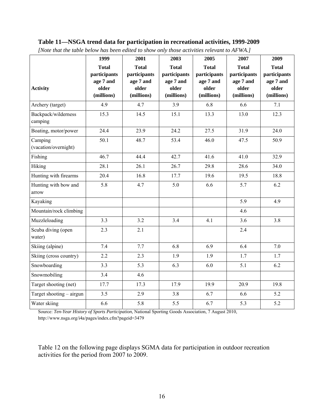#### **Table 11—NSGA trend data for participation in recreational activities, 1999-2009**

|                          | 1999         | 2001         | 2003         | 2005         | 2007         | 2009         |
|--------------------------|--------------|--------------|--------------|--------------|--------------|--------------|
|                          | <b>Total</b> | <b>Total</b> | <b>Total</b> | <b>Total</b> | <b>Total</b> | <b>Total</b> |
|                          | participants | participants | participants | participants | participants | participants |
|                          | age 7 and    | age 7 and    | age 7 and    | age 7 and    | age 7 and    | age 7 and    |
| <b>Activity</b>          | older        | older        | older        | older        | older        | older        |
|                          | (millions)   | (millions)   | (millions)   | (millions)   | (millions)   | (millions)   |
| Archery (target)         | 4.9          | 4.7          | 3.9          | 6.8          | 6.6          | 7.1          |
| Backpack/wilderness      | 15.3         | 14.5         | 15.1         | 13.3         | 13.0         | 12.3         |
| camping                  |              |              |              |              |              |              |
| Boating, motor/power     | 24.4         | 23.9         | 24.2         | 27.5         | 31.9         | 24.0         |
| Camping                  | 50.1         | 48.7         | 53.4         | 46.0         | 47.5         | 50.9         |
| (vacation/overnight)     |              |              |              |              |              |              |
| Fishing                  | 46.7         | 44.4         | 42.7         | 41.6         | 41.0         | 32.9         |
| Hiking                   | 28.1         | 26.1         | 26.7         | 29.8         | 28.6         | 34.0         |
| Hunting with firearms    | 20.4         | 16.8         | 17.7         | 19.6         | 19.5         | 18.8         |
| Hunting with bow and     | 5.8          | 4.7          | 5.0          | 6.6          | 5.7          | 6.2          |
| arrow                    |              |              |              |              |              |              |
| Kayaking                 |              |              |              |              | 5.9          | 4.9          |
| Mountain/rock climbing   |              |              |              |              | 4.6          |              |
| Muzzleloading            | 3.3          | 3.2          | 3.4          | 4.1          | 3.6          | 3.8          |
| Scuba diving (open       | 2.3          | 2.1          |              |              | 2.4          |              |
| water)                   |              |              |              |              |              |              |
| Skiing (alpine)          | 7.4          | 7.7          | 6.8          | 6.9          | 6.4          | $7.0\,$      |
| Skiing (cross country)   | 2.2          | 2.3          | 1.9          | 1.9          | 1.7          | 1.7          |
| Snowboarding             | 3.3          | 5.3          | 6.3          | 6.0          | 5.1          | 6.2          |
| Snowmobiling             | 3.4          | 4.6          |              |              |              |              |
| Target shooting (net)    | 17.7         | 17.3         | 17.9         | 19.9         | 20.9         | 19.8         |
| Target shooting – airgun | 3.5          | 2.9          | 3.8          | 6.7          | 6.6          | 5.2          |
| Water skiing             | 6.6          | 5.8          | 5.5          | 6.7          | 5.3          | 5.2          |

*[Note that the table below has been edited to show only those activities relevant to AFWA.]* 

Source: *Ten-Year History of Sports Participation*, National Sporting Goods Association, 7 August 2010, http://www.nsga.org/i4a/pages/index.cfm?pageid=3479

Table 12 on the following page displays SGMA data for participation in outdoor recreation activities for the period from 2007 to 2009.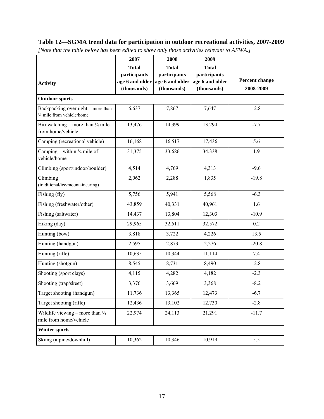# **Table 12—SGMA trend data for participation in outdoor recreational activities, 2007-2009**

|                                                                      | 2007            | 2008            | 2009            |                       |
|----------------------------------------------------------------------|-----------------|-----------------|-----------------|-----------------------|
|                                                                      | <b>Total</b>    | <b>Total</b>    | <b>Total</b>    |                       |
|                                                                      | participants    | participants    | participants    |                       |
| <b>Activity</b>                                                      | age 6 and older | age 6 and older | age 6 and older | <b>Percent change</b> |
|                                                                      | (thousands)     | (thousands)     | (thousands)     | 2008-2009             |
| <b>Outdoor sports</b>                                                |                 |                 |                 |                       |
| Backpacking overnight – more than<br>1/4 mile from vehicle/home      | 6,637           | 7,867           | 7,647           | $-2.8$                |
| Birdwatching – more than $\frac{1}{4}$ mile<br>from home/vehicle     | 13,476          | 14,399          | 13,294          | $-7.7$                |
| Camping (recreational vehicle)                                       | 16,168          | 16,517          | 17,436          | 5.6                   |
| Camping – within $\frac{1}{4}$ mile of<br>vehicle/home               | 31,375          | 33,686          | 34,338          | 1.9                   |
| Climbing (sport/indoor/boulder)                                      | 4,514           | 4,769           | 4,313           | $-9.6$                |
| Climbing<br>(traditional/ice/mountaineering)                         | 2,062           | 2,288           | 1,835           | $-19.8$               |
| Fishing (fly)                                                        | 5,756           | 5,941           | 5,568           | $-6.3$                |
| Fishing (freshwater/other)                                           | 43,859          | 40,331          | 40,961          | 1.6                   |
| Fishing (saltwater)                                                  | 14,437          | 13,804          | 12,303          | $-10.9$               |
| Hiking (day)                                                         | 29,965          | 32,511          | 32,572          | 0.2                   |
| Hunting (bow)                                                        | 3,818           | 3,722           | 4,226           | 13.5                  |
| Hunting (handgun)                                                    | 2,595           | 2,873           | 2,276           | $-20.8$               |
| Hunting (rifle)                                                      | 10,635          | 10,344          | 11,114          | 7.4                   |
| Hunting (shotgun)                                                    | 8,545           | 8,731           | 8,490           | $-2.8$                |
| Shooting (sport clays)                                               | 4,115           | 4,282           | 4,182           | $-2.3$                |
| Shooting (trap/skeet)                                                | 3,376           | 3,669           | 3,368           | $-8.2$                |
| Target shooting (handgun)                                            | 11,736          | 13,365          | 12,473          | $-6.7$                |
| Target shooting (rifle)                                              | 12,436          | 13,102          | 12,730          | $-2.8$                |
| Wildlife viewing – more than $\frac{1}{4}$<br>mile from home/vehicle | 22,974          | 24,113          | 21,291          | $-11.7$               |
| <b>Winter sports</b>                                                 |                 |                 |                 |                       |
| Skiing (alpine/downhill)                                             | 10,362          | 10,346          | 10,919          | 5.5                   |

*[Note that the table below has been edited to show only those activities relevant to AFWA.]*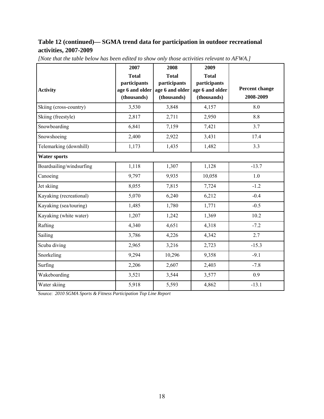# **Table 12 (continued)— SGMA trend data for participation in outdoor recreational activities, 2007-2009**

|                          | 2007                            | 2008                            | 2009                            |                       |
|--------------------------|---------------------------------|---------------------------------|---------------------------------|-----------------------|
|                          | <b>Total</b>                    | <b>Total</b>                    | <b>Total</b>                    |                       |
| <b>Activity</b>          | participants<br>age 6 and older | participants<br>age 6 and older | participants<br>age 6 and older | <b>Percent change</b> |
|                          | (thousands)                     | (thousands)                     | (thousands)                     | 2008-2009             |
| Skiing (cross-country)   | 3,530                           | 3,848                           | 4,157                           | 8.0                   |
| Skiing (freestyle)       | 2,817                           | 2,711                           | 2,950                           | 8.8                   |
| Snowboarding             | 6,841                           | 7,159                           | 7,421                           | 3.7                   |
| Snowshoeing              | 2,400                           | 2,922                           | 3,431                           | 17.4                  |
| Telemarking (downhill)   | 1,173                           | 1,435                           | 1,482                           | 3.3                   |
| <b>Water sports</b>      |                                 |                                 |                                 |                       |
| Boardsailing/windsurfing | 1,118                           | 1,307                           | 1,128                           | $-13.7$               |
| Canoeing                 | 9,797                           | 9,935                           | 10,058                          | 1.0                   |
| Jet skiing               | 8,055                           | 7,815                           | 7,724                           | $-1.2$                |
| Kayaking (recreational)  | 5,070                           | 6,240                           | 6,212                           | $-0.4$                |
| Kayaking (sea/touring)   | 1,485                           | 1,780                           | 1,771                           | $-0.5$                |
| Kayaking (white water)   | 1,207                           | 1,242                           | 1,369                           | 10.2                  |
| Rafting                  | 4,340                           | 4,651                           | 4,318                           | $-7.2$                |
| Sailing                  | 3,786                           | 4,226                           | 4,342                           | 2.7                   |
| Scuba diving             | 2,965                           | 3,216                           | 2,723                           | $-15.3$               |
| Snorkeling               | 9,294                           | 10,296                          | 9,358                           | $-9.1$                |
| Surfing                  | 2,206                           | 2,607                           | 2,403                           | $-7.8$                |
| Wakeboarding             | 3,521                           | 3,544                           | 3,577                           | 0.9                   |
| Water skiing             | 5,918                           | 5,593                           | 4,862                           | $-13.1$               |

*[Note that the table below has been edited to show only those activities relevant to AFWA.]* 

Source: *2010 SGMA Sports & Fitness Participation Top Line Report*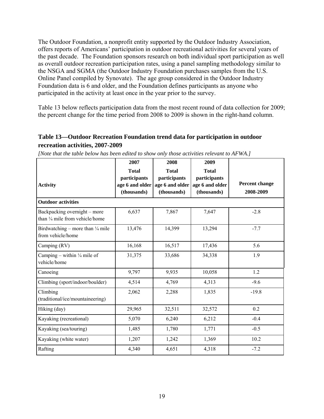The Outdoor Foundation, a nonprofit entity supported by the Outdoor Industry Association, offers reports of Americans' participation in outdoor recreational activities for several years of the past decade. The Foundation sponsors research on both individual sport participation as well as overall outdoor recreation participation rates, using a panel sampling methodology similar to the NSGA and SGMA (the Outdoor Industry Foundation purchases samples from the U.S. Online Panel compiled by Synovate). The age group considered in the Outdoor Industry Foundation data is 6 and older, and the Foundation defines participants as anyone who participated in the activity at least once in the year prior to the survey.

Table 13 below reflects participation data from the most recent round of data collection for 2009; the percent change for the time period from 2008 to 2009 is shown in the right-hand column.

# **Table 13—Outdoor Recreation Foundation trend data for participation in outdoor recreation activities, 2007-2009**

|                                                                 | 2007                                                           | 2008                                                           | 2009                                                           |                             |
|-----------------------------------------------------------------|----------------------------------------------------------------|----------------------------------------------------------------|----------------------------------------------------------------|-----------------------------|
| <b>Activity</b>                                                 | <b>Total</b><br>participants<br>age 6 and older<br>(thousands) | <b>Total</b><br>participants<br>age 6 and older<br>(thousands) | <b>Total</b><br>participants<br>age 6 and older<br>(thousands) | Percent change<br>2008-2009 |
| <b>Outdoor activities</b>                                       |                                                                |                                                                |                                                                |                             |
| Backpacking overnight - more<br>than 1/4 mile from vehicle/home | 6,637                                                          | 7,867                                                          | 7,647                                                          | $-2.8$                      |
| Birdwatching – more than 1/4 mile<br>from vehicle/home          | 13,476                                                         | 14,399                                                         | 13,294                                                         | $-7.7$                      |
| Camping (RV)                                                    | 16,168                                                         | 16,517                                                         | 17,436                                                         | 5.6                         |
| Camping – within $\frac{1}{4}$ mile of<br>vehicle/home          | 31,375                                                         | 33,686                                                         | 34,338                                                         | 1.9                         |
| Canoeing                                                        | 9,797                                                          | 9,935                                                          | 10,058                                                         | 1.2                         |
| Climbing (sport/indoor/boulder)                                 | 4,514                                                          | 4,769                                                          | 4,313                                                          | $-9.6$                      |
| Climbing<br>(traditional/ice/mountaineering)                    | 2,062                                                          | 2,288                                                          | 1,835                                                          | $-19.8$                     |
| Hiking (day)                                                    | 29,965                                                         | 32,511                                                         | 32,572                                                         | 0.2                         |
| Kayaking (recreational)                                         | 5,070                                                          | 6,240                                                          | 6,212                                                          | $-0.4$                      |
| Kayaking (sea/touring)                                          | 1,485                                                          | 1,780                                                          | 1,771                                                          | $-0.5$                      |
| Kayaking (white water)                                          | 1,207                                                          | 1,242                                                          | 1,369                                                          | 10.2                        |
| Rafting                                                         | 4,340                                                          | 4,651                                                          | 4,318                                                          | $-7.2$                      |

*[Note that the table below has been edited to show only those activities relevant to AFWA.]*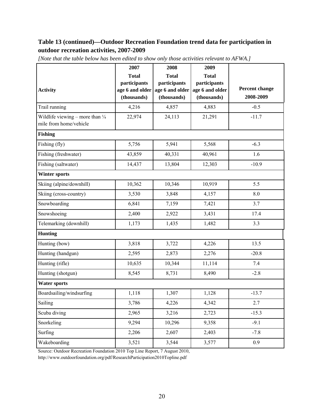# **Table 13 (continued)—Outdoor Recreation Foundation trend data for participation in outdoor recreation activities, 2007-2009**

|                                                                      | 2007                                                           | 2008                                                           | 2009                                                           |                             |
|----------------------------------------------------------------------|----------------------------------------------------------------|----------------------------------------------------------------|----------------------------------------------------------------|-----------------------------|
| <b>Activity</b>                                                      | <b>Total</b><br>participants<br>age 6 and older<br>(thousands) | <b>Total</b><br>participants<br>age 6 and older<br>(thousands) | <b>Total</b><br>participants<br>age 6 and older<br>(thousands) | Percent change<br>2008-2009 |
| Trail running                                                        | 4,216                                                          | 4,857                                                          | 4,883                                                          | $-0.5$                      |
| Wildlife viewing – more than $\frac{1}{4}$<br>mile from home/vehicle | 22,974                                                         | 24,113                                                         | 21,291                                                         | $-11.7$                     |
| <b>Fishing</b>                                                       |                                                                |                                                                |                                                                |                             |
| Fishing (fly)                                                        | 5,756                                                          | 5,941                                                          | 5,568                                                          | $-6.3$                      |
| Fishing (freshwater)                                                 | 43,859                                                         | 40,331                                                         | 40,961                                                         | 1.6                         |
| Fishing (saltwater)                                                  | 14,437                                                         | 13,804                                                         | 12,303                                                         | $-10.9$                     |
| <b>Winter sports</b>                                                 |                                                                |                                                                |                                                                |                             |
| Skiing (alpine/downhill)                                             | 10,362                                                         | 10,346                                                         | 10,919                                                         | 5.5                         |
| Skiing (cross-country)                                               | 3,530                                                          | 3,848                                                          | 4,157                                                          | 8.0                         |
| Snowboarding                                                         | 6,841                                                          | 7,159                                                          | 7,421                                                          | 3.7                         |
| Snowshoeing                                                          | 2,400                                                          | 2,922                                                          | 3,431                                                          | 17.4                        |
| Telemarking (downhill)                                               | 1,173                                                          | 1,435                                                          | 1,482                                                          | 3.3                         |
| <b>Hunting</b>                                                       |                                                                |                                                                |                                                                |                             |
| Hunting (bow)                                                        | 3,818                                                          | 3,722                                                          | 4,226                                                          | 13.5                        |
| Hunting (handgun)                                                    | 2,595                                                          | 2,873                                                          | 2,276                                                          | $-20.8$                     |
| Hunting (rifle)                                                      | 10,635                                                         | 10,344                                                         | 11,114                                                         | 7.4                         |
| Hunting (shotgun)                                                    | 8,545                                                          | 8,731                                                          | 8,490                                                          | $-2.8$                      |
| <b>Water sports</b>                                                  |                                                                |                                                                |                                                                |                             |
| Boardsailing/windsurfing                                             | 1,118                                                          | 1,307                                                          | 1,128                                                          | $-13.7$                     |
| Sailing                                                              | 3,786                                                          | 4,226                                                          | 4,342                                                          | 2.7                         |
| Scuba diving                                                         | 2,965                                                          | 3,216                                                          | 2,723                                                          | $-15.3$                     |
| Snorkeling                                                           | 9,294                                                          | 10,296                                                         | 9,358                                                          | $-9.1$                      |
| Surfing                                                              | 2,206                                                          | 2,607                                                          | 2,403                                                          | $-7.8$                      |
| Wakeboarding                                                         | 3,521                                                          | 3,544                                                          | 3,577                                                          | 0.9                         |

*[Note that the table below has been edited to show only those activities relevant to AFWA.]* 

Source: Outdoor Recreation Foundation 2010 Top Line Report, 7 August 2010,

http://www.outdoorfoundation.org/pdf/ResearchParticipation2010Topline.pdf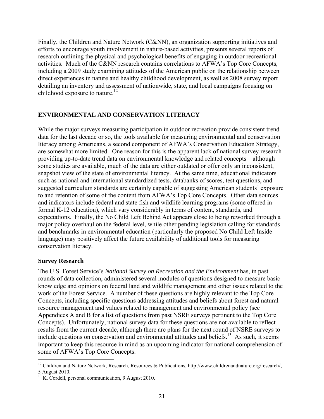Finally, the Children and Nature Network (C&NN), an organization supporting initiatives and efforts to encourage youth involvement in nature-based activities, presents several reports of research outlining the physical and psychological benefits of engaging in outdoor recreational activities. Much of the C&NN research contains correlations to AFWA's Top Core Concepts, including a 2009 study examining attitudes of the American public on the relationship between direct experiences in nature and healthy childhood development, as well as 2008 survey report detailing an inventory and assessment of nationwide, state, and local campaigns focusing on childhood exposure to nature.<sup>12</sup>

#### **ENVIRONMENTAL AND CONSERVATION LITERACY**

While the major surveys measuring participation in outdoor recreation provide consistent trend data for the last decade or so, the tools available for measuring environmental and conservation literacy among Americans, a second component of AFWA's Conservation Education Strategy, are somewhat more limited. One reason for this is the apparent lack of national survey research providing up-to-date trend data on environmental knowledge and related concepts—although some studies are available, much of the data are either outdated or offer only an inconsistent, snapshot view of the state of environmental literacy. At the same time, educational indicators such as national and international standardized tests, databanks of scores, test questions, and suggested curriculum standards are certainly capable of suggesting American students' exposure to and retention of some of the content from AFWA's Top Core Concepts. Other data sources and indicators include federal and state fish and wildlife learning programs (some offered in formal K-12 education), which vary considerably in terms of content, standards, and expectations. Finally, the No Child Left Behind Act appears close to being reworked through a major policy overhaul on the federal level, while other pending legislation calling for standards and benchmarks in environmental education (particularly the proposed No Child Left Inside language) may positively affect the future availability of additional tools for measuring conservation literacy.

#### **Survey Research**

 $\overline{a}$ 

The U.S. Forest Service's *National Survey on Recreation and the Environment* has, in past rounds of data collection, administered several modules of questions designed to measure basic knowledge and opinions on federal land and wildlife management and other issues related to the work of the Forest Service. A number of these questions are highly relevant to the Top Core Concepts, including specific questions addressing attitudes and beliefs about forest and natural resource management and values related to management and environmental policy (see Appendices A and B for a list of questions from past NSRE surveys pertinent to the Top Core Concepts). Unfortunately, national survey data for these questions are not available to reflect results from the current decade, although there are plans for the next round of NSRE surveys to include questions on conservation and environmental attitudes and beliefs.<sup>13</sup> As such, it seems important to keep this resource in mind as an upcoming indicator for national comprehension of some of AFWA's Top Core Concepts.

<sup>&</sup>lt;sup>12</sup> Children and Nature Network, Research, Resources & Publications, http://www.childrenandnature.org/research/, 5 August 2010.

<sup>&</sup>lt;sup>13</sup> K. Cordell, personal communication, 9 August 2010.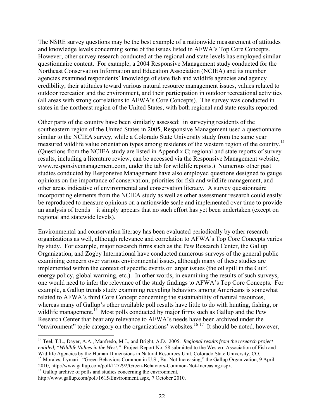The NSRE survey questions may be the best example of a nationwide measurement of attitudes and knowledge levels concerning some of the issues listed in AFWA's Top Core Concepts. However, other survey research conducted at the regional and state levels has employed similar questionnaire content. For example, a 2004 Responsive Management study conducted for the Northeast Conservation Information and Education Association (NCIEA) and its member agencies examined respondents' knowledge of state fish and wildlife agencies and agency credibility, their attitudes toward various natural resource management issues, values related to outdoor recreation and the environment, and their participation in outdoor recreational activities (all areas with strong correlations to AFWA's Core Concepts). The survey was conducted in states in the northeast region of the United States, with both regional and state results reported.

Other parts of the country have been similarly assessed: in surveying residents of the southeastern region of the United States in 2005, Responsive Management used a questionnaire similar to the NCIEA survey, while a Colorado State University study from the same year measured wildlife value orientation types among residents of the western region of the country.14 (Questions from the NCIEA study are listed in Appendix C; regional and state reports of survey results, including a literature review, can be accessed via the Responsive Management website, www.responsivemanagement.com, under the tab for wildlife reports.) Numerous other past studies conducted by Responsive Management have also employed questions designed to gauge opinions on the importance of conservation, priorities for fish and wildlife management, and other areas indicative of environmental and conservation literacy. A survey questionnaire incorporating elements from the NCIEA study as well as other assessment research could easily be reproduced to measure opinions on a nationwide scale and implemented over time to provide an analysis of trends—it simply appears that no such effort has yet been undertaken (except on regional and statewide levels).

Environmental and conservation literacy has been evaluated periodically by other research organizations as well, although relevance and correlation to AFWA's Top Core Concepts varies by study. For example, major research firms such as the Pew Research Center, the Gallup Organization, and Zogby International have conducted numerous surveys of the general public examining concern over various environmental issues, although many of these studies are implemented within the context of specific events or larger issues (the oil spill in the Gulf, energy policy, global warming, etc.). In other words, in examining the results of such surveys, one would need to infer the relevance of the study findings to AFWA's Top Core Concepts. For example, a Gallup trends study examining recycling behaviors among Americans is somewhat related to AFWA's third Core Concept concerning the sustainability of natural resources, whereas many of Gallup's other available poll results have little to do with hunting, fishing, or wildlife management.<sup>15</sup> Most polls conducted by major firms such as Gallup and the Pew Research Center that bear any relevance to AFWA's needs have been archived under the "environment" topic category on the organizations' websites.<sup>16 17</sup> It should be noted, however,

<sup>&</sup>lt;u>.</u> 14 Teel, T.L., Dayer, A.A., Manfredo, M.J., and Bright, A.D. 2005. *Regional results from the research project entitled, "Wildlife Values in the West."* Project Report No. 58 submitted to the Western Association of Fish and Widllife Agencies by the Human Dimensions in Natural Resources Unit, Colorado State University, CO.<br><sup>15</sup> Morales, Lymari. "Green Behaviors Common in U.S., But Not Increasing," the Gallup Organization, 9 April

<sup>2010,</sup> http://www.gallup.com/poll/127292/Green-Behaviors-Common-Not-Increasing.aspx.

<sup>&</sup>lt;sup>16</sup> Gallup archive of polls and studies concerning the environment,

http://www.gallup.com/poll/1615/Environment.aspx, 7 October 2010.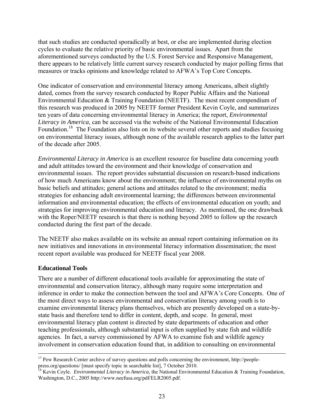that such studies are conducted sporadically at best, or else are implemented during election cycles to evaluate the relative priority of basic environmental issues. Apart from the aforementioned surveys conducted by the U.S. Forest Service and Responsive Management, there appears to be relatively little current survey research conducted by major polling firms that measures or tracks opinions and knowledge related to AFWA's Top Core Concepts.

One indicator of conservation and environmental literacy among Americans, albeit slightly dated, comes from the survey research conducted by Roper Public Affairs and the National Environmental Education & Training Foundation (NEETF). The most recent compendium of this research was produced in 2005 by NEETF former President Kevin Coyle, and summarizes ten years of data concerning environmental literacy in America; the report, *Environmental Literacy in America*, can be accessed via the website of the National Environmental Education Foundation.<sup>18</sup> The Foundation also lists on its website several other reports and studies focusing on environmental literacy issues, although none of the available research applies to the latter part of the decade after 2005.

*Environmental Literacy in America* is an excellent resource for baseline data concerning youth and adult attitudes toward the environment and their knowledge of conservation and environmental issues. The report provides substantial discussion on research-based indications of how much Americans know about the environment; the influence of environmental myths on basic beliefs and attitudes; general actions and attitudes related to the environment; media strategies for enhancing adult environmental learning; the differences between environmental information and environmental education; the effects of environmental education on youth; and strategies for improving environmental education and literacy. As mentioned, the one drawback with the Roper/NEETF research is that there is nothing beyond 2005 to follow up the research conducted during the first part of the decade.

The NEETF also makes available on its website an annual report containing information on its new initiatives and innovations in environmental literacy information dissemination; the most recent report available was produced for NEETF fiscal year 2008.

#### **Educational Tools**

There are a number of different educational tools available for approximating the state of environmental and conservation literacy, although many require some interpretation and inference in order to make the connection between the tool and AFWA's Core Concepts. One of the most direct ways to assess environmental and conservation literacy among youth is to examine environmental literacy plans themselves, which are presently developed on a state-bystate basis and therefore tend to differ in content, depth, and scope. In general, most environmental literacy plan content is directed by state departments of education and other teaching professionals, although substantial input is often supplied by state fish and wildlife agencies. In fact, a survey commissioned by AFWA to examine fish and wildlife agency involvement in conservation education found that, in addition to consulting on environmental

<sup>&</sup>lt;sup>17</sup> Pew Research Center archive of survey questions and polls concerning the environment, http://peoplepress.org/questions/ [must specify topic in searchable list], 7 October 2010.

<sup>&</sup>lt;sup>18</sup> Kevin Coyle. *Environmental Literacy in America*, the National Environmental Education & Training Foundation, Washington, D.C., 2005 http://www.neefusa.org/pdf/ELR2005.pdf.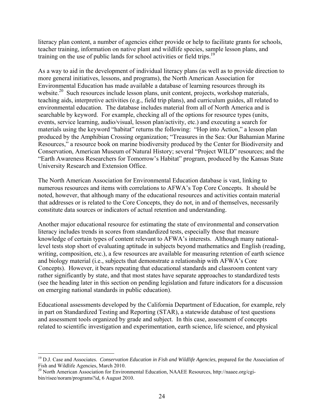literacy plan content, a number of agencies either provide or help to facilitate grants for schools, teacher training, information on native plant and wildlife species, sample lesson plans, and training on the use of public lands for school activities or field trips.<sup>19</sup>

As a way to aid in the development of individual literacy plans (as well as to provide direction to more general initiatives, lessons, and programs), the North American Association for Environmental Education has made available a database of learning resources through its website.<sup>20</sup> Such resources include lesson plans, unit content, projects, workshop materials, teaching aids, interpretive activities (e.g., field trip plans), and curriculum guides, all related to environmental education. The database includes material from all of North America and is searchable by keyword. For example, checking all of the options for resource types (units, events, service learning, audio/visual, lesson plan/activity, etc.) and executing a search for materials using the keyword "habitat" returns the following: "Hop into Action," a lesson plan produced by the Amphibian Crossing organization; "Treasures in the Sea: Our Bahamian Marine Resources," a resource book on marine biodiversity produced by the Center for Biodiversity and Conservation, American Museum of Natural History; several "Project WILD" resources; and the "Earth Awareness Researchers for Tomorrow's Habitat" program, produced by the Kansas State University Research and Extension Office.

The North American Association for Environmental Education database is vast, linking to numerous resources and items with correlations to AFWA's Top Core Concepts. It should be noted, however, that although many of the educational resources and activities contain material that addresses or is related to the Core Concepts, they do not, in and of themselves, necessarily constitute data sources or indicators of actual retention and understanding.

Another major educational resource for estimating the state of environmental and conservation literacy includes trends in scores from standardized tests, especially those that measure knowledge of certain types of content relevant to AFWA's interests. Although many nationallevel tests stop short of evaluating aptitude in subjects beyond mathematics and English (reading, writing, composition, etc.), a few resources are available for measuring retention of earth science and biology material (i.e., subjects that demonstrate a relationship with AFWA's Core Concepts). However, it bears repeating that educational standards and classroom content vary rather significantly by state, and that most states have separate approaches to standardized tests (see the heading later in this section on pending legislation and future indicators for a discussion on emerging national standards in public education).

Educational assessments developed by the California Department of Education, for example, rely in part on Standardized Testing and Reporting (STAR), a statewide database of test questions and assessment tools organized by grade and subject. In this case, assessment of concepts related to scientific investigation and experimentation, earth science, life science, and physical

<u>.</u>

<sup>19</sup> D.J. Case and Associates. *Conservation Education in Fish and Wildlife Agencies*, prepared for the Association of Fish and Wildlife Agencies, March 2010.

<sup>&</sup>lt;sup>20</sup> North American Association for Environmental Education, NAAEE Resources, http://naaee.org/cgibin/risee/noram/programs?id, 6 August 2010.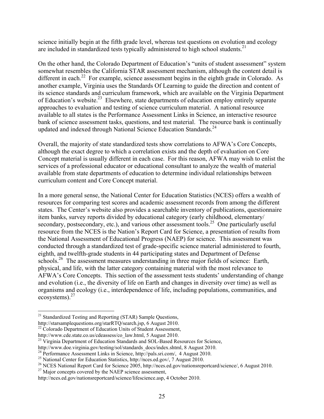science initially begin at the fifth grade level, whereas test questions on evolution and ecology are included in standardized tests typically administered to high school students.<sup>21</sup>

On the other hand, the Colorado Department of Education's "units of student assessment" system somewhat resembles the California STAR assessment mechanism, although the content detail is different in each.<sup>22</sup> For example, science assessment begins in the eighth grade in Colorado. As another example, Virginia uses the Standards Of Learning to guide the direction and content of its science standards and curriculum framework, which are available on the Virginia Department of Education's website.<sup>23</sup> Elsewhere, state departments of education employ entirely separate approaches to evaluation and testing of science curriculum material. A national resource available to all states is the Performance Assessment Links in Science, an interactive resource bank of science assessment tasks, questions, and test material. The resource bank is continually updated and indexed through National Science Education Standards.<sup>24</sup>

Overall, the majority of state standardized tests show correlations to AFWA's Core Concepts, although the exact degree to which a correlation exists and the depth of evaluation on Core Concept material is usually different in each case. For this reason, AFWA may wish to enlist the services of a professional educator or educational consultant to analyze the wealth of material available from state departments of education to determine individual relationships between curriculum content and Core Concept material.

In a more general sense, the National Center for Education Statistics (NCES) offers a wealth of resources for comparing test scores and academic assessment records from among the different states. The Center's website also provides a searchable inventory of publications, questionnaire item banks, survey reports divided by educational category (early childhood, elementary/ secondary, postsecondary, etc.), and various other assessment tools.<sup>25</sup> One particularly useful resource from the NCES is the Nation's Report Card for Science, a presentation of results from the National Assessment of Educational Progress (NAEP) for science. This assessment was conducted through a standardized test of grade-specific science material administered to fourth, eighth, and twelfth-grade students in 44 participating states and Department of Defense schools.<sup>26</sup> The assessment measures understanding in three major fields of science: Earth, physical, and life, with the latter category containing material with the most relevance to AFWA's Core Concepts. This section of the assessment tests students' understanding of change and evolution (i.e., the diversity of life on Earth and changes in diversity over time) as well as organisms and ecology (i.e., interdependence of life, including populations, communities, and ecosystems).27

 $\overline{a}$ 

<sup>&</sup>lt;sup>21</sup> Standardized Testing and Reporting (STAR) Sample Questions,

http://starsamplequestions.org/starRTQ/search.jsp, 6 August 2010.

<sup>&</sup>lt;sup>22</sup> Colorado Department of Education Units of Student Assessment,

http://www.cde.state.co.us/cdeassess/co\_law.html, 5 August 2010.

<sup>&</sup>lt;sup>23</sup> Virginia Department of Education Standards and SOL-Based Resources for Science, http://www.doe.virginia.gov/testing/sol/standards docs/index.shtml, 8 August 2010.

<sup>&</sup>lt;sup>24</sup> Performance Assessment Links in Science, http://pals.sri.com/, 4 August 2010.

<sup>25</sup> National Center for Education Statistics, http://nces.ed.gov/, 7 August 2010.

<sup>&</sup>lt;sup>26</sup> NCES National Report Card for Science 2005, http://nces.ed.gov/nationsreportcard/science/, 6 August 2010.<br><sup>27</sup> Major concepts covered by the NAEP science assessment,

http://nces.ed.gov/nationsreportcard/science/lifescience.asp, 4 October 2010.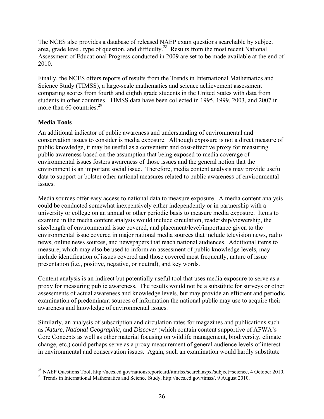The NCES also provides a database of released NAEP exam questions searchable by subject area, grade level, type of question, and difficulty.<sup>28</sup> Results from the most recent National Assessment of Educational Progress conducted in 2009 are set to be made available at the end of 2010.

Finally, the NCES offers reports of results from the Trends in International Mathematics and Science Study (TIMSS), a large-scale mathematics and science achievement assessment comparing scores from fourth and eighth grade students in the United States with data from students in other countries. TIMSS data have been collected in 1995, 1999, 2003, and 2007 in more than 60 countries. $^{29}$ 

# **Media Tools**

An additional indicator of public awareness and understanding of environmental and conservation issues to consider is media exposure. Although exposure is not a direct measure of public knowledge, it may be useful as a convenient and cost-effective proxy for measuring public awareness based on the assumption that being exposed to media coverage of environmental issues fosters awareness of those issues and the general notion that the environment is an important social issue. Therefore, media content analysis may provide useful data to support or bolster other national measures related to public awareness of environmental issues.

Media sources offer easy access to national data to measure exposure. A media content analysis could be conducted somewhat inexpensively either independently or in partnership with a university or college on an annual or other periodic basis to measure media exposure. Items to examine in the media content analysis would include circulation, readership/viewership, the size/length of environmental issue covered, and placement/level/importance given to the environmental issue covered in major national media sources that include television news, radio news, online news sources, and newspapers that reach national audiences. Additional items to measure, which may also be used to inform an assessment of public knowledge levels, may include identification of issues covered and those covered most frequently, nature of issue presentation (i.e., positive, negative, or neutral), and key words.

Content analysis is an indirect but potentially useful tool that uses media exposure to serve as a proxy for measuring public awareness. The results would not be a substitute for surveys or other assessments of actual awareness and knowledge levels, but may provide an efficient and periodic examination of predominant sources of information the national public may use to acquire their awareness and knowledge of environmental issues.

Similarly, an analysis of subscription and circulation rates for magazines and publications such as *Nature*, *National Geographic*, and *Discover* (which contain content supportive of AFWA's Core Concepts as well as other material focusing on wildlife management, biodiversity, climate change, etc.) could perhaps serve as a proxy measurement of general audience levels of interest in environmental and conservation issues. Again, such an examination would hardly substitute

 $\overline{a}$ <sup>28</sup> NAEP Questions Tool, http://nces.ed.gov/nationsreportcard/itmrlsx/search.aspx?subject=science, 4 October 2010.

<sup>&</sup>lt;sup>29</sup> Trends in International Mathematics and Science Study, http://nces.ed.gov/timss/, 9 August 2010.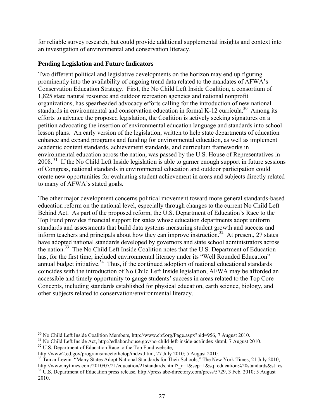for reliable survey research, but could provide additional supplemental insights and context into an investigation of environmental and conservation literacy.

### **Pending Legislation and Future Indicators**

Two different political and legislative developments on the horizon may end up figuring prominently into the availability of ongoing trend data related to the mandates of AFWA's Conservation Education Strategy. First, the No Child Left Inside Coalition, a consortium of 1,825 state natural resource and outdoor recreation agencies and national nonprofit organizations, has spearheaded advocacy efforts calling for the introduction of new national standards in environmental and conservation education in formal K-12 curricula.<sup>30</sup> Among its efforts to advance the proposed legislation, the Coalition is actively seeking signatures on a petition advocating the insertion of environmental education language and standards into school lesson plans. An early version of the legislation, written to help state departments of education enhance and expand programs and funding for environmental education, as well as implement academic content standards, achievement standards, and curriculum frameworks in environmental education across the nation, was passed by the U.S. House of Representatives in 2008.<sup>31</sup> If the No Child Left Inside legislation is able to garner enough support in future sessions of Congress, national standards in environmental education and outdoor participation could create new opportunities for evaluating student achievement in areas and subjects directly related to many of AFWA's stated goals.

The other major development concerns political movement toward more general standards-based education reform on the national level, especially through changes to the current No Child Left Behind Act. As part of the proposed reform, the U.S. Department of Education's Race to the Top Fund provides financial support for states whose education departments adopt uniform standards and assessments that build data systems measuring student growth and success and inform teachers and principals about how they can improve instruction.<sup>32</sup> At present, 27 states have adopted national standards developed by governors and state school administrators across the nation.<sup>33</sup> The No Child Left Inside Coalition notes that the U.S. Department of Education has, for the first time, included environmental literacy under its "Well Rounded Education" annual budget initiative.<sup>34</sup> Thus, if the continued adoption of national educational standards coincides with the introduction of No Child Left Inside legislation, AFWA may be afforded an accessible and timely opportunity to gauge students' success in areas related to the Top Core Concepts, including standards established for physical education, earth science, biology, and other subjects related to conservation/environmental literacy.

<sup>&</sup>lt;sup>30</sup> No Child Left Inside Coalition Members, http://www.cbf.org/Page.aspx?pid=956, 7 August 2010.

<sup>&</sup>lt;sup>31</sup> No Child Left Inside Act, http://edlabor.house.gov/no-child-left-inside-act/index.shtml, 7 August 2010.<br><sup>32</sup> U.S. Department of Education Race to the Top Fund website,<br>http://www2.ed.gov/programs/racetothetop/index.ht

<sup>&</sup>lt;sup>33</sup> Tamar Lewin. "Many States Adopt National Standards for Their Schools," The New York Times, 21 July 2010, http://www.nytimes.com/2010/07/21/education/21standards.html?  $r=1$ &scp=1&sq=education%20standards&st=cs.

<sup>&</sup>lt;sup>34</sup> U.S. Department of Education press release, http://press.abc-directory.com/press/5729, 3 Feb. 2010; 5 August 2010.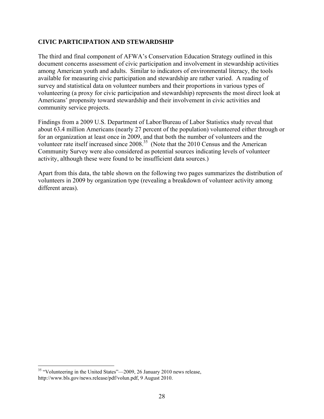#### **CIVIC PARTICIPATION AND STEWARDSHIP**

The third and final component of AFWA's Conservation Education Strategy outlined in this document concerns assessment of civic participation and involvement in stewardship activities among American youth and adults. Similar to indicators of environmental literacy, the tools available for measuring civic participation and stewardship are rather varied. A reading of survey and statistical data on volunteer numbers and their proportions in various types of volunteering (a proxy for civic participation and stewardship) represents the most direct look at Americans' propensity toward stewardship and their involvement in civic activities and community service projects.

Findings from a 2009 U.S. Department of Labor/Bureau of Labor Statistics study reveal that about 63.4 million Americans (nearly 27 percent of the population) volunteered either through or for an organization at least once in 2009, and that both the number of volunteers and the volunteer rate itself increased since  $2008<sup>35</sup>$  (Note that the 2010 Census and the American Community Survey were also considered as potential sources indicating levels of volunteer activity, although these were found to be insufficient data sources.)

Apart from this data, the table shown on the following two pages summarizes the distribution of volunteers in 2009 by organization type (revealing a breakdown of volunteer activity among different areas).

 $\overline{a}$ 

 $35$  "Volunteering in the United States"—2009, 26 January 2010 news release, http://www.bls.gov/news.release/pdf/volun.pdf, 9 August 2010.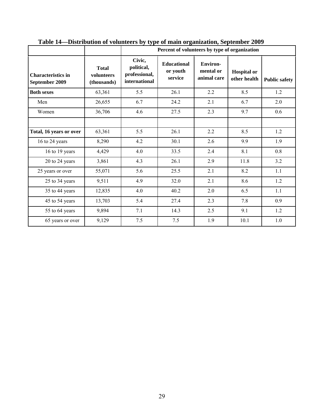|                                             |                                           |                                                                                                     | Percent of volunteers by type of organization |                                             |                                    |                      |  |  |  |
|---------------------------------------------|-------------------------------------------|-----------------------------------------------------------------------------------------------------|-----------------------------------------------|---------------------------------------------|------------------------------------|----------------------|--|--|--|
| <b>Characteristics in</b><br>September 2009 | <b>Total</b><br>volunteers<br>(thousands) | Civic,<br><b>Educational</b><br>political,<br>or youth<br>professional,<br>service<br>international |                                               | <b>Environ-</b><br>mental or<br>animal care | <b>Hospital</b> or<br>other health | <b>Public safety</b> |  |  |  |
| <b>Both sexes</b>                           | 63,361                                    | 5.5                                                                                                 | 26.1                                          | 2.2                                         | 8.5                                | 1.2                  |  |  |  |
| Men                                         | 26,655                                    | 6.7                                                                                                 | 24.2                                          | 2.1                                         | 6.7                                | 2.0                  |  |  |  |
| Women                                       | 36,706                                    | 4.6                                                                                                 | 27.5                                          | 2.3                                         | 9.7                                | 0.6                  |  |  |  |
|                                             |                                           |                                                                                                     |                                               |                                             |                                    |                      |  |  |  |
| Total, 16 years or over                     | 63,361                                    | 5.5                                                                                                 | 26.1                                          | 2.2                                         | 8.5                                | 1.2                  |  |  |  |
| 16 to 24 years                              | 8,290                                     | 4.2                                                                                                 | 30.1                                          | 2.6                                         | 9.9                                | 1.9                  |  |  |  |
| 16 to 19 years                              | 4,429                                     | 4.0                                                                                                 | 33.5                                          | 2.4                                         | 8.1                                | 0.8                  |  |  |  |
| 20 to 24 years                              | 3,861                                     | 4.3                                                                                                 | 26.1                                          | 2.9                                         | 11.8                               | 3.2                  |  |  |  |
| 25 years or over                            | 55,071                                    | 5.6                                                                                                 | 25.5                                          | 2.1                                         | 8.2                                | 1.1                  |  |  |  |
| 25 to 34 years                              | 9,511                                     | 4.9                                                                                                 | 32.0                                          | 2.1                                         | 8.6                                | 1.2                  |  |  |  |
| 35 to 44 years                              | 12,835                                    | 4.0                                                                                                 | 40.2                                          | 2.0                                         | 6.5                                | 1.1                  |  |  |  |
| 45 to 54 years                              | 13,703                                    | 5.4                                                                                                 | 27.4                                          | 2.3                                         | 7.8                                | 0.9                  |  |  |  |
| 55 to 64 years                              | 9,894                                     | 7.1                                                                                                 | 14.3                                          | 2.5                                         | 9.1                                | 1.2                  |  |  |  |
| 65 years or over                            | 9,129                                     | 7.5                                                                                                 | 7.5                                           | 1.9                                         | 10.1                               | $1.0\,$              |  |  |  |

**Table 14—Distribution of volunteers by type of main organization, September 2009**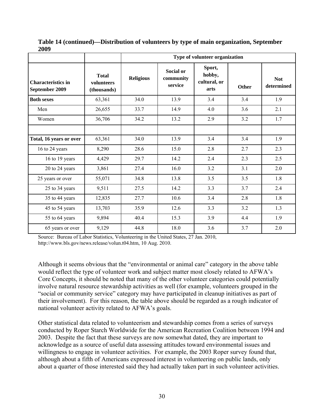| 200z                                                                                     |        | Type of volunteer organization |                                          |                                          |              |                          |  |  |  |
|------------------------------------------------------------------------------------------|--------|--------------------------------|------------------------------------------|------------------------------------------|--------------|--------------------------|--|--|--|
| <b>Total</b><br><b>Characteristics in</b><br>volunteers<br>September 2009<br>(thousands) |        | <b>Religious</b>               | <b>Social or</b><br>community<br>service | Sport,<br>hobby,<br>cultural, or<br>arts | <b>Other</b> | <b>Not</b><br>determined |  |  |  |
| <b>Both sexes</b>                                                                        | 63,361 | 34.0                           | 13.9                                     | 3.4                                      | 3.4          | 1.9                      |  |  |  |
| Men                                                                                      | 26,655 | 33.7                           | 14.9                                     | 4.0                                      | 3.6          | 2.1                      |  |  |  |
| Women                                                                                    | 36,706 | 34.2                           | 13.2                                     | 2.9                                      | 3.2          | 1.7                      |  |  |  |
|                                                                                          |        |                                |                                          |                                          |              |                          |  |  |  |
| Total, 16 years or over                                                                  | 63,361 | 34.0                           | 13.9                                     | 3.4                                      | 3.4          | 1.9                      |  |  |  |
| 16 to 24 years                                                                           | 8,290  | 28.6                           | 15.0                                     | 2.8                                      | 2.7          | 2.3                      |  |  |  |
| 16 to 19 years                                                                           | 4,429  | 29.7                           | 14.2                                     | 2.4                                      | 2.3          | 2.5                      |  |  |  |
| 20 to 24 years                                                                           | 3,861  | 27.4                           | 16.0                                     | 3.2                                      | 3.1          | 2.0                      |  |  |  |
| 25 years or over                                                                         | 55,071 | 34.8                           | 13.8                                     | 3.5                                      | 3.5          | 1.8                      |  |  |  |
| 25 to 34 years                                                                           | 9,511  | 27.5                           | 14.2                                     | 3.3                                      | 3.7          | 2.4                      |  |  |  |
| 35 to 44 years                                                                           | 12,835 | 27.7                           | 10.6                                     | 3.4                                      | 2.8          | 1.8                      |  |  |  |
| 45 to 54 years                                                                           | 13,703 | 35.9                           | 12.6                                     | 3.3                                      | 3.2          | 1.3                      |  |  |  |
| 55 to 64 years                                                                           | 9,894  | 40.4                           | 15.3                                     | 3.9                                      | 4.4          | 1.9                      |  |  |  |
| 65 years or over                                                                         | 9,129  | 44.8                           | 18.0                                     | 3.6                                      | 3.7          | 2.0                      |  |  |  |

**Table 14 (continued)—Distribution of volunteers by type of main organization, September 2009** 

Source: Bureau of Labor Statistics, Volunteering in the United States, 27 Jan. 2010, http://www.bls.gov/news.release/volun.t04.htm, 10 Aug. 2010.

Although it seems obvious that the "environmental or animal care" category in the above table would reflect the type of volunteer work and subject matter most closely related to AFWA's Core Concepts, it should be noted that many of the other volunteer categories could potentially involve natural resource stewardship activities as well (for example, volunteers grouped in the "social or community service" category may have participated in cleanup initiatives as part of their involvement). For this reason, the table above should be regarded as a rough indicator of national volunteer activity related to AFWA's goals.

Other statistical data related to volunteerism and stewardship comes from a series of surveys conducted by Roper Starch Worldwide for the American Recreation Coalition between 1994 and 2003. Despite the fact that these surveys are now somewhat dated, they are important to acknowledge as a source of useful data assessing attitudes toward environmental issues and willingness to engage in volunteer activities. For example, the 2003 Roper survey found that, although about a fifth of Americans expressed interest in volunteering on public lands, only about a quarter of those interested said they had actually taken part in such volunteer activities.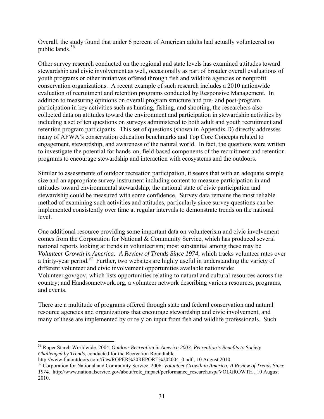Overall, the study found that under 6 percent of American adults had actually volunteered on public lands.36

Other survey research conducted on the regional and state levels has examined attitudes toward stewardship and civic involvement as well, occasionally as part of broader overall evaluations of youth programs or other initiatives offered through fish and wildlife agencies or nonprofit conservation organizations. A recent example of such research includes a 2010 nationwide evaluation of recruitment and retention programs conducted by Responsive Management. In addition to measuring opinions on overall program structure and pre- and post-program participation in key activities such as hunting, fishing, and shooting, the researchers also collected data on attitudes toward the environment and participation in stewardship activities by including a set of ten questions on surveys administered to both adult and youth recruitment and retention program participants. This set of questions (shown in Appendix D) directly addresses many of AFWA's conservation education benchmarks and Top Core Concepts related to engagement, stewardship, and awareness of the natural world. In fact, the questions were written to investigate the potential for hands-on, field-based components of the recruitment and retention programs to encourage stewardship and interaction with ecosystems and the outdoors.

Similar to assessments of outdoor recreation participation, it seems that with an adequate sample size and an appropriate survey instrument including content to measure participation in and attitudes toward environmental stewardship, the national state of civic participation and stewardship could be measured with some confidence. Survey data remains the most reliable method of examining such activities and attitudes, particularly since survey questions can be implemented consistently over time at regular intervals to demonstrate trends on the national level.

One additional resource providing some important data on volunteerism and civic involvement comes from the Corporation for National & Community Service, which has produced several national reports looking at trends in volunteerism; most substantial among these may be *Volunteer Growth in America: A Review of Trends Since 1974*, which tracks volunteer rates over a thirty-year period.<sup>37</sup> Further, two websites are highly useful in understanding the variety of different volunteer and civic involvement opportunities available nationwide: Volunteer.gov/gov, which lists opportunities relating to natural and cultural resources across the country; and Handsonnetwork.org, a volunteer network describing various resources, programs, and events.

There are a multitude of programs offered through state and federal conservation and natural resource agencies and organizations that encourage stewardship and civic involvement, and many of these are implemented by or rely on input from fish and wildlife professionals. Such

 $\overline{a}$ 

<sup>36</sup> Roper Starch Worldwide. 2004. *Outdoor Recreation in America 2003: Recreation's Benefits to Society Challenged by Trends*, conducted for the Recreation Roundtable.

http://www.funoutdoors.com/files/ROPER%20REPORT%202004\_0.pdf , 10 August 2010. 37 Corporation for National and Community Service. 2006. *Volunteer Growth in America: A Review of Trends Since 1974.* http://www.nationalservice.gov/about/role\_impact/performance\_research.asp#VOLGROWTH , 10 August 2010.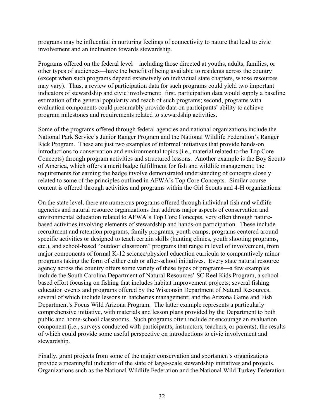programs may be influential in nurturing feelings of connectivity to nature that lead to civic involvement and an inclination towards stewardship.

Programs offered on the federal level—including those directed at youths, adults, families, or other types of audiences—have the benefit of being available to residents across the country (except when such programs depend extensively on individual state chapters, whose resources may vary). Thus, a review of participation data for such programs could yield two important indicators of stewardship and civic involvement: first, participation data would supply a baseline estimation of the general popularity and reach of such programs; second, programs with evaluation components could presumably provide data on participants' ability to achieve program milestones and requirements related to stewardship activities.

Some of the programs offered through federal agencies and national organizations include the National Park Service's Junior Ranger Program and the National Wildlife Federation's Ranger Rick Program. These are just two examples of informal initiatives that provide hands-on introductions to conservation and environmental topics (i.e., material related to the Top Core Concepts) through program activities and structured lessons. Another example is the Boy Scouts of America, which offers a merit badge fulfillment for fish and wildlife management; the requirements for earning the badge involve demonstrated understanding of concepts closely related to some of the principles outlined in AFWA's Top Core Concepts. Similar course content is offered through activities and programs within the Girl Scouts and 4-H organizations.

On the state level, there are numerous programs offered through individual fish and wildlife agencies and natural resource organizations that address major aspects of conservation and environmental education related to AFWA's Top Core Concepts, very often through naturebased activities involving elements of stewardship and hands-on participation. These include recruitment and retention programs, family programs, youth camps, programs centered around specific activities or designed to teach certain skills (hunting clinics, youth shooting programs, etc.), and school-based "outdoor classroom" programs that range in level of involvement, from major components of formal K-12 science/physical education curricula to comparatively minor programs taking the form of either club or after-school initiatives. Every state natural resource agency across the country offers some variety of these types of programs—a few examples include the South Carolina Department of Natural Resources' SC Reel Kids Program, a schoolbased effort focusing on fishing that includes habitat improvement projects; several fishing education events and programs offered by the Wisconsin Department of Natural Resources, several of which include lessons in hatcheries management; and the Arizona Game and Fish Department's Focus Wild Arizona Program. The latter example represents a particularly comprehensive initiative, with materials and lesson plans provided by the Department to both public and home-school classrooms. Such programs often include or encourage an evaluation component (i.e., surveys conducted with participants, instructors, teachers, or parents), the results of which could provide some useful perspective on introductions to civic involvement and stewardship.

Finally, grant projects from some of the major conservation and sportsmen's organizations provide a meaningful indicator of the state of large-scale stewardship initiatives and projects. Organizations such as the National Wildlife Federation and the National Wild Turkey Federation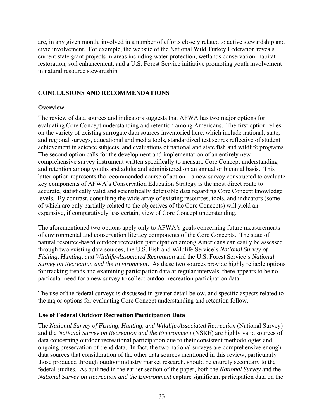are, in any given month, involved in a number of efforts closely related to active stewardship and civic involvement. For example, the website of the National Wild Turkey Federation reveals current state grant projects in areas including water protection, wetlands conservation, habitat restoration, soil enhancement, and a U.S. Forest Service initiative promoting youth involvement in natural resource stewardship.

# **CONCLUSIONS AND RECOMMENDATIONS**

# **Overview**

The review of data sources and indicators suggests that AFWA has two major options for evaluating Core Concept understanding and retention among Americans. The first option relies on the variety of existing surrogate data sources inventoried here, which include national, state, and regional surveys, educational and media tools, standardized test scores reflective of student achievement in science subjects, and evaluations of national and state fish and wildlife programs. The second option calls for the development and implementation of an entirely new comprehensive survey instrument written specifically to measure Core Concept understanding and retention among youths and adults and administered on an annual or biennial basis. This latter option represents the recommended course of action—a new survey constructed to evaluate key components of AFWA's Conservation Education Strategy is the most direct route to accurate, statistically valid and scientifically defensible data regarding Core Concept knowledge levels. By contrast, consulting the wide array of existing resources, tools, and indicators (some of which are only partially related to the objectives of the Core Concepts) will yield an expansive, if comparatively less certain, view of Core Concept understanding.

The aforementioned two options apply only to AFWA's goals concerning future measurements of environmental and conservation literacy components of the Core Concepts. The state of natural resource-based outdoor recreation participation among Americans can easily be assessed through two existing data sources, the U.S. Fish and Wildlife Service's *National Survey of Fishing, Hunting, and Wildlife-Associated Recreation* and the U.S. Forest Service's *National Survey on Recreation and the Environment*. As these two sources provide highly reliable options for tracking trends and examining participation data at regular intervals, there appears to be no particular need for a new survey to collect outdoor recreation participation data.

The use of the federal surveys is discussed in greater detail below, and specific aspects related to the major options for evaluating Core Concept understanding and retention follow.

# **Use of Federal Outdoor Recreation Participation Data**

The *National Survey of Fishing, Hunting, and Wildlife-Associated Recreation* (National Survey) and the *National Survey on Recreation and the Environment* (NSRE) are highly valid sources of data concerning outdoor recreational participation due to their consistent methodologies and ongoing preservation of trend data. In fact, the two national surveys are comprehensive enough data sources that consideration of the other data sources mentioned in this review, particularly those produced through outdoor industry market research, should be entirely secondary to the federal studies. As outlined in the earlier section of the paper, both the *National Survey* and the *National Survey on Recreation and the Environment* capture significant participation data on the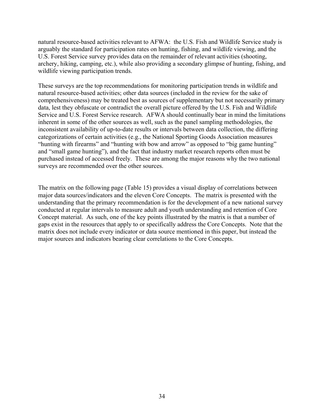natural resource-based activities relevant to AFWA: the U.S. Fish and Wildlife Service study is arguably the standard for participation rates on hunting, fishing, and wildlife viewing, and the U.S. Forest Service survey provides data on the remainder of relevant activities (shooting, archery, hiking, camping, etc.), while also providing a secondary glimpse of hunting, fishing, and wildlife viewing participation trends.

These surveys are the top recommendations for monitoring participation trends in wildlife and natural resource-based activities; other data sources (included in the review for the sake of comprehensiveness) may be treated best as sources of supplementary but not necessarily primary data, lest they obfuscate or contradict the overall picture offered by the U.S. Fish and Wildlife Service and U.S. Forest Service research. AFWA should continually bear in mind the limitations inherent in some of the other sources as well, such as the panel sampling methodologies, the inconsistent availability of up-to-date results or intervals between data collection, the differing categorizations of certain activities (e.g., the National Sporting Goods Association measures "hunting with firearms" and "hunting with bow and arrow" as opposed to "big game hunting" and "small game hunting"), and the fact that industry market research reports often must be purchased instead of accessed freely. These are among the major reasons why the two national surveys are recommended over the other sources.

The matrix on the following page (Table 15) provides a visual display of correlations between major data sources/indicators and the eleven Core Concepts. The matrix is presented with the understanding that the primary recommendation is for the development of a new national survey conducted at regular intervals to measure adult and youth understanding and retention of Core Concept material. As such, one of the key points illustrated by the matrix is that a number of gaps exist in the resources that apply to or specifically address the Core Concepts. Note that the matrix does not include every indicator or data source mentioned in this paper, but instead the major sources and indicators bearing clear correlations to the Core Concepts.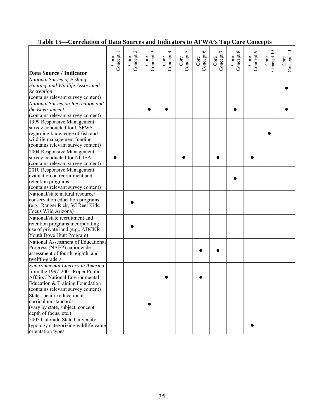| avn vi <i>b</i> ata boartes and                                     |                   |                                  |                               |                   |                           | $\frac{1}{2}$     |                   |                             |                             |                    |                    |
|---------------------------------------------------------------------|-------------------|----------------------------------|-------------------------------|-------------------|---------------------------|-------------------|-------------------|-----------------------------|-----------------------------|--------------------|--------------------|
| Data Source / Indicator                                             | Concept 1<br>Core | $\mathcal{L}$<br>Concept<br>Core | $\epsilon$<br>Concept<br>Core | Concept 4<br>Core | $\sim$<br>Concept<br>Core | Concept 6<br>Core | Concept 7<br>Core | $\infty$<br>Concept<br>Core | $\sigma$<br>Concept<br>Core | Concept 10<br>Core | Concept 11<br>Core |
| National Survey of Fishing,<br>Hunting, and Wildlife-Associated     |                   |                                  |                               |                   |                           |                   |                   |                             |                             |                    |                    |
| Recreation                                                          |                   |                                  |                               |                   |                           |                   |                   |                             |                             |                    |                    |
| (contains relevant survey content)                                  |                   |                                  |                               |                   |                           |                   |                   |                             |                             |                    |                    |
| National Survey on Recreation and                                   |                   |                                  |                               |                   |                           |                   |                   |                             |                             |                    |                    |
| the Environment                                                     |                   |                                  |                               |                   |                           |                   |                   |                             |                             |                    |                    |
| (contains relevant survey content)                                  |                   |                                  |                               |                   |                           |                   |                   |                             |                             |                    |                    |
| 1999 Responsive Management<br>survey conducted for USFWS            |                   |                                  |                               |                   |                           |                   |                   |                             |                             |                    |                    |
| regarding knowledge of fish and                                     |                   |                                  |                               |                   |                           |                   |                   |                             |                             |                    |                    |
| wildlife management funding                                         |                   |                                  |                               |                   |                           |                   |                   |                             |                             |                    |                    |
| (contains relevant survey content)                                  |                   |                                  |                               |                   |                           |                   |                   |                             |                             |                    |                    |
| 2004 Responsive Management                                          |                   |                                  |                               |                   |                           |                   |                   |                             |                             |                    |                    |
| survey conducted for NCIEA                                          |                   |                                  |                               |                   |                           |                   |                   |                             |                             |                    |                    |
| (contains relevant survey content)                                  |                   |                                  |                               |                   |                           |                   |                   |                             |                             |                    |                    |
| 2010 Responsive Management                                          |                   |                                  |                               |                   |                           |                   |                   |                             |                             |                    |                    |
| evaluation on recruitment and                                       |                   |                                  |                               |                   |                           |                   |                   |                             |                             |                    |                    |
| retention programs<br>(contains relevant survey content)            |                   |                                  |                               |                   |                           |                   |                   |                             |                             |                    |                    |
| National/state natural resource/                                    |                   |                                  |                               |                   |                           |                   |                   |                             |                             |                    |                    |
| conservation education programs                                     |                   |                                  |                               |                   |                           |                   |                   |                             |                             |                    |                    |
| (e.g., Ranger Rick, SC Reel Kids,                                   |                   |                                  |                               |                   |                           |                   |                   |                             |                             |                    |                    |
| Focus Wild Arizona)                                                 |                   |                                  |                               |                   |                           |                   |                   |                             |                             |                    |                    |
| National/state recruitment and                                      |                   |                                  |                               |                   |                           |                   |                   |                             |                             |                    |                    |
| retention programs incorporating                                    |                   |                                  |                               |                   |                           |                   |                   |                             |                             |                    |                    |
| use of private land (e.g., ADCNR                                    |                   |                                  |                               |                   |                           |                   |                   |                             |                             |                    |                    |
| Youth Dove Hunt Program)                                            |                   |                                  |                               |                   |                           |                   |                   |                             |                             |                    |                    |
| National Assessment of Educational                                  |                   |                                  |                               |                   |                           |                   |                   |                             |                             |                    |                    |
| Progress (NAEP) nationwide                                          |                   |                                  |                               |                   |                           |                   |                   |                             |                             |                    |                    |
| assessment of fourth, eighth, and                                   |                   |                                  |                               |                   |                           |                   |                   |                             |                             |                    |                    |
| twelfth-graders                                                     |                   |                                  |                               |                   |                           |                   |                   |                             |                             |                    |                    |
| Environmental Literacy in America,                                  |                   |                                  |                               |                   |                           |                   |                   |                             |                             |                    |                    |
| from the 1997-2001 Roper Public<br>Affairs / National Environmental |                   |                                  |                               |                   |                           |                   |                   |                             |                             |                    |                    |
| Education & Training Foundation                                     |                   |                                  |                               |                   |                           |                   |                   |                             |                             |                    |                    |
| (contains relevant survey content)                                  |                   |                                  |                               |                   |                           |                   |                   |                             |                             |                    |                    |
| State-specific educational                                          |                   |                                  |                               |                   |                           |                   |                   |                             |                             |                    |                    |
| curriculum standards                                                |                   |                                  |                               |                   |                           |                   |                   |                             |                             |                    |                    |
| (vary by state, subject, concept                                    |                   |                                  |                               |                   |                           |                   |                   |                             |                             |                    |                    |
| depth of focus, etc.)                                               |                   |                                  |                               |                   |                           |                   |                   |                             |                             |                    |                    |
| 2005 Colorado State University                                      |                   |                                  |                               |                   |                           |                   |                   |                             |                             |                    |                    |
| typology categorizing wildlife value                                |                   |                                  |                               |                   |                           |                   |                   |                             |                             |                    |                    |
| orientation types                                                   |                   |                                  |                               |                   |                           |                   |                   |                             |                             |                    |                    |

# **Table 15—Correlation of Data Sources and Indicators to AFWA's Top Core Concepts**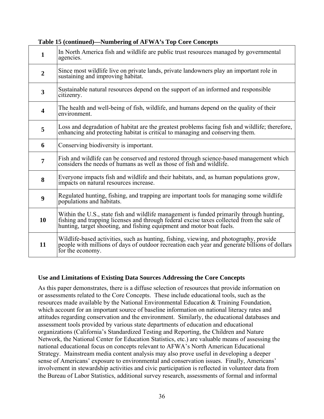| 1                       | In North America fish and wildlife are public trust resources managed by governmental<br>agencies.                                                                                                                                                             |
|-------------------------|----------------------------------------------------------------------------------------------------------------------------------------------------------------------------------------------------------------------------------------------------------------|
| $\overline{2}$          | Since most wildlife live on private lands, private landowners play an important role in<br>sustaining and improving habitat.                                                                                                                                   |
| $\overline{\mathbf{3}}$ | Sustainable natural resources depend on the support of an informed and responsible<br>citizenry.                                                                                                                                                               |
| $\overline{\mathbf{4}}$ | The health and well-being of fish, wildlife, and humans depend on the quality of their<br>environment.                                                                                                                                                         |
| 5                       | Loss and degradation of habitat are the greatest problems facing fish and wildlife; therefore,<br>enhancing and protecting habitat is critical to managing and conserving them.                                                                                |
| 6                       | Conserving biodiversity is important.                                                                                                                                                                                                                          |
| $\overline{7}$          | Fish and wildlife can be conserved and restored through science-based management which<br>considers the needs of humans as well as those of fish and wildlife.                                                                                                 |
| 8                       | Everyone impacts fish and wildlife and their habitats, and, as human populations grow,<br>impacts on natural resources increase.                                                                                                                               |
| $\boldsymbol{9}$        | Regulated hunting, fishing, and trapping are important tools for managing some wildlife<br>populations and habitats.                                                                                                                                           |
| 10                      | Within the U.S., state fish and wildlife management is funded primarily through hunting,<br>fishing and trapping licenses and through federal excise taxes collected from the sale of<br>hunting, target shooting, and fishing equipment and motor boat fuels. |
| 11                      | Wildlife-based activities, such as hunting, fishing, viewing, and photography, provide<br>people with millions of days of outdoor recreation each year and generate billions of dollars<br>for the economy.                                                    |

#### **Table 15 (continued)—Numbering of AFWA's Top Core Concepts**

#### **Use and Limitations of Existing Data Sources Addressing the Core Concepts**

As this paper demonstrates, there is a diffuse selection of resources that provide information on or assessments related to the Core Concepts. These include educational tools, such as the resources made available by the National Environmental Education & Training Foundation, which account for an important source of baseline information on national literacy rates and attitudes regarding conservation and the environment. Similarly, the educational databases and assessment tools provided by various state departments of education and educational organizations (California's Standardized Testing and Reporting, the Children and Nature Network, the National Center for Education Statistics, etc.) are valuable means of assessing the national educational focus on concepts relevant to AFWA's North American Educational Strategy. Mainstream media content analysis may also prove useful in developing a deeper sense of Americans' exposure to environmental and conservation issues. Finally, Americans' involvement in stewardship activities and civic participation is reflected in volunteer data from the Bureau of Labor Statistics, additional survey research, assessments of formal and informal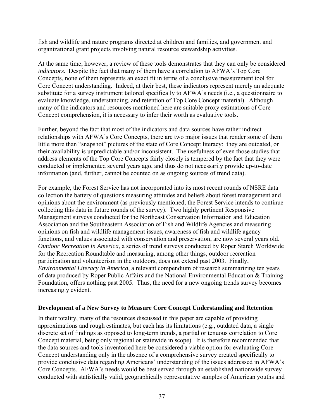fish and wildlife and nature programs directed at children and families, and government and organizational grant projects involving natural resource stewardship activities.

At the same time, however, a review of these tools demonstrates that they can only be considered *indicators*. Despite the fact that many of them have a correlation to AFWA's Top Core Concepts, none of them represents an exact fit in terms of a conclusive measurement tool for Core Concept understanding. Indeed, at their best, these indicators represent merely an adequate substitute for a survey instrument tailored specifically to AFWA's needs (i.e., a questionnaire to evaluate knowledge, understanding, and retention of Top Core Concept material). Although many of the indicators and resources mentioned here are suitable proxy estimations of Core Concept comprehension, it is necessary to infer their worth as evaluative tools.

Further, beyond the fact that most of the indicators and data sources have rather indirect relationships with AFWA's Core Concepts, there are two major issues that render some of them little more than "snapshot" pictures of the state of Core Concept literacy: they are outdated, or their availability is unpredictable and/or inconsistent. The usefulness of even those studies that address elements of the Top Core Concepts fairly closely is tempered by the fact that they were conducted or implemented several years ago, and thus do not necessarily provide up-to-date information (and, further, cannot be counted on as ongoing sources of trend data).

For example, the Forest Service has not incorporated into its most recent rounds of NSRE data collection the battery of questions measuring attitudes and beliefs about forest management and opinions about the environment (as previously mentioned, the Forest Service intends to continue collecting this data in future rounds of the survey). Two highly pertinent Responsive Management surveys conducted for the Northeast Conservation Information and Education Association and the Southeastern Association of Fish and Wildlife Agencies and measuring opinions on fish and wildlife management issues, awareness of fish and wildlife agency functions, and values associated with conservation and preservation, are now several years old. *Outdoor Recreation in America*, a series of trend surveys conducted by Roper Starch Worldwide for the Recreation Roundtable and measuring, among other things, outdoor recreation participation and volunteerism in the outdoors, does not extend past 2003. Finally, *Environmental Literacy in America*, a relevant compendium of research summarizing ten years of data produced by Roper Public Affairs and the National Environmental Education & Training Foundation, offers nothing past 2005. Thus, the need for a new ongoing trends survey becomes increasingly evident.

#### **Development of a New Survey to Measure Core Concept Understanding and Retention**

In their totality, many of the resources discussed in this paper are capable of providing approximations and rough estimates, but each has its limitations (e.g., outdated data, a single discrete set of findings as opposed to long-term trends, a partial or tenuous correlation to Core Concept material, being only regional or statewide in scope). It is therefore recommended that the data sources and tools inventoried here be considered a viable option for evaluating Core Concept understanding only in the absence of a comprehensive survey created specifically to provide conclusive data regarding Americans' understanding of the issues addressed in AFWA's Core Concepts. AFWA's needs would be best served through an established nationwide survey conducted with statistically valid, geographically representative samples of American youths and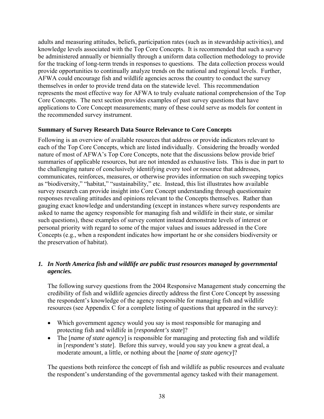adults and measuring attitudes, beliefs, participation rates (such as in stewardship activities), and knowledge levels associated with the Top Core Concepts. It is recommended that such a survey be administered annually or biennially through a uniform data collection methodology to provide for the tracking of long-term trends in responses to questions. The data collection process would provide opportunities to continually analyze trends on the national and regional levels. Further, AFWA could encourage fish and wildlife agencies across the country to conduct the survey themselves in order to provide trend data on the statewide level. This recommendation represents the most effective way for AFWA to truly evaluate national comprehension of the Top Core Concepts. The next section provides examples of past survey questions that have applications to Core Concept measurements; many of these could serve as models for content in the recommended survey instrument.

#### **Summary of Survey Research Data Source Relevance to Core Concepts**

Following is an overview of available resources that address or provide indicators relevant to each of the Top Core Concepts, which are listed individually. Considering the broadly worded nature of most of AFWA's Top Core Concepts, note that the discussions below provide brief summaries of applicable resources, but are not intended as exhaustive lists. This is due in part to the challenging nature of conclusively identifying every tool or resource that addresses, communicates, reinforces, measures, or otherwise provides information on such sweeping topics as "biodiversity," "habitat," "sustainability," etc. Instead, this list illustrates how available survey research can provide insight into Core Concept understanding through questionnaire responses revealing attitudes and opinions relevant to the Concepts themselves. Rather than gauging exact knowledge and understanding (except in instances where survey respondents are asked to name the agency responsible for managing fish and wildlife in their state, or similar such questions), these examples of survey content instead demonstrate levels of interest or personal priority with regard to some of the major values and issues addressed in the Core Concepts (e.g., when a respondent indicates how important he or she considers biodiversity or the preservation of habitat).

# *1. In North America fish and wildlife are public trust resources managed by governmental agencies.*

The following survey questions from the 2004 Responsive Management study concerning the credibility of fish and wildlife agencies directly address the first Core Concept by assessing the respondent's knowledge of the agency responsible for managing fish and wildlife resources (see Appendix C for a complete listing of questions that appeared in the survey):

- Which government agency would you say is most responsible for managing and protecting fish and wildlife in [*respondent's state*]?
- The [*name of state agency*] is responsible for managing and protecting fish and wildlife in [*respondent's state*]. Before this survey, would you say you knew a great deal, a moderate amount, a little, or nothing about the [*name of state agency*]?

The questions both reinforce the concept of fish and wildlife as public resources and evaluate the respondent's understanding of the governmental agency tasked with their management.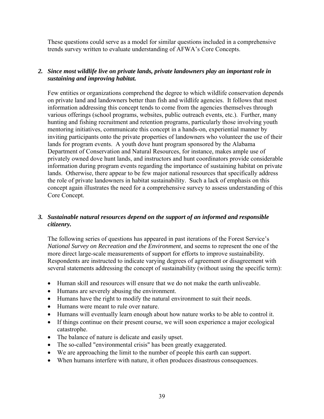These questions could serve as a model for similar questions included in a comprehensive trends survey written to evaluate understanding of AFWA's Core Concepts.

### *2. Since most wildlife live on private lands, private landowners play an important role in sustaining and improving habitat.*

Few entities or organizations comprehend the degree to which wildlife conservation depends on private land and landowners better than fish and wildlife agencies. It follows that most information addressing this concept tends to come from the agencies themselves through various offerings (school programs, websites, public outreach events, etc.). Further, many hunting and fishing recruitment and retention programs, particularly those involving youth mentoring initiatives, communicate this concept in a hands-on, experiential manner by inviting participants onto the private properties of landowners who volunteer the use of their lands for program events. A youth dove hunt program sponsored by the Alabama Department of Conservation and Natural Resources, for instance, makes ample use of privately owned dove hunt lands, and instructors and hunt coordinators provide considerable information during program events regarding the importance of sustaining habitat on private lands. Otherwise, there appear to be few major national resources that specifically address the role of private landowners in habitat sustainability. Such a lack of emphasis on this concept again illustrates the need for a comprehensive survey to assess understanding of this Core Concept.

#### *3. Sustainable natural resources depend on the support of an informed and responsible citizenry.*

The following series of questions has appeared in past iterations of the Forest Service's *National Survey on Recreation and the Environment*, and seems to represent the one of the more direct large-scale measurements of support for efforts to improve sustainability*.*  Respondents are instructed to indicate varying degrees of agreement or disagreement with several statements addressing the concept of sustainability (without using the specific term):

- Human skill and resources will ensure that we do not make the earth unliveable.
- Humans are severely abusing the environment.
- Humans have the right to modify the natural environment to suit their needs.
- Humans were meant to rule over nature.
- Humans will eventually learn enough about how nature works to be able to control it.
- If things continue on their present course, we will soon experience a major ecological catastrophe.
- The balance of nature is delicate and easily upset.
- The so-called "environmental crisis" has been greatly exaggerated.
- We are approaching the limit to the number of people this earth can support.
- When humans interfere with nature, it often produces disastrous consequences.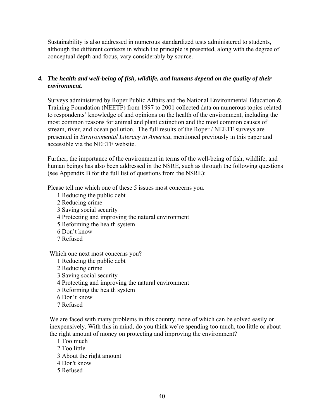Sustainability is also addressed in numerous standardized tests administered to students, although the different contexts in which the principle is presented, along with the degree of conceptual depth and focus, vary considerably by source.

#### *4. The health and well-being of fish, wildlife, and humans depend on the quality of their environment.*

Surveys administered by Roper Public Affairs and the National Environmental Education & Training Foundation (NEETF) from 1997 to 2001 collected data on numerous topics related to respondents' knowledge of and opinions on the health of the environment, including the most common reasons for animal and plant extinction and the most common causes of stream, river, and ocean pollution. The full results of the Roper / NEETF surveys are presented in *Environmental Literacy in America*, mentioned previously in this paper and accessible via the NEETF website.

Further, the importance of the environment in terms of the well-being of fish, wildlife, and human beings has also been addressed in the NSRE, such as through the following questions (see Appendix B for the full list of questions from the NSRE):

Please tell me which one of these 5 issues most concerns you.

- 1 Reducing the public debt
- 2 Reducing crime
- 3 Saving social security
- 4 Protecting and improving the natural environment
- 5 Reforming the health system
- 6 Don't know
- 7 Refused

Which one next most concerns you?

- 1 Reducing the public debt
- 2 Reducing crime
- 3 Saving social security
- 4 Protecting and improving the natural environment
- 5 Reforming the health system
- 6 Don't know
- 7 Refused

We are faced with many problems in this country, none of which can be solved easily or inexpensively. With this in mind, do you think we're spending too much, too little or about the right amount of money on protecting and improving the environment?

1 Too much

- 2 Too little
- 3 About the right amount
- 4 Don't know
- 5 Refused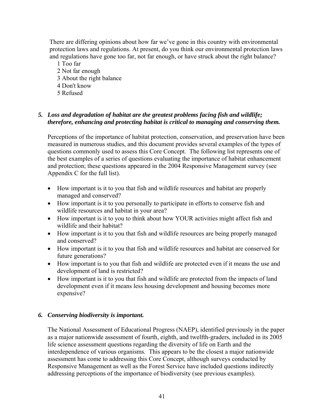There are differing opinions about how far we've gone in this country with environmental protection laws and regulations. At present, do you think our environmental protection laws and regulations have gone too far, not far enough, or have struck about the right balance?

1 Too far 2 Not far enough 3 About the right balance 4 Don't know 5 Refused

# *5. Loss and degradation of habitat are the greatest problems facing fish and wildlife; therefore, enhancing and protecting habitat is critical to managing and conserving them.*

Perceptions of the importance of habitat protection, conservation, and preservation have been measured in numerous studies, and this document provides several examples of the types of questions commonly used to assess this Core Concept. The following list represents one of the best examples of a series of questions evaluating the importance of habitat enhancement and protection; these questions appeared in the 2004 Responsive Management survey (see Appendix C for the full list).

- How important is it to you that fish and wildlife resources and habitat are properly managed and conserved?
- How important is it to you personally to participate in efforts to conserve fish and wildlife resources and habitat in your area?
- How important is it to you to think about how YOUR activities might affect fish and wildlife and their habitat?
- How important is it to you that fish and wildlife resources are being properly managed and conserved?
- How important is it to you that fish and wildlife resources and habitat are conserved for future generations?
- How important is to you that fish and wildlife are protected even if it means the use and development of land is restricted?
- How important is it to you that fish and wildlife are protected from the impacts of land development even if it means less housing development and housing becomes more expensive?

#### *6. Conserving biodiversity is important.*

The National Assessment of Educational Progress (NAEP), identified previously in the paper as a major nationwide assessment of fourth, eighth, and twelfth-graders, included in its 2005 life science assessment questions regarding the diversity of life on Earth and the interdependence of various organisms. This appears to be the closest a major nationwide assessment has come to addressing this Core Concept, although surveys conducted by Responsive Management as well as the Forest Service have included questions indirectly addressing perceptions of the importance of biodiversity (see previous examples).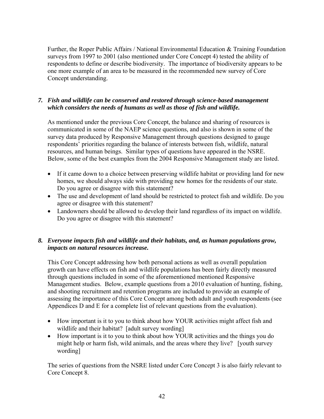Further, the Roper Public Affairs / National Environmental Education & Training Foundation surveys from 1997 to 2001 (also mentioned under Core Concept 4) tested the ability of respondents to define or describe biodiversity. The importance of biodiversity appears to be one more example of an area to be measured in the recommended new survey of Core Concept understanding.

# *7. Fish and wildlife can be conserved and restored through science-based management which considers the needs of humans as well as those of fish and wildlife.*

As mentioned under the previous Core Concept, the balance and sharing of resources is communicated in some of the NAEP science questions, and also is shown in some of the survey data produced by Responsive Management through questions designed to gauge respondents' priorities regarding the balance of interests between fish, wildlife, natural resources, and human beings. Similar types of questions have appeared in the NSRE. Below, some of the best examples from the 2004 Responsive Management study are listed.

- If it came down to a choice between preserving wildlife habitat or providing land for new homes, we should always side with providing new homes for the residents of our state. Do you agree or disagree with this statement?
- The use and development of land should be restricted to protect fish and wildlife. Do you agree or disagree with this statement?
- Landowners should be allowed to develop their land regardless of its impact on wildlife. Do you agree or disagree with this statement?

# *8. Everyone impacts fish and wildlife and their habitats, and, as human populations grow, impacts on natural resources increase.*

This Core Concept addressing how both personal actions as well as overall population growth can have effects on fish and wildlife populations has been fairly directly measured through questions included in some of the aforementioned mentioned Responsive Management studies. Below, example questions from a 2010 evaluation of hunting, fishing, and shooting recruitment and retention programs are included to provide an example of assessing the importance of this Core Concept among both adult and youth respondents (see Appendices D and E for a complete list of relevant questions from the evaluation).

- How important is it to you to think about how YOUR activities might affect fish and wildlife and their habitat? [adult survey wording]
- How important is it to you to think about how YOUR activities and the things you do might help or harm fish, wild animals, and the areas where they live? [youth survey wording]

The series of questions from the NSRE listed under Core Concept 3 is also fairly relevant to Core Concept 8.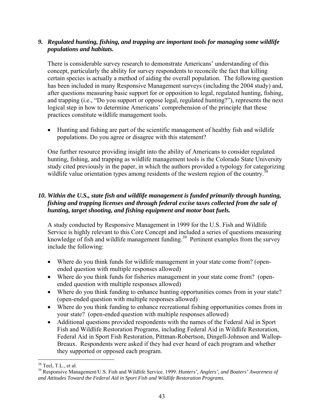#### *9. Regulated hunting, fishing, and trapping are important tools for managing some wildlife populations and habitats.*

There is considerable survey research to demonstrate Americans' understanding of this concept, particularly the ability for survey respondents to reconcile the fact that killing certain species is actually a method of aiding the overall population. The following question has been included in many Responsive Management surveys (including the 2004 study) and, after questions measuring basic support for or opposition to legal, regulated hunting, fishing, and trapping (i.e., "Do you support or oppose legal, regulated hunting?"), represents the next logical step in how to determine Americans' comprehension of the principle that these practices constitute wildlife management tools.

• Hunting and fishing are part of the scientific management of healthy fish and wildlife populations. Do you agree or disagree with this statement?

One further resource providing insight into the ability of Americans to consider regulated hunting, fishing, and trapping as wildlife management tools is the Colorado State University study cited previously in the paper, in which the authors provided a typology for categorizing wildlife value orientation types among residents of the western region of the country.<sup>38</sup>

# *10. Within the U.S., state fish and wildlife management is funded primarily through hunting, fishing and trapping licenses and through federal excise taxes collected from the sale of hunting, target shooting, and fishing equipment and motor boat fuels.*

A study conducted by Responsive Management in 1999 for the U.S. Fish and Wildlife Service is highly relevant to this Core Concept and included a series of questions measuring knowledge of fish and wildlife management funding.<sup>39</sup> Pertinent examples from the survey include the following:

- Where do you think funds for wildlife management in your state come from? (openended question with multiple responses allowed)
- Where do you think funds for fisheries management in your state come from? (openended question with multiple responses allowed)
- Where do you think funding to enhance hunting opportunities comes from in your state? (open-ended question with multiple responses allowed)
- Where do you think funding to enhance recreational fishing opportunities comes from in your state? (open-ended question with multiple responses allowed)
- Additional questions provided respondents with the names of the Federal Aid in Sport Fish and Wildlife Restoration Programs, including Federal Aid in Wildlife Restoration, Federal Aid in Sport Fish Restoration, Pittman-Robertson, Dingell-Johnson and Wallop-Breaux. Respondents were asked if they had ever heard of each program and whether they supported or opposed each program.

<sup>1</sup>  $38$  Teel, T.L., et al.

<sup>39</sup> Responsive Management/U.S. Fish and Wildlife Service. 1999. *Hunters', Anglers', and Boaters' Awareness of and Attitudes Toward the Federal Aid in Sport Fish and Wildlife Restoration Programs.*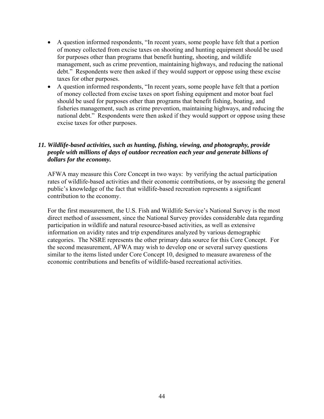- A question informed respondents, "In recent years, some people have felt that a portion of money collected from excise taxes on shooting and hunting equipment should be used for purposes other than programs that benefit hunting, shooting, and wildlife management, such as crime prevention, maintaining highways, and reducing the national debt." Respondents were then asked if they would support or oppose using these excise taxes for other purposes.
- A question informed respondents, "In recent years, some people have felt that a portion of money collected from excise taxes on sport fishing equipment and motor boat fuel should be used for purposes other than programs that benefit fishing, boating, and fisheries management, such as crime prevention, maintaining highways, and reducing the national debt." Respondents were then asked if they would support or oppose using these excise taxes for other purposes.

# *11. Wildlife-based activities, such as hunting, fishing, viewing, and photography, provide people with millions of days of outdoor recreation each year and generate billions of dollars for the economy.*

AFWA may measure this Core Concept in two ways: by verifying the actual participation rates of wildlife-based activities and their economic contributions, or by assessing the general public's knowledge of the fact that wildlife-based recreation represents a significant contribution to the economy.

For the first measurement, the U.S. Fish and Wildlife Service's National Survey is the most direct method of assessment, since the National Survey provides considerable data regarding participation in wildlife and natural resource-based activities, as well as extensive information on avidity rates and trip expenditures analyzed by various demographic categories. The NSRE represents the other primary data source for this Core Concept. For the second measurement, AFWA may wish to develop one or several survey questions similar to the items listed under Core Concept 10, designed to measure awareness of the economic contributions and benefits of wildlife-based recreational activities.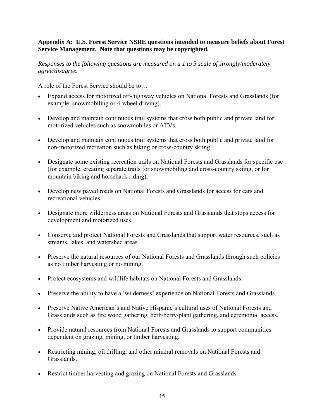#### **Appendix A: U.S. Forest Service NSRE questions intended to measure beliefs about Forest Service Management. Note that questions may be copyrighted.**

*Responses to the following questions are measured on a 1 to 5 scale of strongly/moderately agree/disagree.* 

A role of the Forest Service should be to…

- Expand access for motorized off-highway vehicles on National Forests and Grasslands (for example, snowmobiling or 4-wheel driving).
- Develop and maintain continuous trail systems that cross both public and private land for motorized vehicles such as snowmobiles or ATVs.
- Develop and maintain continuous trail systems that cross both public and private land for non-motorized recreation such as hiking or cross-country skiing.
- Designate some existing recreation trails on National Forests and Grasslands for specific use (for example, creating separate trails for snowmobiling and cross-country skiing, or for mountain biking and horseback riding).
- Develop new paved roads on National Forests and Grasslands for access for cars and recreational vehicles.
- Designate more wilderness areas on National Forests and Grasslands that stops access for development and motorized uses.
- Conserve and protect National Forests and Grasslands that support water resources, such as streams, lakes, and watershed areas.
- Preserve the natural resources of our National Forests and Grasslands through such policies as no timber harvesting or no mining.
- Protect ecosystems and wildlife habitats on National Forests and Grasslands.
- Preserve the ability to have a 'wilderness' experience on National Forests and Grasslands.
- Preserve Native American's and Native Hispanic's cultural uses of National Forests and Grasslands such as fire wood gathering, herb/berry/plant gathering, and ceremonial access.
- Provide natural resources from National Forests and Grasslands to support communities dependent on grazing, mining, or timber harvesting.
- Restricting mining, oil drilling, and other mineral removals on National Forests and Grasslands.
- Restrict timber harvesting and grazing on National Forests and Grasslands.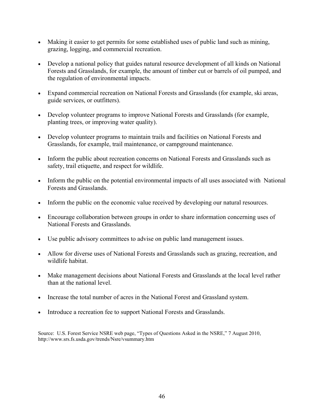- Making it easier to get permits for some established uses of public land such as mining, grazing, logging, and commercial recreation.
- Develop a national policy that guides natural resource development of all kinds on National Forests and Grasslands, for example, the amount of timber cut or barrels of oil pumped, and the regulation of environmental impacts.
- Expand commercial recreation on National Forests and Grasslands (for example, ski areas, guide services, or outfitters).
- Develop volunteer programs to improve National Forests and Grasslands (for example, planting trees, or improving water quality).
- Develop volunteer programs to maintain trails and facilities on National Forests and Grasslands, for example, trail maintenance, or campground maintenance.
- Inform the public about recreation concerns on National Forests and Grasslands such as safety, trail etiquette, and respect for wildlife.
- Inform the public on the potential environmental impacts of all uses associated with National Forests and Grasslands.
- Inform the public on the economic value received by developing our natural resources.
- Encourage collaboration between groups in order to share information concerning uses of National Forests and Grasslands.
- Use public advisory committees to advise on public land management issues.
- Allow for diverse uses of National Forests and Grasslands such as grazing, recreation, and wildlife habitat.
- Make management decisions about National Forests and Grasslands at the local level rather than at the national level.
- Increase the total number of acres in the National Forest and Grassland system.
- Introduce a recreation fee to support National Forests and Grasslands.

Source: U.S. Forest Service NSRE web page, "Types of Questions Asked in the NSRE," 7 August 2010, http://www.srs.fs.usda.gov/trends/Nsre/vsummary.htm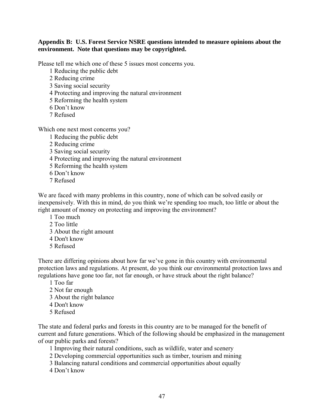#### **Appendix B: U.S. Forest Service NSRE questions intended to measure opinions about the environment. Note that questions may be copyrighted.**

Please tell me which one of these 5 issues most concerns you.

- 1 Reducing the public debt
- 2 Reducing crime
- 3 Saving social security
- 4 Protecting and improving the natural environment
- 5 Reforming the health system
- 6 Don't know
- 7 Refused

Which one next most concerns you?

- 1 Reducing the public debt
- 2 Reducing crime
- 3 Saving social security
- 4 Protecting and improving the natural environment
- 5 Reforming the health system
- 6 Don't know
- 7 Refused

We are faced with many problems in this country, none of which can be solved easily or inexpensively. With this in mind, do you think we're spending too much, too little or about the right amount of money on protecting and improving the environment?

- 1 Too much
- 2 Too little
- 3 About the right amount
- 4 Don't know
- 5 Refused

There are differing opinions about how far we've gone in this country with environmental protection laws and regulations. At present, do you think our environmental protection laws and regulations have gone too far, not far enough, or have struck about the right balance?

- 1 Too far
- 2 Not far enough
- 3 About the right balance
- 4 Don't know
- 5 Refused

The state and federal parks and forests in this country are to be managed for the benefit of current and future generations. Which of the following should be emphasized in the management of our public parks and forests?

- 1 Improving their natural conditions, such as wildlife, water and scenery
- 2 Developing commercial opportunities such as timber, tourism and mining
- 3 Balancing natural conditions and commercial opportunities about equally
- 4 Don't know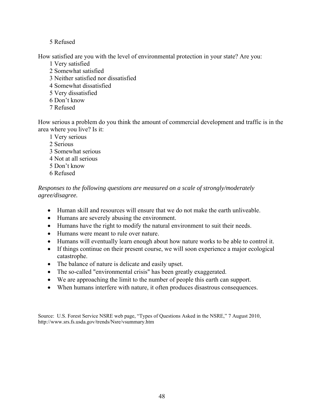# 5 Refused

How satisfied are you with the level of environmental protection in your state? Are you:

- 1 Very satisfied
- 2 Somewhat satisfied
- 3 Neither satisfied nor dissatisfied
- 4 Somewhat dissatisfied
- 5 Very dissatisfied
- 6 Don't know
- 7 Refused

How serious a problem do you think the amount of commercial development and traffic is in the area where you live? Is it:

- 1 Very serious
- 2 Serious
- 3 Somewhat serious
- 4 Not at all serious
- 5 Don't know
- 6 Refused

*Responses to the following questions are measured on a scale of strongly/moderately agree/disagree.* 

- Human skill and resources will ensure that we do not make the earth unliveable.
- Humans are severely abusing the environment.
- Humans have the right to modify the natural environment to suit their needs.
- Humans were meant to rule over nature.
- Humans will eventually learn enough about how nature works to be able to control it.
- If things continue on their present course, we will soon experience a major ecological catastrophe.
- The balance of nature is delicate and easily upset.
- The so-called "environmental crisis" has been greatly exaggerated.
- We are approaching the limit to the number of people this earth can support.
- When humans interfere with nature, it often produces disastrous consequences.

Source: U.S. Forest Service NSRE web page, "Types of Questions Asked in the NSRE," 7 August 2010, http://www.srs.fs.usda.gov/trends/Nsre/vsummary.htm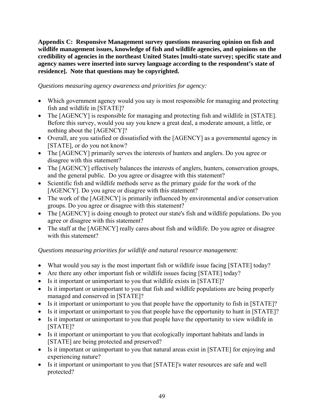**Appendix C: Responsive Management survey questions measuring opinion on fish and wildlife management issues, knowledge of fish and wildlife agencies, and opinions on the credibility of agencies in the northeast United States [multi-state survey; specific state and agency names were inserted into survey language according to the respondent's state of residence]. Note that questions may be copyrighted.** 

# *Questions measuring agency awareness and priorities for agency:*

- Which government agency would you say is most responsible for managing and protecting fish and wildlife in [STATE]?
- The [AGENCY] is responsible for managing and protecting fish and wildlife in [STATE]. Before this survey, would you say you knew a great deal, a moderate amount, a little, or nothing about the [AGENCY]?
- Overall, are you satisfied or dissatisfied with the [AGENCY] as a governmental agency in [STATE], or do you not know?
- The [AGENCY] primarily serves the interests of hunters and anglers. Do you agree or disagree with this statement?
- The [AGENCY] effectively balances the interests of anglers, hunters, conservation groups, and the general public. Do you agree or disagree with this statement?
- Scientific fish and wildlife methods serve as the primary guide for the work of the [AGENCY]. Do you agree or disagree with this statement?
- The work of the [AGENCY] is primarily influenced by environmental and/or conservation groups. Do you agree or disagree with this statement?
- The [AGENCY] is doing enough to protect our state's fish and wildlife populations. Do you agree or disagree with this statement?
- The staff at the [AGENCY] really cares about fish and wildlife. Do you agree or disagree with this statement?

# *Questions measuring priorities for wildlife and natural resource management:*

- What would you say is the most important fish or wildlife issue facing [STATE] today?
- Are there any other important fish or wildlife issues facing [STATE] today?
- Is it important or unimportant to you that wildlife exists in [STATE]?
- Is it important or unimportant to you that fish and wildlife populations are being properly managed and conserved in [STATE]?
- Is it important or unimportant to you that people have the opportunity to fish in [STATE]?
- Is it important or unimportant to you that people have the opportunity to hunt in [STATE]?
- Is it important or unimportant to you that people have the opportunity to view wildlife in [STATE]?
- Is it important or unimportant to you that ecologically important habitats and lands in [STATE] are being protected and preserved?
- Is it important or unimportant to you that natural areas exist in [STATE] for enjoying and experiencing nature?
- Is it important or unimportant to you that [STATE]'s water resources are safe and well protected?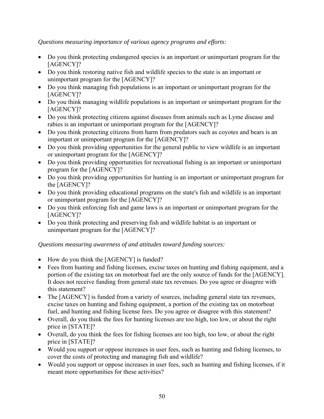# *Questions measuring importance of various agency programs and efforts:*

- Do you think protecting endangered species is an important or unimportant program for the [AGENCY]?
- Do you think restoring native fish and wildlife species to the state is an important or unimportant program for the [AGENCY]?
- Do you think managing fish populations is an important or unimportant program for the [AGENCY]?
- Do you think managing wildlife populations is an important or unimportant program for the [AGENCY]?
- Do you think protecting citizens against diseases from animals such as Lyme disease and rabies is an important or unimportant program for the [AGENCY]?
- Do you think protecting citizens from harm from predators such as coyotes and bears is an important or unimportant program for the [AGENCY]?
- Do you think providing opportunities for the general public to view wildlife is an important or unimportant program for the [AGENCY]?
- Do you think providing opportunities for recreational fishing is an important or unimportant program for the [AGENCY]?
- Do you think providing opportunities for hunting is an important or unimportant program for the [AGENCY]?
- Do you think providing educational programs on the state's fish and wildlife is an important or unimportant program for the [AGENCY]?
- Do you think enforcing fish and game laws is an important or unimportant program for the [AGENCY]?
- Do you think protecting and preserving fish and wildlife habitat is an important or unimportant program for the [AGENCY]?

# *Questions measuring awareness of and attitudes toward funding sources:*

- How do you think the [AGENCY] is funded?
- Fees from hunting and fishing licenses, excise taxes on hunting and fishing equipment, and a portion of the existing tax on motorboat fuel are the only source of funds for the [AGENCY]. It does not receive funding from general state tax revenues. Do you agree or disagree with this statement?
- The [AGENCY] is funded from a variety of sources, including general state tax revenues, excise taxes on hunting and fishing equipment, a portion of the existing tax on motorboat fuel, and hunting and fishing license fees. Do you agree or disagree with this statement?
- Overall, do you think the fees for hunting licenses are too high, too low, or about the right price in [STATE]?
- Overall, do you think the fees for fishing licenses are too high, too low, or about the right price in [STATE]?
- Would you support or oppose increases in user fees, such as hunting and fishing licenses, to cover the costs of protecting and managing fish and wildlife?
- Would you support or oppose increases in user fees, such as hunting and fishing licenses, if it meant more opportunities for these activities?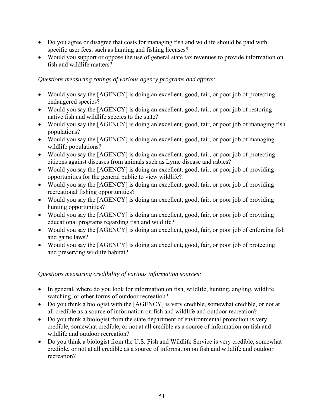- Do you agree or disagree that costs for managing fish and wildlife should be paid with specific user fees, such as hunting and fishing licenses?
- Would you support or oppose the use of general state tax revenues to provide information on fish and wildlife matters?

# *Questions measuring ratings of various agency programs and efforts:*

- Would you say the [AGENCY] is doing an excellent, good, fair, or poor job of protecting endangered species?
- Would you say the [AGENCY] is doing an excellent, good, fair, or poor job of restoring native fish and wildlife species to the state?
- Would you say the [AGENCY] is doing an excellent, good, fair, or poor job of managing fish populations?
- Would you say the [AGENCY] is doing an excellent, good, fair, or poor job of managing wildlife populations?
- Would you say the [AGENCY] is doing an excellent, good, fair, or poor job of protecting citizens against diseases from animals such as Lyme disease and rabies?
- Would you say the [AGENCY] is doing an excellent, good, fair, or poor job of providing opportunities for the general public to view wildlife?
- Would you say the [AGENCY] is doing an excellent, good, fair, or poor job of providing recreational fishing opportunities?
- Would you say the [AGENCY] is doing an excellent, good, fair, or poor job of providing hunting opportunities?
- Would you say the [AGENCY] is doing an excellent, good, fair, or poor job of providing educational programs regarding fish and wildlife?
- Would you say the [AGENCY] is doing an excellent, good, fair, or poor job of enforcing fish and game laws?
- Would you say the [AGENCY] is doing an excellent, good, fair, or poor job of protecting and preserving wildlife habitat?

# *Questions measuring credibility of various information sources:*

- In general, where do you look for information on fish, wildlife, hunting, angling, wildlife watching, or other forms of outdoor recreation?
- Do you think a biologist with the [AGENCY] is very credible, somewhat credible, or not at all credible as a source of information on fish and wildlife and outdoor recreation?
- Do you think a biologist from the state department of environmental protection is very credible, somewhat credible, or not at all credible as a source of information on fish and wildlife and outdoor recreation?
- Do you think a biologist from the U.S. Fish and Wildlife Service is very credible, somewhat credible, or not at all credible as a source of information on fish and wildlife and outdoor recreation?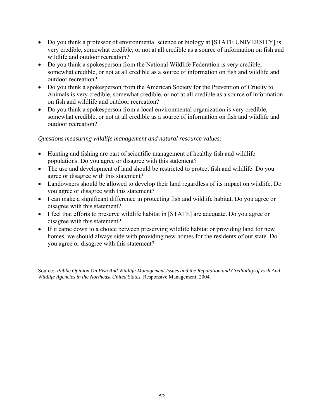- Do you think a professor of environmental science or biology at [STATE UNIVERSITY] is very credible, somewhat credible, or not at all credible as a source of information on fish and wildlife and outdoor recreation?
- Do you think a spokesperson from the National Wildlife Federation is very credible, somewhat credible, or not at all credible as a source of information on fish and wildlife and outdoor recreation?
- Do you think a spokesperson from the American Society for the Prevention of Cruelty to Animals is very credible, somewhat credible, or not at all credible as a source of information on fish and wildlife and outdoor recreation?
- Do you think a spokesperson from a local environmental organization is very credible, somewhat credible, or not at all credible as a source of information on fish and wildlife and outdoor recreation?

#### *Questions measuring wildlife management and natural resource values:*

- Hunting and fishing are part of scientific management of healthy fish and wildlife populations. Do you agree or disagree with this statement?
- The use and development of land should be restricted to protect fish and wildlife. Do you agree or disagree with this statement?
- Landowners should be allowed to develop their land regardless of its impact on wildlife. Do you agree or disagree with this statement?
- I can make a significant difference in protecting fish and wildlife habitat. Do you agree or disagree with this statement?
- I feel that efforts to preserve wildlife habitat in [STATE] are adequate. Do you agree or disagree with this statement?
- If it came down to a choice between preserving wildlife habitat or providing land for new homes, we should always side with providing new homes for the residents of our state. Do you agree or disagree with this statement?

Source: *Public Opinion On Fish And Wildlife Management Issues and the Reputation and Credibility of Fish And Wildlife Agencies in the Northeast United States*, Responsive Management, 2004.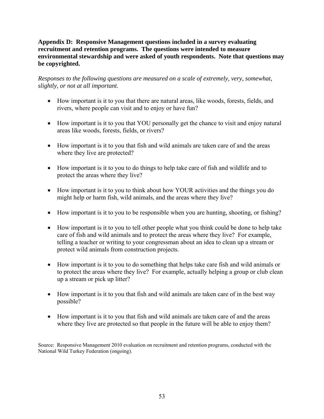#### **Appendix D: Responsive Management questions included in a survey evaluating recruitment and retention programs. The questions were intended to measure environmental stewardship and were asked of youth respondents. Note that questions may be copyrighted.**

*Responses to the following questions are measured on a scale of extremely, very, somewhat, slightly, or not at all important.* 

- How important is it to you that there are natural areas, like woods, forests, fields, and rivers, where people can visit and to enjoy or have fun?
- How important is it to you that YOU personally get the chance to visit and enjoy natural areas like woods, forests, fields, or rivers?
- How important is it to you that fish and wild animals are taken care of and the areas where they live are protected?
- How important is it to you to do things to help take care of fish and wildlife and to protect the areas where they live?
- How important is it to you to think about how YOUR activities and the things you do might help or harm fish, wild animals, and the areas where they live?
- How important is it to you to be responsible when you are hunting, shooting, or fishing?
- How important is it to you to tell other people what you think could be done to help take care of fish and wild animals and to protect the areas where they live? For example, telling a teacher or writing to your congressman about an idea to clean up a stream or protect wild animals from construction projects.
- How important is it to you to do something that helps take care fish and wild animals or to protect the areas where they live? For example, actually helping a group or club clean up a stream or pick up litter?
- How important is it to you that fish and wild animals are taken care of in the best way possible?
- How important is it to you that fish and wild animals are taken care of and the areas where they live are protected so that people in the future will be able to enjoy them?

Source: Responsive Management 2010 evaluation on recruitment and retention programs, conducted with the National Wild Turkey Federation (ongoing).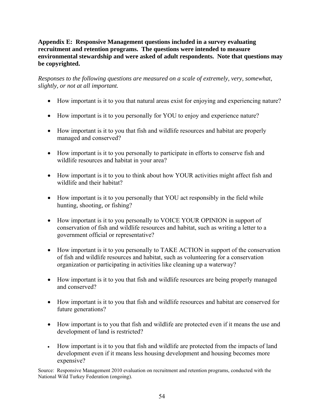#### **Appendix E: Responsive Management questions included in a survey evaluating recruitment and retention programs. The questions were intended to measure environmental stewardship and were asked of adult respondents. Note that questions may be copyrighted.**

*Responses to the following questions are measured on a scale of extremely, very, somewhat, slightly, or not at all important.* 

- How important is it to you that natural areas exist for enjoying and experiencing nature?
- How important is it to you personally for YOU to enjoy and experience nature?
- How important is it to you that fish and wildlife resources and habitat are properly managed and conserved?
- How important is it to you personally to participate in efforts to conserve fish and wildlife resources and habitat in your area?
- How important is it to you to think about how YOUR activities might affect fish and wildlife and their habitat?
- How important is it to you personally that YOU act responsibly in the field while hunting, shooting, or fishing?
- How important is it to you personally to VOICE YOUR OPINION in support of conservation of fish and wildlife resources and habitat, such as writing a letter to a government official or representative?
- How important is it to you personally to TAKE ACTION in support of the conservation of fish and wildlife resources and habitat, such as volunteering for a conservation organization or participating in activities like cleaning up a waterway?
- How important is it to you that fish and wildlife resources are being properly managed and conserved?
- How important is it to you that fish and wildlife resources and habitat are conserved for future generations?
- How important is to you that fish and wildlife are protected even if it means the use and development of land is restricted?
- How important is it to you that fish and wildlife are protected from the impacts of land development even if it means less housing development and housing becomes more expensive?

Source: Responsive Management 2010 evaluation on recruitment and retention programs, conducted with the National Wild Turkey Federation (ongoing).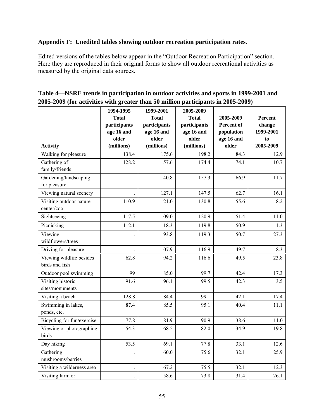# **Appendix F: Unedited tables showing outdoor recreation participation rates.**

Edited versions of the tables below appear in the "Outdoor Recreation Participation" section. Here they are reproduced in their original forms to show all outdoor recreational activities as measured by the original data sources.

| Table 4—NSRE trends in participation in outdoor activities and sports in 1999-2001 and |
|----------------------------------------------------------------------------------------|
| 2005-2009 (for activities with greater than 50 million participants in 2005-2009)      |

|                                            | 1994-1995    | 1999-2001    | 2005-2009    |            |           |
|--------------------------------------------|--------------|--------------|--------------|------------|-----------|
|                                            | <b>Total</b> | <b>Total</b> | <b>Total</b> | 2005-2009  | Percent   |
|                                            | participants | participants | participants | Percent of | change    |
|                                            | age 16 and   | age 16 and   | age 16 and   | population | 1999-2001 |
|                                            | older        | older        | older        | age 16 and | to        |
| <b>Activity</b>                            | (millions)   | (millions)   | (millions)   | older      | 2005-2009 |
| Walking for pleasure                       | 138.4        | 175.6        | 198.2        | 84.3       | 12.9      |
| Gathering of<br>family/friends             | 128.2        | 157.6        | 174.4        | 74.1       | 10.7      |
|                                            |              |              |              |            |           |
| Gardening/landscaping<br>for pleasure      |              | 140.8        | 157.3        | 66.9       | 11.7      |
| Viewing natural scenery                    |              | 127.1        | 147.5        | 62.7       | 16.1      |
| Visiting outdoor nature<br>center/zoo      | 110.9        | 121.0        | 130.8        | 55.6       | 8.2       |
| Sightseeing                                | 117.5        | 109.0        | 120.9        | 51.4       | 11.0      |
| Picnicking                                 | 112.1        | 118.3        | 119.8        | 50.9       | 1.3       |
| Viewing<br>wildflowers/trees               |              | 93.8         | 119.3        | 50.7       | 27.3      |
| Driving for pleasure                       |              | 107.9        | 116.9        | 49.7       | 8.3       |
| Viewing wildlife besides<br>birds and fish | 62.8         | 94.2         | 116.6        | 49.5       | 23.8      |
| Outdoor pool swimming                      | 99           | 85.0         | 99.7         | 42.4       | 17.3      |
| Visiting historic<br>sites/monuments       | 91.6         | 96.1         | 99.5         | 42.3       | 3.5       |
| Visiting a beach                           | 128.8        | 84.4         | 99.1         | 42.1       | 17.4      |
| Swimming in lakes,<br>ponds, etc.          | 87.4         | 85.5         | 95.1         | 40.4       | 11.1      |
| Bicycling for fun/exercise                 | 77.8         | 81.9         | 90.9         | 38.6       | 11.0      |
| Viewing or photographing<br>birds          | 54.3         | 68.5         | 82.0         | 34.9       | 19.8      |
| Day hiking                                 | 53.5         | 69.1         | 77.8         | 33.1       | 12.6      |
| Gathering<br>mushrooms/berries             |              | 60.0         | 75.6         | 32.1       | 25.9      |
| Visiting a wilderness area                 |              | 67.2         | 75.5         | 32.1       | 12.3      |
| Visiting farm or                           |              | 58.6         | 73.8         | 31.4       | 26.1      |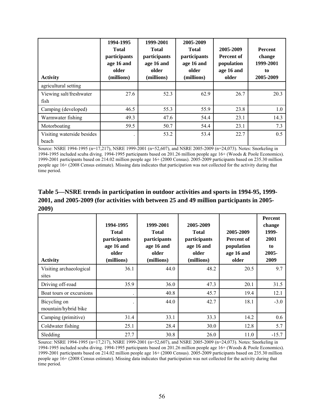| <b>Activity</b>                     | 1994-1995<br><b>Total</b><br>participants<br>age 16 and<br>older<br>(millions) | 1999-2001<br><b>Total</b><br>participants<br>age 16 and<br>older<br>(millions) | 2005-2009<br><b>Total</b><br>participants<br>age 16 and<br>older<br>(millions) | 2005-2009<br>Percent of<br>population<br>age 16 and<br>older | <b>Percent</b><br>change<br>1999-2001<br>to<br>2005-2009 |
|-------------------------------------|--------------------------------------------------------------------------------|--------------------------------------------------------------------------------|--------------------------------------------------------------------------------|--------------------------------------------------------------|----------------------------------------------------------|
| agricultural setting                |                                                                                |                                                                                |                                                                                |                                                              |                                                          |
| Viewing salt/freshwater<br>fish     | 27.6                                                                           | 52.3                                                                           | 62.9                                                                           | 26.7                                                         | 20.3                                                     |
| Camping (developed)                 | 46.5                                                                           | 55.3                                                                           | 55.9                                                                           | 23.8                                                         | 1.0                                                      |
| Warmwater fishing                   | 49.3                                                                           | 47.6                                                                           | 54.4                                                                           | 23.1                                                         | 14.3                                                     |
| Motorboating                        | 59.5                                                                           | 50.7                                                                           | 54.4                                                                           | 23.1                                                         | 7.3                                                      |
| Visiting waterside besides<br>beach |                                                                                | 53.2                                                                           | 53.4                                                                           | 22.7                                                         | 0.5                                                      |

Source: NSRE 1994-1995 (n=17,217), NSRE 1999-2001 (n=52,607), and NSRE 2005-2009 (n=24,073). Notes: Snorkeling in 1994-1995 included scuba diving. 1994-1995 participants based on 201.26 million people age 16+ (Woods & Poole Economics). 1999-2001 participants based on 214.02 million people age 16+ (2000 Census). 2005-2009 participants based on 235.30 million people age 16+ (2008 Census estimate). Missing data indicates that participation was not collected for the activity during that time period.

# **Table 5—NSRE trends in participation in outdoor activities and sports in 1994-95, 1999- 2001, and 2005-2009 (for activities with between 25 and 49 million participants in 2005- 2009)**

| <b>Activity</b>                      | 1994-1995<br><b>Total</b><br>participants<br>age 16 and<br>older<br>(millions) | 1999-2001<br><b>Total</b><br>participants<br>age 16 and<br>older<br>(millions) | 2005-2009<br><b>Total</b><br>participants<br>age 16 and<br>older<br>(millions) | 2005-2009<br>Percent of<br>population<br>age 16 and<br>older | <b>Percent</b><br>change<br>1999-<br>2001<br>to<br>2005-<br>2009 |
|--------------------------------------|--------------------------------------------------------------------------------|--------------------------------------------------------------------------------|--------------------------------------------------------------------------------|--------------------------------------------------------------|------------------------------------------------------------------|
| Visiting archaeological<br>sites     | 36.1                                                                           | 44.0                                                                           | 48.2                                                                           | 20.5                                                         | 9.7                                                              |
| Driving off-road                     | 35.9                                                                           | 36.0                                                                           | 47.3                                                                           | 20.1                                                         | 31.5                                                             |
| Boat tours or excursions             |                                                                                | 40.8                                                                           | 45.7                                                                           | 19.4                                                         | 12.1                                                             |
| Bicycling on<br>mountain/hybrid bike |                                                                                | 44.0                                                                           | 42.7                                                                           | 18.1                                                         | $-3.0$                                                           |
| Camping (primitive)                  | 31.4                                                                           | 33.1                                                                           | 33.3                                                                           | 14.2                                                         | 0.6                                                              |
| Coldwater fishing                    | 25.1                                                                           | 28.4                                                                           | 30.0                                                                           | 12.8                                                         | 5.7                                                              |
| Sledding                             | 27.7                                                                           | 30.8                                                                           | 26.0                                                                           | 11.0                                                         | $-15.7$                                                          |

Source: NSRE 1994-1995 (n=17,217), NSRE 1999-2001 (n=52,607), and NSRE 2005-2009 (n=24,073). Notes: Snorkeling in 1994-1995 included scuba diving. 1994-1995 participants based on 201.26 million people age 16+ (Woods & Poole Economics). 1999-2001 participants based on 214.02 million people age 16+ (2000 Census). 2005-2009 participants based on 235.30 million people age 16+ (2008 Census estimate). Missing data indicates that participation was not collected for the activity during that time period.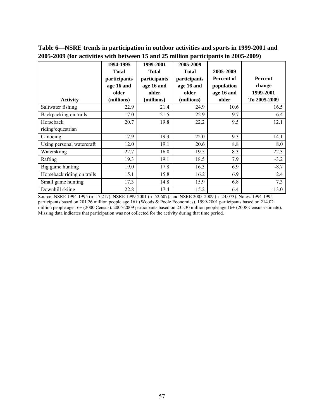| <b>Activity</b>                | 1994-1995<br><b>Total</b><br>participants<br>age 16 and<br>older<br>(millions) | 1999-2001<br><b>Total</b><br>participants<br>age 16 and<br>older<br>(millions) | 2005-2009<br><b>Total</b><br>participants<br>age 16 and<br>older<br>(millions) | 2005-2009<br>Percent of<br>population<br>age 16 and<br>older | <b>Percent</b><br>change<br>1999-2001<br>To 2005-2009 |
|--------------------------------|--------------------------------------------------------------------------------|--------------------------------------------------------------------------------|--------------------------------------------------------------------------------|--------------------------------------------------------------|-------------------------------------------------------|
| Saltwater fishing              | 22.9                                                                           | 21.4                                                                           | 24.9                                                                           | 10.6                                                         | 16.5                                                  |
| Backpacking on trails          | 17.0                                                                           | 21.5                                                                           | 22.9                                                                           | 9.7                                                          | 6.4                                                   |
| Horseback<br>riding/equestrian | 20.7                                                                           | 19.8                                                                           | 22.2                                                                           | 9.5                                                          | 12.1                                                  |
| Canoeing                       | 17.9                                                                           | 19.3                                                                           | 22.0                                                                           | 9.3                                                          | 14.1                                                  |
| Using personal watercraft      | 12.0                                                                           | 19.1                                                                           | 20.6                                                                           | 8.8                                                          | 8.0                                                   |
| Waterskiing                    | 22.7                                                                           | 16.0                                                                           | 19.5                                                                           | 8.3                                                          | 22.3                                                  |
| Rafting                        | 19.3                                                                           | 19.1                                                                           | 18.5                                                                           | 7.9                                                          | $-3.2$                                                |
| Big game hunting               | 19.0                                                                           | 17.8                                                                           | 16.3                                                                           | 6.9                                                          | $-8.7$                                                |
| Horseback riding on trails     | 15.1                                                                           | 15.8                                                                           | 16.2                                                                           | 6.9                                                          | 2.4                                                   |
| Small game hunting             | 17.3                                                                           | 14.8                                                                           | 15.9                                                                           | 6.8                                                          | 7.3                                                   |
| Downhill skiing                | 22.8                                                                           | 17.4                                                                           | 15.2                                                                           | 6.4                                                          | $-13.0$                                               |

**Table 6—NSRE trends in participation in outdoor activities and sports in 1999-2001 and 2005-2009 (for activities with between 15 and 25 million participants in 2005-2009)** 

Source: NSRE 1994-1995 (n=17,217), NSRE 1999-2001 (n=52,607), and NSRE 2005-2009 (n=24,073). Notes: 1994-1995 participants based on 201.26 million people age 16+ (Woods & Poole Economics). 1999-2001 participants based on 214.02 million people age 16+ (2000 Census). 2005-2009 participants based on 235.30 million people age 16+ (2008 Census estimate). Missing data indicates that participation was not collected for the activity during that time period.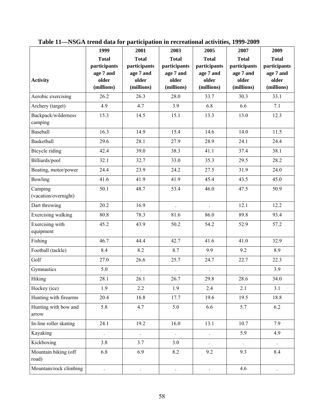|                                 | 1999                      | 2001                      | 2003                      | 2005                      | 2007                      | 2009                      |
|---------------------------------|---------------------------|---------------------------|---------------------------|---------------------------|---------------------------|---------------------------|
|                                 | <b>Total</b>              | <b>Total</b>              | <b>Total</b>              | <b>Total</b>              | <b>Total</b>              | <b>Total</b>              |
|                                 | participants<br>age 7 and | participants<br>age 7 and | participants<br>age 7 and | participants<br>age 7 and | participants<br>age 7 and | participants<br>age 7 and |
| <b>Activity</b>                 | older                     | older                     | older                     | older                     | older                     | older                     |
|                                 | (millions)                | (millions)                | (millions)                | (millions)                | (millions)                | (millions)                |
| Aerobic exercising              | 26.2                      | 26.3                      | 28.0                      | 33.7                      | 30.3                      | 33.1                      |
| Archery (target)                | 4.9                       | 4.7                       | 3.9                       | 6.8                       | 6.6                       | 7.1                       |
| Backpack/wilderness<br>camping  | 15.3                      | 14.5                      | 15.1                      | 13.3                      | 13.0                      | 12.3                      |
| Baseball                        | 16.3                      | 14.9                      | 15.4                      | 14.6                      | 14.0                      | 11.5                      |
| Basketball                      | 29.6                      | 28.1                      | 27.9                      | 28.9                      | 24.1                      | 24.4                      |
| Bicycle riding                  | 42.4                      | 39.0                      | 38.3                      | 41.1                      | 37.4                      | 38.1                      |
| Billiards/pool                  | 32.1                      | 32.7                      | 33.0                      | 35.3                      | 29.5                      | 28.2                      |
| Boating, motor/power            | 24.4                      | 23.9                      | 24.2                      | 27.5                      | 31.9                      | 24.0                      |
| Bowling                         | 41.6                      | 41.9                      | 41.9                      | 45.4                      | 43.5                      | 45.0                      |
| Camping<br>(vacation/overnight) | 50.1                      | 48.7                      | 53.4                      | 46.0                      | 47.5                      | 50.9                      |
| Dart throwing                   | 20.2                      | 16.9                      |                           |                           | 12.1                      | 12.2                      |
| Exercising walking              | 80.8                      | 78.3                      | 81.6                      | 86.0                      | 89.8                      | 93.4                      |
| Exercising with<br>equipment    | 45.2                      | 43.9                      | 50.2                      | 54.2                      | 52.9                      | 57.2                      |
| Fishing                         | 46.7                      | 44.4                      | 42.7                      | 41.6                      | 41.0                      | 32.9                      |
| Football (tackle)               | 8.4                       | 8.2                       | 8.7                       | 9.9                       | 9.2                       | 8.9                       |
| Golf                            | 27.0                      | 26.6                      | 25.7                      | 24.7                      | 22.7                      | 22.3                      |
| Gymnastics                      | 5.0                       |                           |                           |                           |                           | 3.9                       |
| Hiking                          | 28.1                      | 26.1                      | 26.7                      | 29.8                      | 28.6                      | 34.0                      |
| Hockey (ice)                    | 1.9                       | 2.2                       | 1.9                       | 2.4                       | 2.1                       | 3.1                       |
| Hunting with firearms           | 20.4                      | 16.8                      | 17.7                      | 19.6                      | 19.5                      | 18.8                      |
| Hunting with bow and<br>arrow   | 5.8                       | 4.7                       | 5.0                       | 6.6                       | 5.7                       | 6.2                       |
| In-line roller skating          | 24.1                      | 19.2                      | 16.0                      | 13.1                      | 10.7                      | 7.9                       |
| Kayaking                        | $\ddot{\phantom{0}}$      | $\ddot{\phantom{0}}$      | $\ddot{\phantom{0}}$      | $\ddot{\phantom{0}}$      | 5.9                       | 4.9                       |
| Kickboxing                      | 3.8                       | 3.7                       | 3.0                       |                           |                           |                           |
| Mountain biking (off<br>road)   | 6.8                       | 6.9                       | 8.2                       | 9.2                       | 9.3                       | 8.4                       |
| Mountain/rock climbing          |                           |                           |                           |                           | 4.6                       |                           |

**Table 11—NSGA trend data for participation in recreational activities, 1999-2009**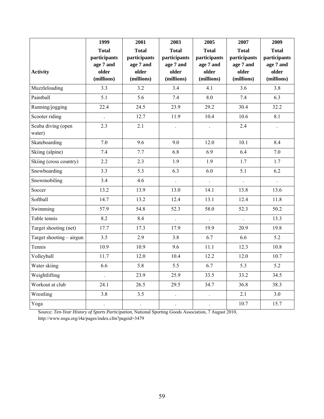|                          | 1999                      | 2001                      | 2003                      | 2005                      | 2007                      | 2009                      |
|--------------------------|---------------------------|---------------------------|---------------------------|---------------------------|---------------------------|---------------------------|
|                          | <b>Total</b>              | <b>Total</b>              | <b>Total</b>              | <b>Total</b>              | <b>Total</b>              | <b>Total</b>              |
|                          | participants<br>age 7 and | participants<br>age 7 and | participants<br>age 7 and | participants<br>age 7 and | participants<br>age 7 and | participants<br>age 7 and |
| <b>Activity</b>          | older                     | older                     | older                     | older                     | older                     | older                     |
|                          | (millions)                | (millions)                | (millions)                | (millions)                | (millions)                | (millions)                |
| Muzzleloading            | 3.3                       | 3.2                       | 3.4                       | 4.1                       | 3.6                       | 3.8                       |
| Paintball                | 5.1                       | 5.6                       | 7.4                       | 8.0                       | 7.4                       | 6.3                       |
| Running/jogging          | 22.4                      | 24.5                      | 23.9                      | 29.2                      | 30.4                      | 32.2                      |
| Scooter riding           | $\ddot{\phantom{0}}$      | 12.7                      | 11.9                      | 10.4                      | 10.6                      | 8.1                       |
| Scuba diving (open       | 2.3                       | 2.1                       | $\overline{a}$            |                           | 2.4                       |                           |
| water)                   |                           |                           |                           |                           |                           |                           |
| Skateboarding            | 7.0                       | 9.6                       | 9.0                       | 12.0                      | 10.1                      | 8.4                       |
| Skiing (alpine)          | 7.4                       | 7.7                       | 6.8                       | 6.9                       | 6.4                       | $7.0\,$                   |
| Skiing (cross country)   | 2.2                       | 2.3                       | 1.9                       | 1.9                       | 1.7                       | 1.7                       |
| Snowboarding             | 3.3                       | 5.3                       | 6.3                       | 6.0                       | 5.1                       | 6.2                       |
| Snowmobiling             | 3.4                       | 4.6                       |                           |                           | $\ddot{\phantom{0}}$      |                           |
| Soccer                   | 13.2                      | 13.9                      | 13.0                      | 14.1                      | 13.8                      | 13.6                      |
| Softball                 | 14.7                      | 13.2                      | 12.4                      | 13.1                      | 12.4                      | 11.8                      |
| Swimming                 | 57.9                      | 54.8                      | 52.3                      | 58.0                      | 52.3                      | 50.2                      |
| Table tennis             | 8.2                       | 8.4                       |                           |                           |                           | 13.3                      |
| Target shooting (net)    | 17.7                      | 17.3                      | 17.9                      | 19.9                      | 20.9                      | 19.8                      |
| Target shooting – airgun | 3.5                       | 2.9                       | 3.8                       | 6.7                       | 6.6                       | 5.2                       |
| Tennis                   | 10.9                      | 10.9                      | 9.6                       | 11.1                      | 12.3                      | 10.8                      |
| Volleyball               | 11.7                      | 12.0                      | 10.4                      | 12.2                      | 12.0                      | 10.7                      |
| Water skiing             | 6.6                       | 5.8                       | 5.5                       | 6.7                       | 5.3                       | 5.2                       |
| Weightlifting            | $\ddot{\phantom{0}}$      | 23.9                      | 25.9                      | 33.5                      | 33.2                      | 34.5                      |
| Workout at club          | 24.1                      | 26.5                      | 29.5                      | 34.7                      | 36.8                      | 38.3                      |
| Wrestling                | 3.8                       | 3.5                       | $\ddot{\phantom{0}}$      | $\ddot{\phantom{0}}$      | 2.1                       | $3.0\,$                   |
| Yoga                     | $\ddot{\phantom{0}}$      | $\ddot{\phantom{a}}$      | $\ddot{\phantom{0}}$      | $\ddot{\phantom{1}}$      | 10.7                      | 15.7                      |

Source: *Ten-Year History of Sports Participation*, National Sporting Goods Association, 7 August 2010, http://www.nsga.org/i4a/pages/index.cfm?pageid=3479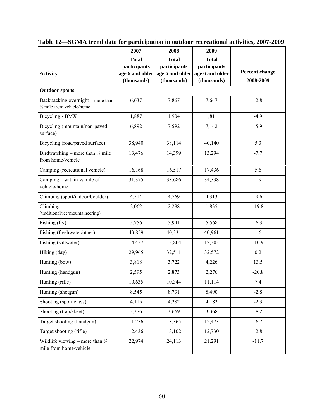|                                                                      | 2007                                                           | 2008                                                           | 2009                                                           |                                    |
|----------------------------------------------------------------------|----------------------------------------------------------------|----------------------------------------------------------------|----------------------------------------------------------------|------------------------------------|
| <b>Activity</b>                                                      | <b>Total</b><br>participants<br>age 6 and older<br>(thousands) | <b>Total</b><br>participants<br>age 6 and older<br>(thousands) | <b>Total</b><br>participants<br>age 6 and older<br>(thousands) | <b>Percent change</b><br>2008-2009 |
| <b>Outdoor sports</b>                                                |                                                                |                                                                |                                                                |                                    |
| Backpacking overnight - more than<br>1/4 mile from vehicle/home      | 6,637                                                          | 7,867                                                          | 7,647                                                          | $-2.8$                             |
| Bicycling - BMX                                                      | 1,887                                                          | 1,904                                                          | 1,811                                                          | $-4.9$                             |
| Bicycling (mountain/non-paved<br>surface)                            | 6,892                                                          | 7,592                                                          | 7,142                                                          | $-5.9$                             |
| Bicycling (road/paved surface)                                       | 38,940                                                         | 38,114                                                         | 40,140                                                         | 5.3                                |
| Birdwatching – more than $\frac{1}{4}$ mile<br>from home/vehicle     | 13,476                                                         | 14,399                                                         | 13,294                                                         | $-7.7$                             |
| Camping (recreational vehicle)                                       | 16,168                                                         | 16,517                                                         | 17,436                                                         | 5.6                                |
| Camping – within $\frac{1}{4}$ mile of<br>vehicle/home               | 31,375                                                         | 33,686                                                         | 34,338                                                         | 1.9                                |
| Climbing (sport/indoor/boulder)                                      | 4,514                                                          | 4,769                                                          | 4,313                                                          | $-9.6$                             |
| Climbing<br>(traditional/ice/mountaineering)                         | 2,062                                                          | 2,288                                                          | 1,835                                                          | $-19.8$                            |
| Fishing (fly)                                                        | 5,756                                                          | 5,941                                                          | 5,568                                                          | $-6.3$                             |
| Fishing (freshwater/other)                                           | 43,859                                                         | 40,331                                                         | 40,961                                                         | 1.6                                |
| Fishing (saltwater)                                                  | 14,437                                                         | 13,804                                                         | 12,303                                                         | $-10.9$                            |
| Hiking (day)                                                         | 29,965                                                         | 32,511                                                         | 32,572                                                         | 0.2                                |
| Hunting (bow)                                                        | 3,818                                                          | 3,722                                                          | 4,226                                                          | 13.5                               |
| Hunting (handgun)                                                    | 2,595                                                          | 2,873                                                          | 2,276                                                          | $-20.8$                            |
| Hunting (rifle)                                                      | 10,635                                                         | 10,344                                                         | 11,114                                                         | 7.4                                |
| Hunting (shotgun)                                                    | 8,545                                                          | 8,731                                                          | 8,490                                                          | $-2.8$                             |
| Shooting (sport clays)                                               | 4,115                                                          | 4,282                                                          | 4,182                                                          | $-2.3$                             |
| Shooting (trap/skeet)                                                | 3,376                                                          | 3,669                                                          | 3,368                                                          | $-8.2$                             |
| Target shooting (handgun)                                            | 11,736                                                         | 13,365                                                         | 12,473                                                         | $-6.7$                             |
| Target shooting (rifle)                                              | 12,436                                                         | 13,102                                                         | 12,730                                                         | $-2.8$                             |
| Wildlife viewing – more than $\frac{1}{4}$<br>mile from home/vehicle | 22,974                                                         | 24,113                                                         | 21,291                                                         | $-11.7$                            |

| Table 12—SGMA trend data for participation in outdoor recreational activities, 2007-2009 |  |  |
|------------------------------------------------------------------------------------------|--|--|
|------------------------------------------------------------------------------------------|--|--|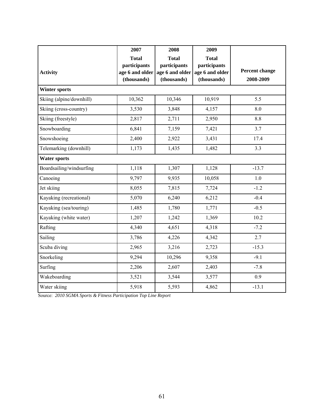|                          | 2007            | 2008            | 2009            |                |
|--------------------------|-----------------|-----------------|-----------------|----------------|
|                          | <b>Total</b>    | <b>Total</b>    | <b>Total</b>    |                |
|                          | participants    | participants    | participants    |                |
| <b>Activity</b>          | age 6 and older | age 6 and older | age 6 and older | Percent change |
|                          | (thousands)     | (thousands)     | (thousands)     | 2008-2009      |
| <b>Winter sports</b>     |                 |                 |                 |                |
| Skiing (alpine/downhill) | 10,362          | 10,346          | 10,919          | 5.5            |
| Skiing (cross-country)   | 3,530           | 3,848           | 4,157           | 8.0            |
| Skiing (freestyle)       | 2,817           | 2,711           | 2,950           | 8.8            |
| Snowboarding             | 6,841           | 7,159           | 7,421           | 3.7            |
| Snowshoeing              | 2,400           | 2,922           | 3,431           | 17.4           |
| Telemarking (downhill)   | 1,173           | 1,435           | 1,482           | 3.3            |
| <b>Water sports</b>      |                 |                 |                 |                |
| Boardsailing/windsurfing | 1,118           | 1,307           | 1,128           | $-13.7$        |
| Canoeing                 | 9,797           | 9,935           | 10,058          | 1.0            |
| Jet skiing               | 8,055           | 7,815           | 7,724           | $-1.2$         |
| Kayaking (recreational)  | 5,070           | 6,240           | 6,212           | $-0.4$         |
| Kayaking (sea/touring)   | 1,485           | 1,780           | 1,771           | $-0.5$         |
| Kayaking (white water)   | 1,207           | 1,242           | 1,369           | 10.2           |
| Rafting                  | 4,340           | 4,651           | 4,318           | $-7.2$         |
| Sailing                  | 3,786           | 4,226           | 4,342           | 2.7            |
| Scuba diving             | 2,965           | 3,216           | 2,723           | $-15.3$        |
| Snorkeling               | 9,294           | 10,296          | 9,358           | $-9.1$         |
| Surfing                  | 2,206           | 2,607           | 2,403           | $-7.8$         |
| Wakeboarding             | 3,521           | 3,544           | 3,577           | 0.9            |
| Water skiing             | 5,918           | 5,593           | 4,862           | $-13.1$        |

Source: *2010 SGMA Sports & Fitness Participation Top Line Report*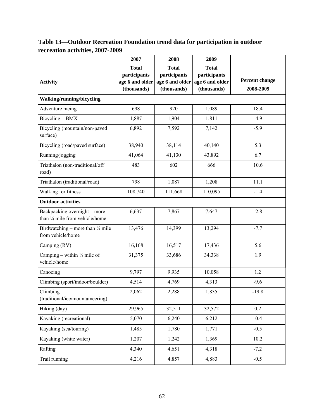# **Table 13—Outdoor Recreation Foundation trend data for participation in outdoor recreation activities, 2007-2009**

|                                                                  | 2007            | 2008            | 2009            |                       |
|------------------------------------------------------------------|-----------------|-----------------|-----------------|-----------------------|
|                                                                  | <b>Total</b>    | <b>Total</b>    | <b>Total</b>    |                       |
|                                                                  | participants    | participants    | participants    |                       |
| <b>Activity</b>                                                  | age 6 and older | age 6 and older | age 6 and older | <b>Percent change</b> |
|                                                                  | (thousands)     | (thousands)     | (thousands)     | 2008-2009             |
| Walking/running/bicycling                                        |                 |                 |                 |                       |
| Adventure racing                                                 | 698             | 920             | 1,089           | 18.4                  |
| Bicycling - BMX                                                  | 1,887           | 1,904           | 1,811           | $-4.9$                |
| Bicycling (mountain/non-paved<br>surface)                        | 6,892           | 7,592           | 7,142           | $-5.9$                |
| Bicycling (road/paved surface)                                   | 38,940          | 38,114          | 40,140          | 5.3                   |
| Running/jogging                                                  | 41,064          | 41,130          | 43,892          | 6.7                   |
| Triathalon (non-traditional/off<br>road)                         | 483             | 602             | 666             | 10.6                  |
| Triathalon (traditional/road)                                    | 798             | 1,087           | 1,208           | 11.1                  |
| Walking for fitness                                              | 108,740         | 111,668         | 110,095         | $-1.4$                |
| <b>Outdoor activities</b>                                        |                 |                 |                 |                       |
| Backpacking overnight - more<br>than 1/4 mile from vehicle/home  | 6,637           | 7,867           | 7,647           | $-2.8$                |
| Birdwatching – more than $\frac{1}{4}$ mile<br>from vehicle/home | 13,476          | 14,399          | 13,294          | $-7.7$                |
| Camping (RV)                                                     | 16,168          | 16,517          | 17,436          | 5.6                   |
| Camping – within $\frac{1}{4}$ mile of<br>vehicle/home           | 31,375          | 33,686          | 34,338          | 1.9                   |
| Canoeing                                                         | 9,797           | 9,935           | 10,058          | 1.2                   |
| Climbing (sport/indoor/boulder)                                  | 4,514           | 4,769           | 4,313           | $-9.6$                |
| Climbing<br>(traditional/ice/mountaineering)                     | 2,062           | 2,288           | 1,835           | $-19.8$               |
| Hiking (day)                                                     | 29,965          | 32,511          | 32,572          | 0.2                   |
| Kayaking (recreational)                                          | 5,070           | 6,240           | 6,212           | $-0.4$                |
| Kayaking (sea/touring)                                           | 1,485           | 1,780           | 1,771           | $-0.5$                |
| Kayaking (white water)                                           | 1,207           | 1,242           | 1,369           | 10.2                  |
| Rafting                                                          | 4,340           | 4,651           | 4,318           | $-7.2$                |
| Trail running                                                    | 4,216           | 4,857           | 4,883           | $-0.5$                |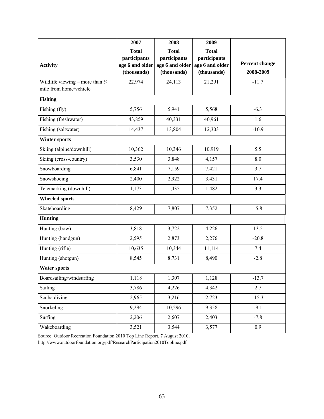|                                                                      | 2007                                                           | 2008                                                           | 2009                                                           |                             |
|----------------------------------------------------------------------|----------------------------------------------------------------|----------------------------------------------------------------|----------------------------------------------------------------|-----------------------------|
| <b>Activity</b>                                                      | <b>Total</b><br>participants<br>age 6 and older<br>(thousands) | <b>Total</b><br>participants<br>age 6 and older<br>(thousands) | <b>Total</b><br>participants<br>age 6 and older<br>(thousands) | Percent change<br>2008-2009 |
| Wildlife viewing – more than $\frac{1}{4}$<br>mile from home/vehicle | 22,974                                                         | 24,113                                                         | 21,291                                                         | $-11.7$                     |
| <b>Fishing</b>                                                       |                                                                |                                                                |                                                                |                             |
| Fishing (fly)                                                        | 5,756                                                          | 5,941                                                          | 5,568                                                          | $-6.3$                      |
| Fishing (freshwater)                                                 | 43,859                                                         | 40,331                                                         | 40,961                                                         | 1.6                         |
| Fishing (saltwater)                                                  | 14,437                                                         | 13,804                                                         | 12,303                                                         | $-10.9$                     |
| <b>Winter sports</b>                                                 |                                                                |                                                                |                                                                |                             |
| Skiing (alpine/downhill)                                             | 10,362                                                         | 10,346                                                         | 10,919                                                         | 5.5                         |
| Skiing (cross-country)                                               | 3,530                                                          | 3,848                                                          | 4,157                                                          | 8.0                         |
| Snowboarding                                                         | 6,841                                                          | 7,159                                                          | 7,421                                                          | 3.7                         |
| Snowshoeing                                                          | 2,400                                                          | 2,922                                                          | 3,431                                                          | 17.4                        |
| Telemarking (downhill)                                               | 1,173                                                          | 1,435                                                          | 1,482                                                          | 3.3                         |
| <b>Wheeled sports</b>                                                |                                                                |                                                                |                                                                |                             |
| Skateboarding                                                        | 8,429                                                          | 7,807                                                          | 7,352                                                          | $-5.8$                      |
| <b>Hunting</b>                                                       |                                                                |                                                                |                                                                |                             |
| Hunting (bow)                                                        | 3,818                                                          | 3,722                                                          | 4,226                                                          | 13.5                        |
| Hunting (handgun)                                                    | 2,595                                                          | 2,873                                                          | 2,276                                                          | $-20.8$                     |
| Hunting (rifle)                                                      | 10,635                                                         | 10,344                                                         | 11,114                                                         | 7.4                         |
| Hunting (shotgun)                                                    | 8,545                                                          | 8,731                                                          | 8,490                                                          | $-2.8$                      |
| <b>Water sports</b>                                                  |                                                                |                                                                |                                                                |                             |
| Boardsailing/windsurfing                                             | 1,118                                                          | 1,307                                                          | 1,128                                                          | $-13.7$                     |
| Sailing                                                              | 3,786                                                          | 4,226                                                          | 4,342                                                          | 2.7                         |
| Scuba diving                                                         | 2,965                                                          | 3,216                                                          | 2,723                                                          | $-15.3$                     |
| Snorkeling                                                           | 9,294                                                          | 10,296                                                         | 9,358                                                          | $-9.1$                      |
| Surfing                                                              | 2,206                                                          | 2,607                                                          | 2,403                                                          | $-7.8$                      |
| Wakeboarding                                                         | 3,521                                                          | 3,544                                                          | 3,577                                                          | 0.9                         |

Source: Outdoor Recreation Foundation 2010 Top Line Report, 7 August 2010,

http://www.outdoorfoundation.org/pdf/ResearchParticipation2010Topline.pdf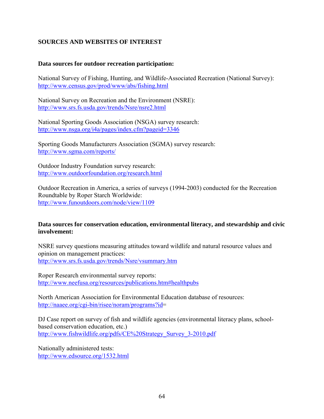# **SOURCES AND WEBSITES OF INTEREST**

#### **Data sources for outdoor recreation participation:**

National Survey of Fishing, Hunting, and Wildlife-Associated Recreation (National Survey): http://www.census.gov/prod/www/abs/fishing.html

National Survey on Recreation and the Environment (NSRE): http://www.srs.fs.usda.gov/trends/Nsre/nsre2.html

National Sporting Goods Association (NSGA) survey research: http://www.nsga.org/i4a/pages/index.cfm?pageid=3346

Sporting Goods Manufacturers Association (SGMA) survey research: http://www.sgma.com/reports/

Outdoor Industry Foundation survey research: http://www.outdoorfoundation.org/research.html

Outdoor Recreation in America, a series of surveys (1994-2003) conducted for the Recreation Roundtable by Roper Starch Worldwide: http://www.funoutdoors.com/node/view/1109

#### **Data sources for conservation education, environmental literacy, and stewardship and civic involvement:**

NSRE survey questions measuring attitudes toward wildlife and natural resource values and opinion on management practices: http://www.srs.fs.usda.gov/trends/Nsre/vsummary.htm

Roper Research environmental survey reports: http://www.neefusa.org/resources/publications.htm#healthpubs

North American Association for Environmental Education database of resources: http://naaee.org/cgi-bin/risee/noram/programs?id=

DJ Case report on survey of fish and wildlife agencies (environmental literacy plans, schoolbased conservation education, etc.) http://www.fishwildlife.org/pdfs/CE%20Strategy\_Survey\_3-2010.pdf

Nationally administered tests: http://www.edsource.org/1532.html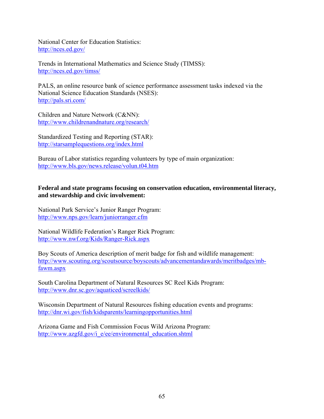National Center for Education Statistics: http://nces.ed.gov/

Trends in International Mathematics and Science Study (TIMSS): http://nces.ed.gov/timss/

PALS, an online resource bank of science performance assessment tasks indexed via the National Science Education Standards (NSES): http://pals.sri.com/

Children and Nature Network (C&NN): http://www.childrenandnature.org/research/

Standardized Testing and Reporting (STAR): http://starsamplequestions.org/index.html

Bureau of Labor statistics regarding volunteers by type of main organization: http://www.bls.gov/news.release/volun.t04.htm

#### **Federal and state programs focusing on conservation education, environmental literacy, and stewardship and civic involvement:**

National Park Service's Junior Ranger Program: http://www.nps.gov/learn/juniorranger.cfm

National Wildlife Federation's Ranger Rick Program: http://www.nwf.org/Kids/Ranger-Rick.aspx

Boy Scouts of America description of merit badge for fish and wildlife management: http://www.scouting.org/scoutsource/boyscouts/advancementandawards/meritbadges/mbfawm.aspx

South Carolina Department of Natural Resources SC Reel Kids Program: http://www.dnr.sc.gov/aquaticed/screelkids/

Wisconsin Department of Natural Resources fishing education events and programs: http://dnr.wi.gov/fish/kidsparents/learningopportunities.html

Arizona Game and Fish Commission Focus Wild Arizona Program: http://www.azgfd.gov/i\_e/ee/environmental\_education.shtml